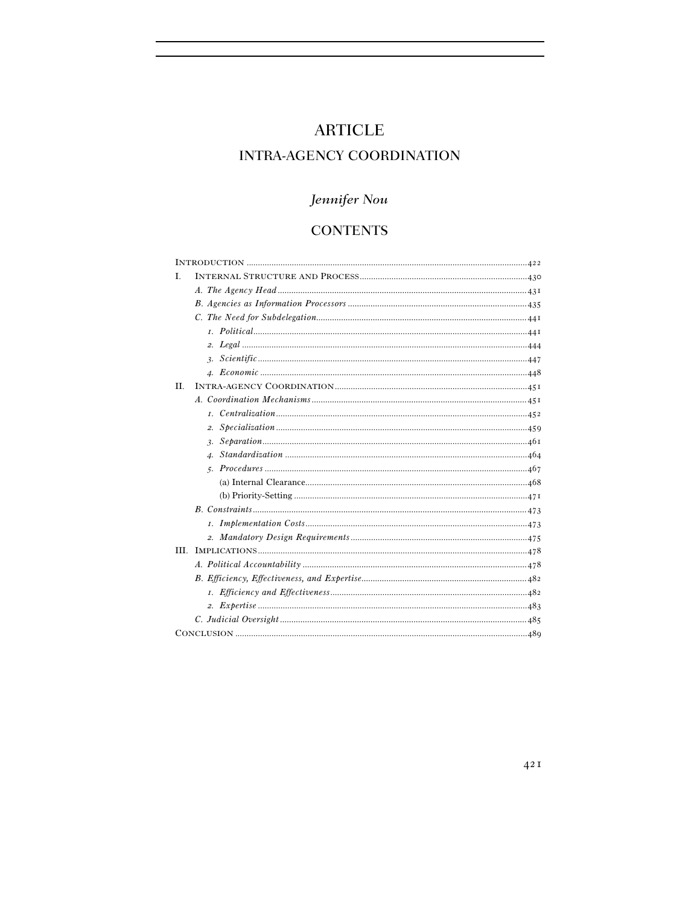# **ARTICLE**

## **INTRA-AGENCY COORDINATION**

# Jennifer Nou

## **CONTENTS**

| L   |  |
|-----|--|
|     |  |
|     |  |
|     |  |
|     |  |
|     |  |
|     |  |
|     |  |
| II. |  |
|     |  |
|     |  |
|     |  |
|     |  |
|     |  |
|     |  |
|     |  |
|     |  |
|     |  |
|     |  |
|     |  |
|     |  |
|     |  |
|     |  |
|     |  |
|     |  |
|     |  |
|     |  |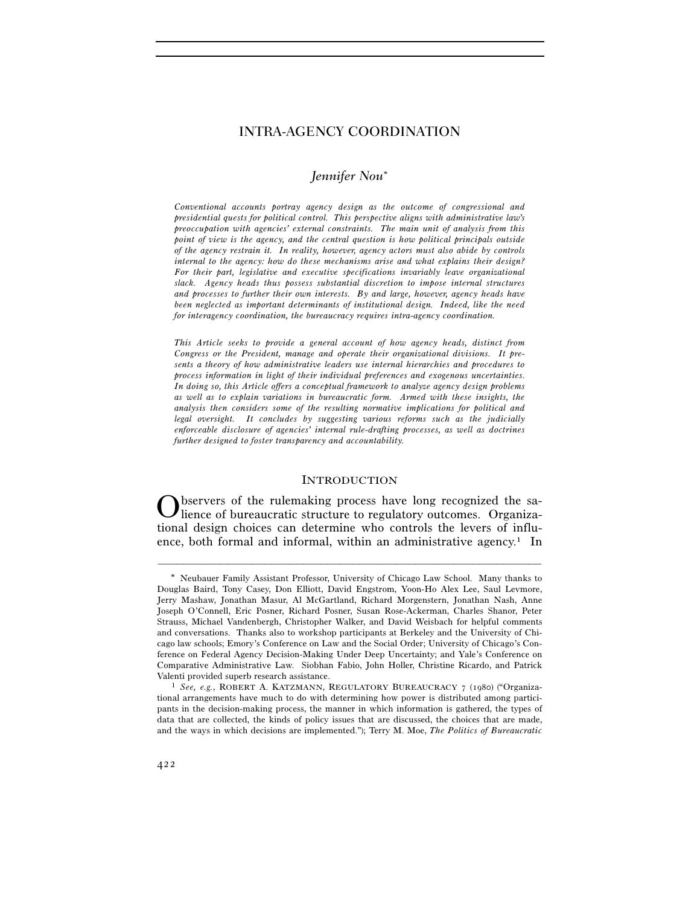## *Jennifer Nou*

*Conventional accounts portray agency design as the outcome of congressional and presidential quests for political control. This perspective aligns with administrative law's preoccupation with agencies' external constraints. The main unit of analysis from this point of view is the agency, and the central question is how political principals outside of the agency restrain it. In reality, however, agency actors must also abide by controls internal to the agency: how do these mechanisms arise and what explains their design? For their part, legislative and executive specifications invariably leave organizational slack. Agency heads thus possess substantial discretion to impose internal structures and processes to further their own interests. By and large, however, agency heads have been neglected as important determinants of institutional design. Indeed, like the need for interagency coordination, the bureaucracy requires intra-agency coordination.* 

*This Article seeks to provide a general account of how agency heads, distinct from Congress or the President, manage and operate their organizational divisions. It presents a theory of how administrative leaders use internal hierarchies and procedures to process information in light of their individual preferences and exogenous uncertainties. In doing so, this Article offers a conceptual framework to analyze agency design problems as well as to explain variations in bureaucratic form. Armed with these insights, the analysis then considers some of the resulting normative implications for political and legal oversight. It concludes by suggesting various reforms such as the judicially enforceable disclosure of agencies' internal rule-drafting processes, as well as doctrines further designed to foster transparency and accountability.* 

#### **INTRODUCTION**

bservers of the rulemaking process have long recognized the salience of bureaucratic structure to regulatory outcomes. Organizational design choices can determine who controls the levers of influence, both formal and informal, within an administrative agency.<sup>1</sup> In O

Neubauer Family Assistant Professor, University of Chicago Law School. Many thanks to Douglas Baird, Tony Casey, Don Elliott, David Engstrom, Yoon-Ho Alex Lee, Saul Levmore, Jerry Mashaw, Jonathan Masur, Al McGartland, Richard Morgenstern, Jonathan Nash, Anne Joseph O'Connell, Eric Posner, Richard Posner, Susan Rose-Ackerman, Charles Shanor, Peter Strauss, Michael Vandenbergh, Christopher Walker, and David Weisbach for helpful comments and conversations. Thanks also to workshop participants at Berkeley and the University of Chicago law schools; Emory's Conference on Law and the Social Order; University of Chicago's Conference on Federal Agency Decision-Making Under Deep Uncertainty; and Yale's Conference on Comparative Administrative Law. Siobhan Fabio, John Holler, Christine Ricardo, and Patrick Valenti provided superb research assistance.<br><sup>1</sup> *See, e.g.*, ROBERT A. KATZMANN, REGULATORY BUREAUCRACY 7 (1980) ("Organiza-

tional arrangements have much to do with determining how power is distributed among participants in the decision-making process, the manner in which information is gathered, the types of data that are collected, the kinds of policy issues that are discussed, the choices that are made, and the ways in which decisions are implemented."); Terry M. Moe, *The Politics of Bureaucratic*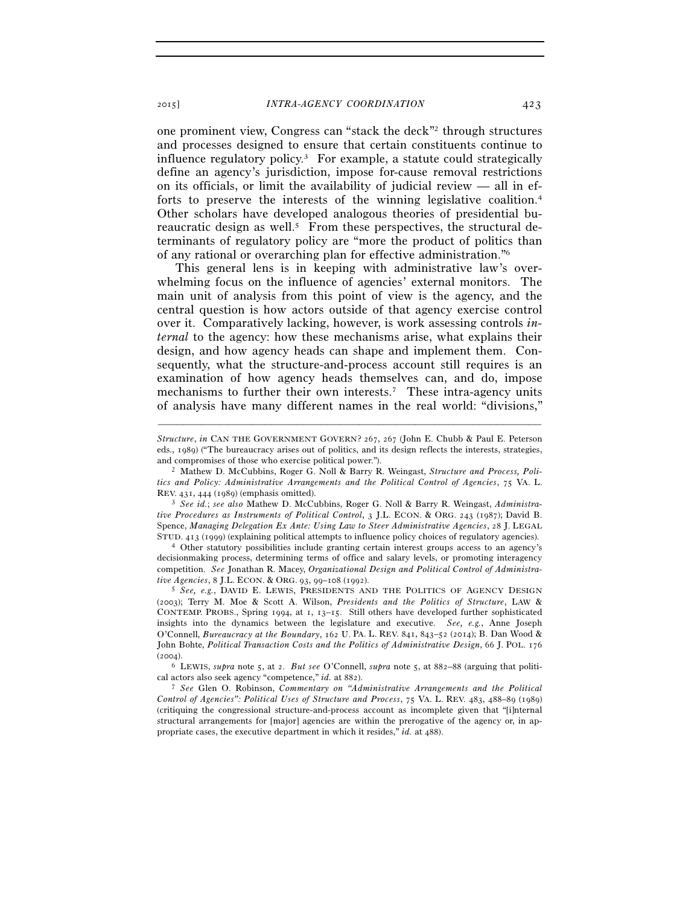one prominent view, Congress can "stack the deck"2 through structures and processes designed to ensure that certain constituents continue to influence regulatory policy.3 For example, a statute could strategically define an agency's jurisdiction, impose for-cause removal restrictions on its officials, or limit the availability of judicial review — all in efforts to preserve the interests of the winning legislative coalition.4 Other scholars have developed analogous theories of presidential bureaucratic design as well.<sup>5</sup> From these perspectives, the structural determinants of regulatory policy are "more the product of politics than of any rational or overarching plan for effective administration."6

This general lens is in keeping with administrative law's overwhelming focus on the influence of agencies' external monitors. The main unit of analysis from this point of view is the agency, and the central question is how actors outside of that agency exercise control over it. Comparatively lacking, however, is work assessing controls *internal* to the agency: how these mechanisms arise, what explains their design, and how agency heads can shape and implement them. Consequently, what the structure-and-process account still requires is an examination of how agency heads themselves can, and do, impose mechanisms to further their own interests.<sup>7</sup> These intra-agency units of analysis have many different names in the real world: "divisions,"

–––––––––––––––––––––––––––––––––––––––––––––––––––––––––––––

decisionmaking process, determining terms of office and salary levels, or promoting interagency competition. *See* Jonathan R. Macey, *Organizational Design and Political Control of Administra-*

<sup>5</sup> See, e.g., DAVID E. LEWIS, PRESIDENTS AND THE POLITICS OF AGENCY DESIGN (2003); Terry M. Moe & Scott A. Wilson, *Presidents and the Politics of Structure*, LAW & CONTEMP. PROBS., Spring 1994, at 1, 13–15. Still others have developed further sophisticated insights into the dynamics between the legislature and executive. *See, e.g.*, Anne Joseph O'Connell, *Bureaucracy at the Boundary*, 162 U. PA. L. REV. 841, 843–52 (2014); B. Dan Wood & John Bohte, *Political Transaction Costs and the Politics of Administrative Design*, 66 J. POL. 176  $(2004)$ .

6 LEWIS, *supra* note 5, at 2. *But see* O'Connell, *supra* note 5, at 882–88 (arguing that political actors also seek agency "competence," *id.* at 882). 7 *See* Glen O. Robinson, *Commentary on "Administrative Arrangements and the Political* 

*Control of Agencies": Political Uses of Structure and Process*, 75 VA. L. REV. 483, 488–89 (1989) (critiquing the congressional structure-and-process account as incomplete given that "[i]nternal structural arrangements for [major] agencies are within the prerogative of the agency or, in appropriate cases, the executive department in which it resides," *id.* at 488).

*Structure*, *in* CAN THE GOVERNMENT GOVERN? 267, 267 (John E. Chubb & Paul E. Peterson eds., 1989) ("The bureaucracy arises out of politics, and its design reflects the interests, strategies,

and compromises of those who exercise political power."). 2 Mathew D. McCubbins, Roger G. Noll & Barry R. Weingast, *Structure and Process, Politics and Policy: Administrative Arrangements and the Political Control of Agencies*, 75 VA. L. REV. 431, 444 (1989) (emphasis omitted). 3 *See id.*; *see also* Mathew D. McCubbins, Roger G. Noll & Barry R. Weingast, *Administra-*

*tive Procedures as Instruments of Political Control*, 3 J.L. ECON. & ORG. 243 (1987); David B. Spence, *Managing Delegation Ex Ante: Using Law to Steer Administrative Agencies*, 28 J. LEGAL STUD. 413 (1999) (explaining political attempts to influence policy choices of regulatory agencies). 4 Other statutory possibilities include granting certain interest groups access to an agency's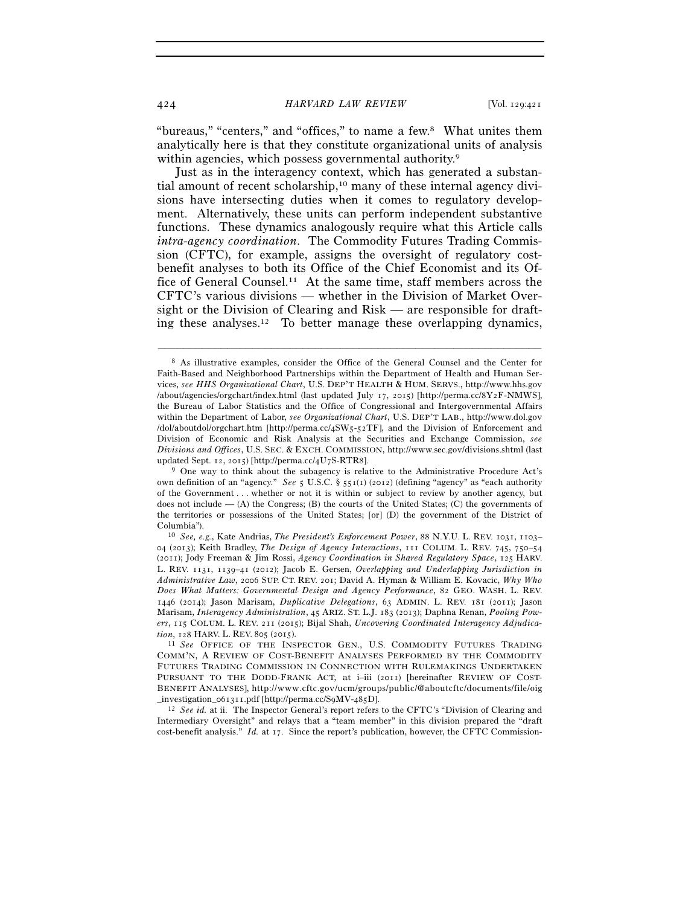"bureaus," "centers," and "offices," to name a few.8 What unites them analytically here is that they constitute organizational units of analysis within agencies, which possess governmental authority.<sup>9</sup>

Just as in the interagency context, which has generated a substantial amount of recent scholarship,<sup>10</sup> many of these internal agency divisions have intersecting duties when it comes to regulatory development. Alternatively, these units can perform independent substantive functions. These dynamics analogously require what this Article calls *intra-agency coordination*. The Commodity Futures Trading Commission (CFTC), for example, assigns the oversight of regulatory costbenefit analyses to both its Office of the Chief Economist and its Office of General Counsel.11 At the same time, staff members across the CFTC's various divisions — whether in the Division of Market Oversight or the Division of Clearing and Risk — are responsible for drafting these analyses.<sup>12</sup> To better manage these overlapping dynamics,

<sup>8</sup> As illustrative examples, consider the Office of the General Counsel and the Center for Faith-Based and Neighborhood Partnerships within the Department of Health and Human Services, *see HHS Organizational Chart*, U.S. DEP'T HEALTH & HUM. SERVS., http://www.hhs.gov /about/agencies/orgchart/index.html (last updated July 17, 2015) [http://perma.cc/8Y2F-NMWS], the Bureau of Labor Statistics and the Office of Congressional and Intergovernmental Affairs within the Department of Labor, *see Organizational Chart*, U.S. DEP'T LAB., http://www.dol.gov /dol/aboutdol/orgchart.htm [http://perma.cc/4SW5-52TF], and the Division of Enforcement and Division of Economic and Risk Analysis at the Securities and Exchange Commission, *see Divisions and Offices*, U.S. SEC. & EXCH. COMMISSION, http://www.sec.gov/divisions.shtml (last updated Sept. 12, 2015) [http://perma.cc/4U7S-RTR8].<br><sup>9</sup> One way to think about the subagency is relative to the Administrative Procedure Act's

own definition of an "agency." *See* 5 U.S.C. § 551(1) (2012) (defining "agency" as "each authority of the Government . . . whether or not it is within or subject to review by another agency, but does not include  $-$  (A) the Congress; (B) the courts of the United States; (C) the governments of the territories or possessions of the United States; [or] (D) the government of the District of Columbia"). 10 *See, e.g.*, Kate Andrias, *The President's Enforcement Power*, 88 N.Y.U. L. REV. 1031, 1103–

<sup>04</sup> (2013); Keith Bradley, *The Design of Agency Interactions*, 111 COLUM. L. REV. 745, 750–54 (2011); Jody Freeman & Jim Rossi, *Agency Coordination in Shared Regulatory Space*, 125 HARV. L. REV. 1131, 1139–41 (2012); Jacob E. Gersen, *Overlapping and Underlapping Jurisdiction in Administrative Law*, 2006 SUP. CT. REV. 201; David A. Hyman & William E. Kovacic, *Why Who Does What Matters: Governmental Design and Agency Performance*, 82 GEO. WASH. L. REV. 1446 (2014); Jason Marisam, *Duplicative Delegations*, 63 ADMIN. L. REV. 181 (2011); Jason Marisam, *Interagency Administration*, 45 ARIZ. ST. L.J. 183 (2013); Daphna Renan, *Pooling Powers*, 115 COLUM. L. REV. 211 (2015); Bijal Shah, *Uncovering Coordinated Interagency Adjudica-*

*tion*, 128 HARV. L. REV. 805 (2015).<br><sup>11</sup> *See* OFFICE OF THE INSPECTOR GEN., U.S. COMMODITY FUTURES TRADING COMM'N, A REVIEW OF COST-BENEFIT ANALYSES PERFORMED BY THE COMMODITY FUTURES TRADING COMMISSION IN CONNECTION WITH RULEMAKINGS UNDERTAKEN PURSUANT TO THE DODD-FRANK ACT, at i–iii (2011) [hereinafter REVIEW OF COST-BENEFIT ANALYSES], http://www.cftc.gov/ucm/groups/public/@aboutcftc/documents/file/oig

\_ i n v e s t i g a t i o n \_ 0 6 1 3 1 1 . p d f [h t t p : / / p e r m a . c c / S 9 M V - 4 8 5 D]. 12 *See id.* at ii. The Inspector General's report refers to the CFTC's "Division of Clearing and Intermediary Oversight" and relays that a "team member" in this division prepared the "draft cost-benefit analysis." *Id.* at 17. Since the report's publication, however, the CFTC Commission-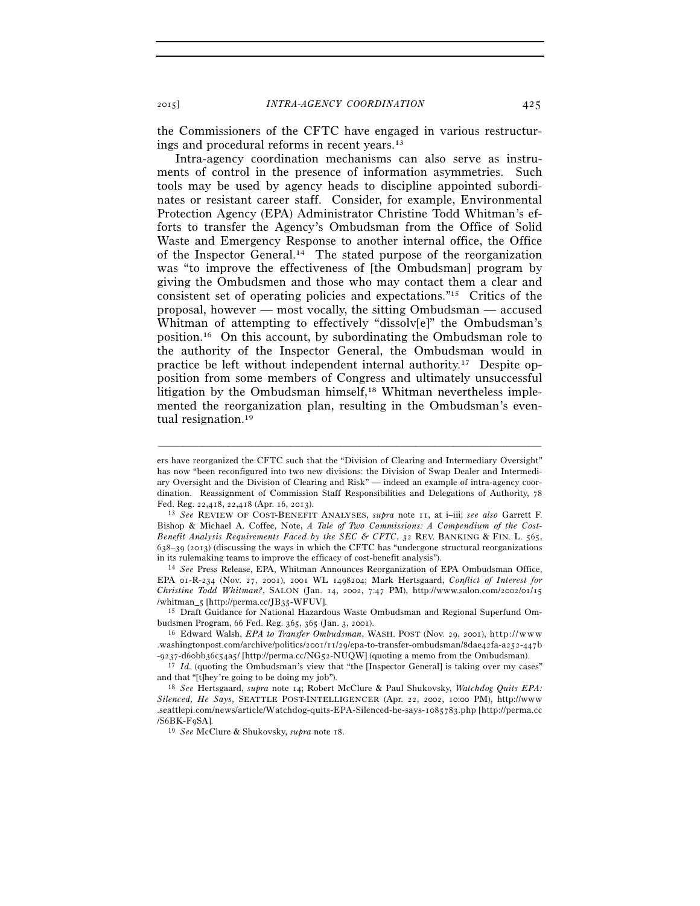the Commissioners of the CFTC have engaged in various restructurings and procedural reforms in recent years.13

Intra-agency coordination mechanisms can also serve as instruments of control in the presence of information asymmetries. Such tools may be used by agency heads to discipline appointed subordinates or resistant career staff. Consider, for example, Environmental Protection Agency (EPA) Administrator Christine Todd Whitman's efforts to transfer the Agency's Ombudsman from the Office of Solid Waste and Emergency Response to another internal office, the Office of the Inspector General.14 The stated purpose of the reorganization was "to improve the effectiveness of [the Ombudsman] program by giving the Ombudsmen and those who may contact them a clear and consistent set of operating policies and expectations."15 Critics of the proposal, however — most vocally, the sitting Ombudsman — accused Whitman of attempting to effectively "dissolv[e]" the Ombudsman's position.16 On this account, by subordinating the Ombudsman role to the authority of the Inspector General, the Ombudsman would in practice be left without independent internal authority.17 Despite opposition from some members of Congress and ultimately unsuccessful litigation by the Ombudsman himself,<sup>18</sup> Whitman nevertheless implemented the reorganization plan, resulting in the Ombudsman's eventual resignation.19

–––––––––––––––––––––––––––––––––––––––––––––––––––––––––––––

EPA 01-R-234 (Nov. 27, 2001), 2001 WL 1498204; Mark Hertsgaard, *Conflict of Interest for*   $Christine\ Todd\ Whitman?,$  SALON (Jan. 14, 2002, 7:47 PM), http://www.salon.com/2002/01/15/whitman\_5 [http://perma.cc/JB35-WFUV].

<sup>15</sup> Draft Guidance for National Hazardous Waste Ombudsman and Regional Superfund Ombudsmen Program, 66 Fed. Reg. 365, 365 (Jan. 3, 2001).<br><sup>16</sup> Edward Walsh, *EPA to Transfer Ombudsman*, WASH. POST (Nov. 29, 2001), http://www

ers have reorganized the CFTC such that the "Division of Clearing and Intermediary Oversight" has now "been reconfigured into two new divisions: the Division of Swap Dealer and Intermediary Oversight and the Division of Clearing and Risk" — indeed an example of intra-agency coordination. Reassignment of Commission Staff Responsibilities and Delegations of Authority, 78 Fed. Reg. 22,418, 22,418 (Apr. 16, 2013).

<sup>13</sup> *See* REVIEW OF COST-BENEFIT ANALYSES, *supra* note 11, at i–iii; *see also* Garrett F. Bishop & Michael A. Coffee, Note, *A Tale of Two Commissions: A Compendium of the Cost-Benefit Analysis Requirements Faced by the SEC & CFTC*, 32 REV. BANKING & FIN. L. 565,  $638-39$  (2013) (discussing the ways in which the CFTC has "undergone structural reorganizations in its rulemaking teams to improve the efficacy of cost-benefit analysis"). 14 *See* Press Release, EPA, Whitman Announces Reorganization of EPA Ombudsman Office,

<sup>.</sup>washingtonpost.com/archive/politics/2001/11/29/epa-to-transfer-ombudsman/8dae42fa-a252-447b

<sup>-9237-</sup>d6obb36c54a5/[http://perma.cc/NG52-NUQW] (quoting a memo from the Ombudsman).<br><sup>17</sup> *Id.* (quoting the Ombudsman's view that "the [Inspector General] is taking over my cases" and that "[t]hey're going to be doing my job"). 18 *See* Hertsgaard, *supra* note 14; Robert McClure & Paul Shukovsky, *Watchdog Quits EPA:* 

*Silenced, He Says*, SEATTLE POST-INTELLIGENCER (Apr. 22, 2002, 10:00 PM), http://www .seattlepi.com/news/article/Watchdog-quits-EPA-Silenced-he-says-1085783.php [http://perma.cc /S6BK-F9SA].

<sup>19</sup> *See* McClure & Shukovsky, *supra* note 18.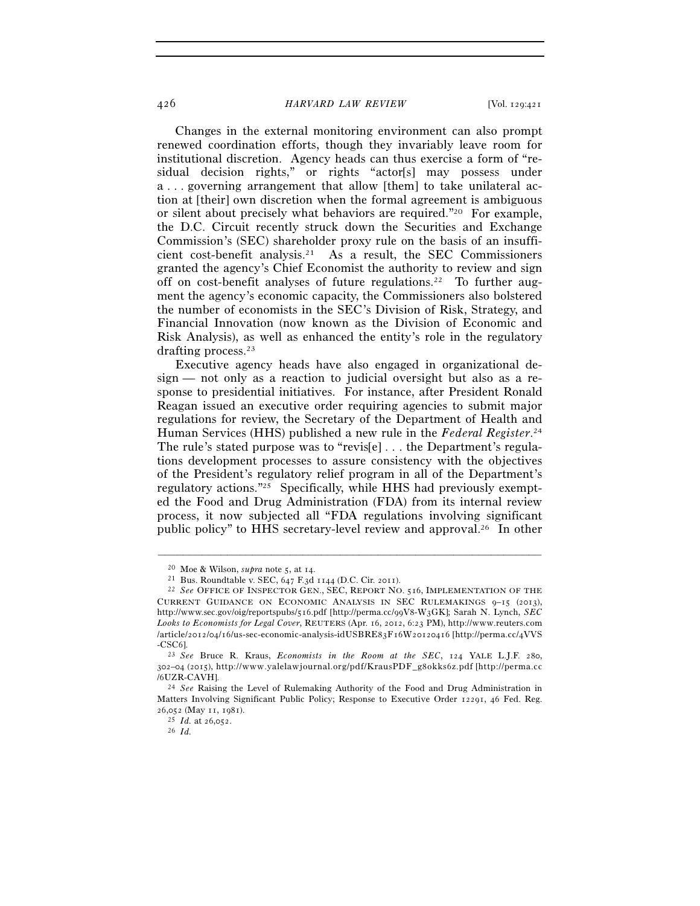Changes in the external monitoring environment can also prompt renewed coordination efforts, though they invariably leave room for institutional discretion. Agency heads can thus exercise a form of "residual decision rights," or rights "actor[s] may possess under a . . . governing arrangement that allow [them] to take unilateral action at [their] own discretion when the formal agreement is ambiguous or silent about precisely what behaviors are required."20 For example, the D.C. Circuit recently struck down the Securities and Exchange Commission's (SEC) shareholder proxy rule on the basis of an insufficient cost-benefit analysis.21 As a result, the SEC Commissioners granted the agency's Chief Economist the authority to review and sign off on cost-benefit analyses of future regulations.22 To further augment the agency's economic capacity, the Commissioners also bolstered the number of economists in the SEC's Division of Risk, Strategy, and Financial Innovation (now known as the Division of Economic and Risk Analysis), as well as enhanced the entity's role in the regulatory drafting process.23

Executive agency heads have also engaged in organizational design — not only as a reaction to judicial oversight but also as a response to presidential initiatives. For instance, after President Ronald Reagan issued an executive order requiring agencies to submit major regulations for review, the Secretary of the Department of Health and Human Services (HHS) published a new rule in the *Federal Register*. 24 The rule's stated purpose was to "revis[e] . . . the Department's regulations development processes to assure consistency with the objectives of the President's regulatory relief program in all of the Department's regulatory actions."25 Specifically, while HHS had previously exempted the Food and Drug Administration (FDA) from its internal review process, it now subjected all "FDA regulations involving significant public policy" to HHS secretary-level review and approval.26 In other

<sup>20</sup> Moe & Wilson, *supra* note 5, at 14. 21 Bus. Roundtable v. SEC, 647 F.3d 1144 (D.C. Cir. 2011). 22 *See* OFFICE OF INSPECTOR GEN., SEC, REPORT NO. <sup>516</sup>, IMPLEMENTATION OF THE CURRENT GUIDANCE ON ECONOMIC ANALYSIS IN SEC RULEMAKINGS 9–15 (2013), http://www.sec.gov/oig/reportspubs/516.pdf [http://perma.cc/99V8-W3GK]; Sarah N. Lynch, *SEC*  Looks to Economists for Legal Cover, REUTERS (Apr. 16, 2012, 6:23 PM), http://www.reuters.com /article/2012/04/16/us-sec-economic-analysis-idUSBRE83F16W20120416 [http://perma.cc/4VVS - CSC6].<br><sup>23</sup> *See* Bruce R. Kraus, *Economists in the Room at the SEC*, 124 YALE L.J.F. 280,

<sup>302-04 (2015),</sup> http://www.yalelawjournal.org/pdf/KrausPDF\_g8okks6z.pdf [http://perma.cc /6UZR-CAVH1

<sup>24</sup> *See* Raising the Level of Rulemaking Authority of the Food and Drug Administration in Matters Involving Significant Public Policy; Response to Executive Order 12291, 46 Fed. Reg. 26.052 (May 11, 1981).

 $\frac{25}{10}$  *Id.* at 26,052.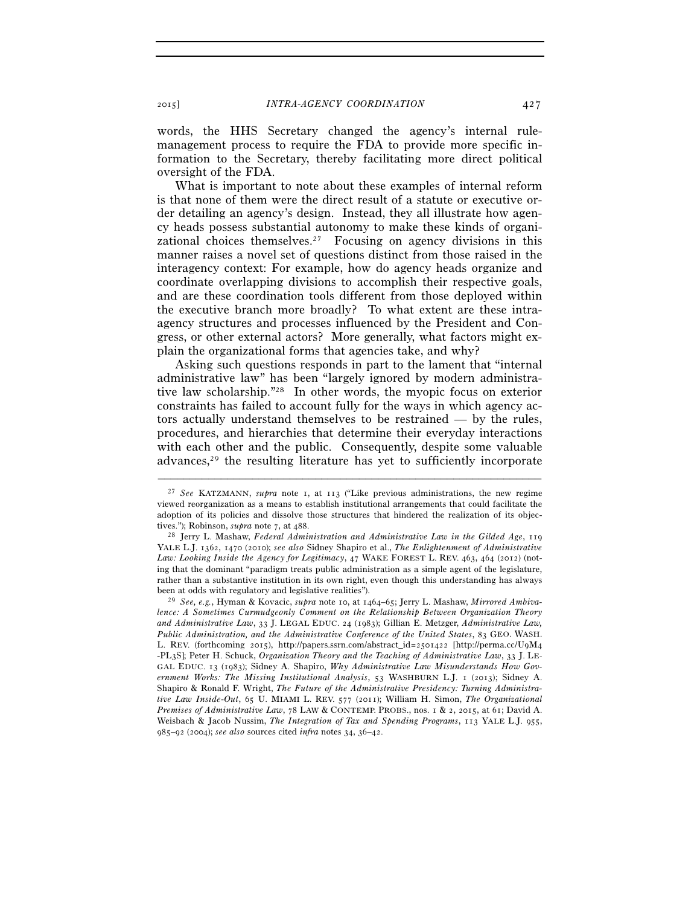words, the HHS Secretary changed the agency's internal rulemanagement process to require the FDA to provide more specific information to the Secretary, thereby facilitating more direct political oversight of the FDA.

What is important to note about these examples of internal reform is that none of them were the direct result of a statute or executive order detailing an agency's design. Instead, they all illustrate how agency heads possess substantial autonomy to make these kinds of organizational choices themselves.<sup>27</sup> Focusing on agency divisions in this manner raises a novel set of questions distinct from those raised in the interagency context: For example, how do agency heads organize and coordinate overlapping divisions to accomplish their respective goals, and are these coordination tools different from those deployed within the executive branch more broadly? To what extent are these intraagency structures and processes influenced by the President and Congress, or other external actors? More generally, what factors might explain the organizational forms that agencies take, and why?

Asking such questions responds in part to the lament that "internal administrative law" has been "largely ignored by modern administrative law scholarship."28 In other words, the myopic focus on exterior constraints has failed to account fully for the ways in which agency actors actually understand themselves to be restrained — by the rules, procedures, and hierarchies that determine their everyday interactions with each other and the public. Consequently, despite some valuable advances,29 the resulting literature has yet to sufficiently incorporate

<sup>27</sup> *See* KATZMANN, *supra* note 1, at 113 ("Like previous administrations, the new regime viewed reorganization as a means to establish institutional arrangements that could facilitate the adoption of its policies and dissolve those structures that hindered the realization of its objectives."); Robinson, *supra* note 7, at 488.<br><sup>28</sup> Jerry L. Mashaw, *Federal Administration and Administrative Law in the Gilded Age*, 119

YALE L.J. 1362, 1470 (2010); *see also* Sidney Shapiro et al., *The Enlightenment of Administrative Law: Looking Inside the Agency for Legitimacy*, 47 WAKE FOREST L. REV. 463, 464 (2012) (noting that the dominant "paradigm treats public administration as a simple agent of the legislature, rather than a substantive institution in its own right, even though this understanding has always been at odds with regulatory and legislative realities"). 29 *See, e.g.*, Hyman & Kovacic, *supra* note 10, at 1464–65; Jerry L. Mashaw, *Mirrored Ambiva-*

*lence: A Sometimes Curmudgeonly Comment on the Relationship Between Organization Theory and Administrative Law*, 33 J. LEGAL EDUC. 24 (1983); Gillian E. Metzger, *Administrative Law, Public Administration, and the Administrative Conference of the United States*, 83 GEO. WASH. L. REV. (forthcoming 2015), http://papers.ssrn.com/abstract\_id=2501422 [http://perma.cc/U9M4 -PL3S]; Peter H. Schuck, *Organization Theory and the Teaching of Administrative Law*, 33 J. LE-GAL EDUC. 13 (1983); Sidney A. Shapiro, *Why Administrative Law Misunderstands How Government Works: The Missing Institutional Analysis*, 53 WASHBURN L.J. 1 (2013); Sidney A. Shapiro & Ronald F. Wright, *The Future of the Administrative Presidency: Turning Administrative Law Inside-Out*, 65 U. MIAMI L. REV. 577 (2011); William H. Simon, *The Organizational Premises of Administrative Law*, 78 LAW & CONTEMP. PROBS., nos. 1 & 2, 2015, at 61; David A. Weisbach & Jacob Nussim, *The Integration of Tax and Spending Programs*, 113 YALE L.J. 955, 985–92 (2004); *see also* sources cited *infra* notes 34, 36–42.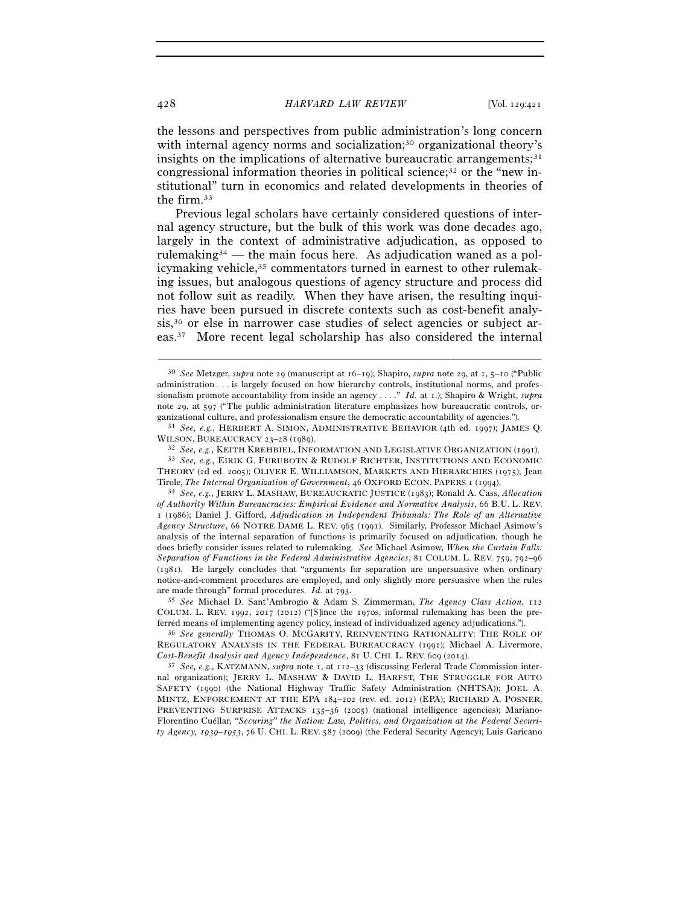the lessons and perspectives from public administration's long concern with internal agency norms and socialization;<sup>30</sup> organizational theory's insights on the implications of alternative bureaucratic arrangements; $31$ congressional information theories in political science;32 or the "new institutional" turn in economics and related developments in theories of the firm.33

Previous legal scholars have certainly considered questions of internal agency structure, but the bulk of this work was done decades ago, largely in the context of administrative adjudication, as opposed to rulemaking34 — the main focus here. As adjudication waned as a policymaking vehicle,35 commentators turned in earnest to other rulemaking issues, but analogous questions of agency structure and process did not follow suit as readily. When they have arisen, the resulting inquiries have been pursued in discrete contexts such as cost-benefit analysis,36 or else in narrower case studies of select agencies or subject areas.37 More recent legal scholarship has also considered the internal

–––––––––––––––––––––––––––––––––––––––––––––––––––––––––––––

ganizational culture, and professionalism ensure the democratic accountability of agencies."). 31 *See, e.g.*, HERBERT A. SIMON, ADMINISTRATIVE BEHAVIOR (4th ed. 1997); JAMES Q.

WILSON, BUREAUCRACY 23–28 (1989).<br><sup>32</sup> *See, e.g.*, KEITH KREHBIEL, INFORMATION AND LEGISLATIVE ORGANIZATION (1991).<br><sup>33</sup> *See, e.g.*, EIRIK G. FURUBOTN & RUDOLF RICHTER, INSTITUTIONS AND ECONOMIC THEORY (2d ed. 2005); OLIVER E. WILLIAMSON, MARKETS AND HIERARCHIES (1975); Jean

Tirole, *The Internal Organization of Government*, 46 OXFORD ECON. PAPERS <sup>1</sup> (1994). 34 *See, e.g.*, JERRY L. MASHAW, BUREAUCRATIC JUSTICE (1983); Ronald A. Cass, *Allocation of Authority Within Bureaucracies: Empirical Evidence and Normative Analysis*, 66 B.U. L. REV. 1 (1986); Daniel J. Gifford, *Adjudication in Independent Tribunals: The Role of an Alternative Agency Structure*, 66 NOTRE DAME L. REV. 965 (1991). Similarly, Professor Michael Asimow's analysis of the internal separation of functions is primarily focused on adjudication, though he does briefly consider issues related to rulemaking. *See* Michael Asimow, *When the Curtain Falls: Separation of Functions in the Federal Administrative Agencies*, 81 COLUM. L. REV. 759, 792–96 (1981). He largely concludes that "arguments for separation are unpersuasive when ordinary notice-and-comment procedures are employed, and only slightly more persuasive when the rules are made through" formal procedures. *Id.* at 793. 35 *See* Michael D. Sant'Ambrogio & Adam S. Zimmerman, *The Agency Class Action*, <sup>112</sup>

COLUM. L. REV. 1992, 2017 (2012) ("[S]ince the 1970s, informal rulemaking has been the preferred means of implementing agency policy, instead of individualized agency adjudications."). 36 *See generally* THOMAS O. MCGARITY, REINVENTING RATIONALITY: THE ROLE OF

REGULATORY ANALYSIS IN THE FEDERAL BUREAUCRACY (1991); Michael A. Livermore, *Cost-Benefit Analysis and Agency Independence*, 81 U. CHI. L. REV. <sup>609</sup> (2014). 37 *See, e.g.*, KATZMANN, *supra* note 1, at 112–33 (discussing Federal Trade Commission inter-

nal organization); JERRY L. MASHAW & DAVID L. HARFST, THE STRUGGLE FOR AUTO SAFETY (1990) (the National Highway Traffic Safety Administration (NHTSA)); JOEL A. MINTZ, ENFORCEMENT AT THE EPA 184–202 (rev. ed. 2012) (EPA); RICHARD A. POSNER, PREVENTING SURPRISE ATTACKS 135–36 (2005) (national intelligence agencies); Mariano-Florentino Cuéllar, *"Securing" the Nation: Law, Politics, and Organization at the Federal Security Agency, 1939–1953*, 76 U. CHI. L. REV. 587 (2009) (the Federal Security Agency); Luis Garicano

<sup>30</sup> *See* Metzger, *supra* note 29 (manuscript at 16–19); Shapiro, *supra* note 29, at 1, 5–10 ("Public administration . . . is largely focused on how hierarchy controls, institutional norms, and professionalism promote accountability from inside an agency . . . ." *Id.* at 1.); Shapiro & Wright, *supra* note 29, at 597 ("The public administration literature emphasizes how bureaucratic controls, or-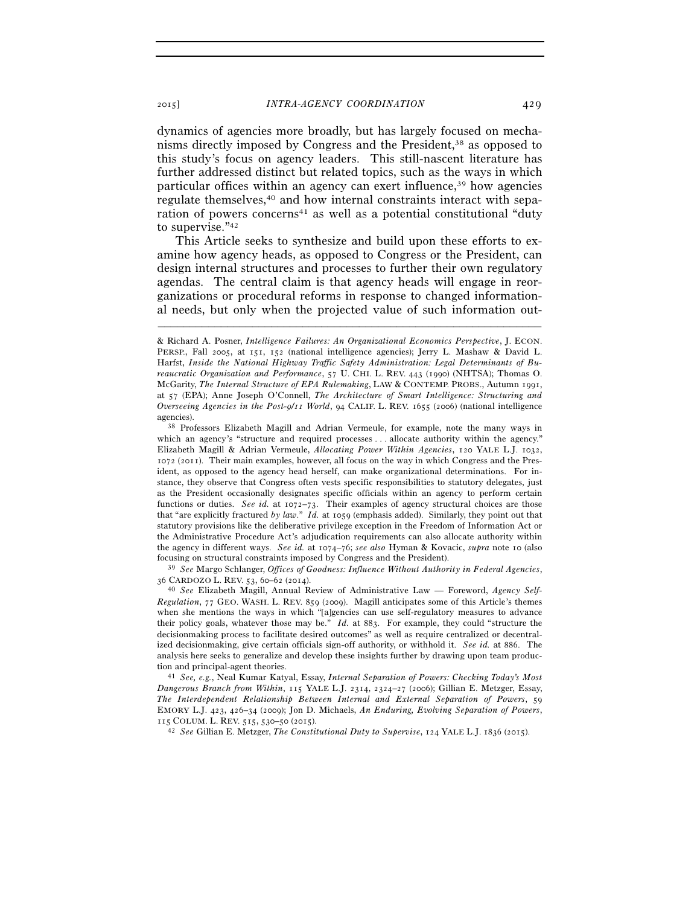dynamics of agencies more broadly, but has largely focused on mechanisms directly imposed by Congress and the President,38 as opposed to this study's focus on agency leaders. This still-nascent literature has further addressed distinct but related topics, such as the ways in which particular offices within an agency can exert influence,39 how agencies regulate themselves,<sup>40</sup> and how internal constraints interact with separation of powers concerns<sup>41</sup> as well as a potential constitutional "duty to supervise."42

This Article seeks to synthesize and build upon these efforts to examine how agency heads, as opposed to Congress or the President, can design internal structures and processes to further their own regulatory agendas. The central claim is that agency heads will engage in reorganizations or procedural reforms in response to changed informational needs, but only when the projected value of such information out-

–––––––––––––––––––––––––––––––––––––––––––––––––––––––––––––

<sup>36</sup> CARDOZO L. REV. 53, 60–62 (2014). 40 *See* Elizabeth Magill, Annual Review of Administrative Law — Foreword, *Agency Self-*

*Regulation*, 77 GEO. WASH. L. REV. 859 (2009). Magill anticipates some of this Article's themes when she mentions the ways in which "[a]gencies can use self-regulatory measures to advance their policy goals, whatever those may be." *Id.* at 883. For example, they could "structure the decisionmaking process to facilitate desired outcomes" as well as require centralized or decentralized decisionmaking, give certain officials sign-off authority, or withhold it. *See id.* at 886. The analysis here seeks to generalize and develop these insights further by drawing upon team production and principal-agent theories. 41 *See, e.g.*, Neal Kumar Katyal, Essay, *Internal Separation of Powers: Checking Today's Most* 

*Dangerous Branch from Within*, 115 YALE L.J. 2314, 2324–27 (2006); Gillian E. Metzger, Essay, *The Interdependent Relationship Between Internal and External Separation of Powers*, 59 EMORY L.J. 423, 426–34 (2009); Jon D. Michaels, *An Enduring, Evolving Separation of Powers*, <sup>115</sup> COLUM. L. REV. 515, 530–50 (2015). 42 *See* Gillian E. Metzger, *The Constitutional Duty to Supervise*, <sup>124</sup> YALE L.J. <sup>1836</sup> (2015).

<sup>&</sup>amp; Richard A. Posner, *Intelligence Failures: An Organizational Economics Perspective*, J. ECON. PERSP., Fall 2005, at 151, 152 (national intelligence agencies); Jerry L. Mashaw & David L. Harfst, *Inside the National Highway Traffic Safety Administration: Legal Determinants of Bureaucratic Organization and Performance*, 57 U. CHI. L. REV. 443 (1990) (NHTSA); Thomas O. McGarity, *The Internal Structure of EPA Rulemaking*, LAW & CONTEMP. PROBS., Autumn 1991, at 57 (EPA); Anne Joseph O'Connell, *The Architecture of Smart Intelligence: Structuring and Overseeing Agencies in the Post-9/11 World*, 94 CALIF. L. REV. 1655 (2006) (national intelligence agencies). 38 Professors Elizabeth Magill and Adrian Vermeule, for example, note the many ways in

which an agency's "structure and required processes . . . allocate authority within the agency." Elizabeth Magill & Adrian Vermeule, *Allocating Power Within Agencies*, 120 YALE L.J. 1032, 1072 (2011). Their main examples, however, all focus on the way in which Congress and the President, as opposed to the agency head herself, can make organizational determinations. For instance, they observe that Congress often vests specific responsibilities to statutory delegates, just as the President occasionally designates specific officials within an agency to perform certain functions or duties. *See id.* at 1072–73. Their examples of agency structural choices are those that "are explicitly fractured *by law*." *Id.* at 1059 (emphasis added). Similarly, they point out that statutory provisions like the deliberative privilege exception in the Freedom of Information Act or the Administrative Procedure Act's adjudication requirements can also allocate authority within the agency in different ways. *See id.* at 1074–76; *see also* Hyman & Kovacic, *supra* note 10 (also focusing on structural constraints imposed by Congress and the President). 39 *See* Margo Schlanger, *Offices of Goodness: Influence Without Authority in Federal Agencies*,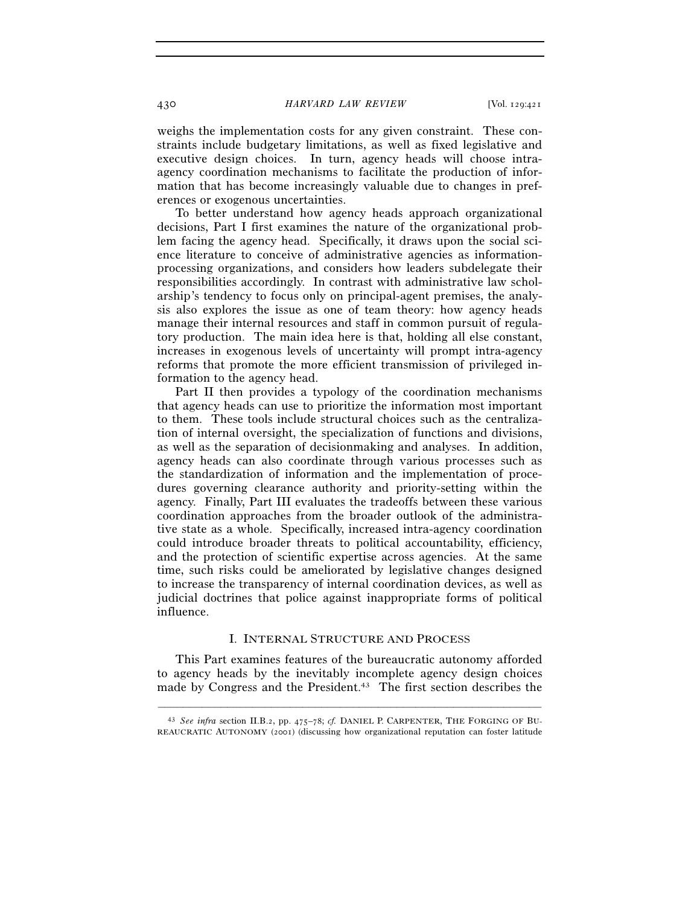weighs the implementation costs for any given constraint. These constraints include budgetary limitations, as well as fixed legislative and executive design choices. In turn, agency heads will choose intraagency coordination mechanisms to facilitate the production of information that has become increasingly valuable due to changes in preferences or exogenous uncertainties.

To better understand how agency heads approach organizational decisions, Part I first examines the nature of the organizational problem facing the agency head. Specifically, it draws upon the social science literature to conceive of administrative agencies as informationprocessing organizations, and considers how leaders subdelegate their responsibilities accordingly. In contrast with administrative law scholarship's tendency to focus only on principal-agent premises, the analysis also explores the issue as one of team theory: how agency heads manage their internal resources and staff in common pursuit of regulatory production. The main idea here is that, holding all else constant, increases in exogenous levels of uncertainty will prompt intra-agency reforms that promote the more efficient transmission of privileged information to the agency head.

Part II then provides a typology of the coordination mechanisms that agency heads can use to prioritize the information most important to them. These tools include structural choices such as the centralization of internal oversight, the specialization of functions and divisions, as well as the separation of decisionmaking and analyses. In addition, agency heads can also coordinate through various processes such as the standardization of information and the implementation of procedures governing clearance authority and priority-setting within the agency. Finally, Part III evaluates the tradeoffs between these various coordination approaches from the broader outlook of the administrative state as a whole. Specifically, increased intra-agency coordination could introduce broader threats to political accountability, efficiency, and the protection of scientific expertise across agencies. At the same time, such risks could be ameliorated by legislative changes designed to increase the transparency of internal coordination devices, as well as judicial doctrines that police against inappropriate forms of political influence.

#### I. INTERNAL STRUCTURE AND PROCESS

This Part examines features of the bureaucratic autonomy afforded to agency heads by the inevitably incomplete agency design choices made by Congress and the President.<sup>43</sup> The first section describes the

<sup>–––––––––––––––––––––––––––––––––––––––––––––––––––––––––––––</sup> 43 *See infra* section II.B.2, pp. 475–78; *cf.* DANIEL P. CARPENTER, THE FORGING OF BU-REAUCRATIC AUTONOMY (2001) (discussing how organizational reputation can foster latitude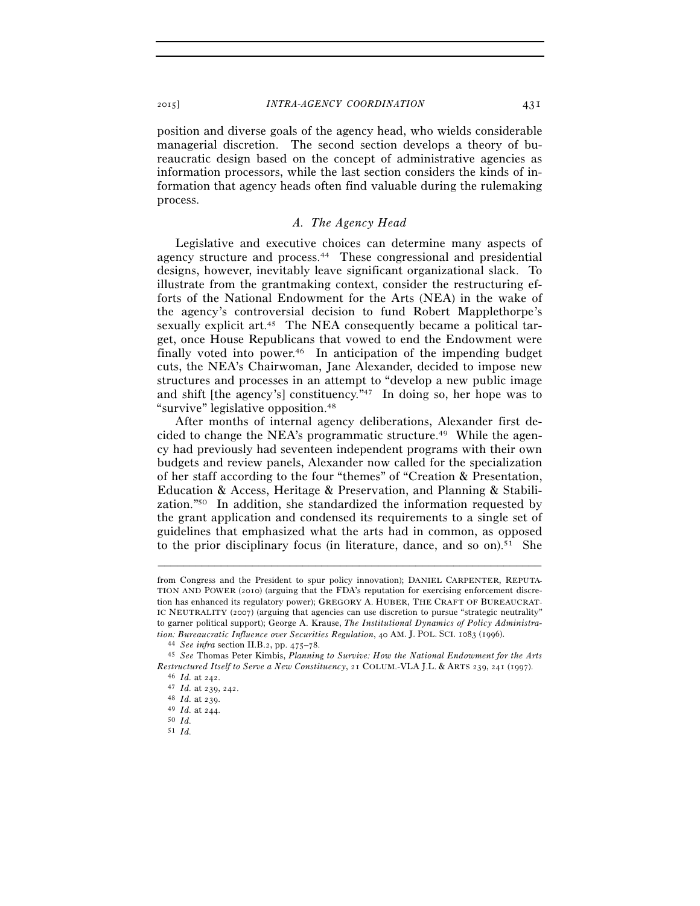position and diverse goals of the agency head, who wields considerable managerial discretion. The second section develops a theory of bureaucratic design based on the concept of administrative agencies as information processors, while the last section considers the kinds of information that agency heads often find valuable during the rulemaking process.

### *A. The Agency Head*

Legislative and executive choices can determine many aspects of agency structure and process.44 These congressional and presidential designs, however, inevitably leave significant organizational slack. To illustrate from the grantmaking context, consider the restructuring efforts of the National Endowment for the Arts (NEA) in the wake of the agency's controversial decision to fund Robert Mapplethorpe's sexually explicit art.<sup>45</sup> The NEA consequently became a political target, once House Republicans that vowed to end the Endowment were finally voted into power.<sup>46</sup> In anticipation of the impending budget cuts, the NEA's Chairwoman, Jane Alexander, decided to impose new structures and processes in an attempt to "develop a new public image and shift [the agency's] constituency."47 In doing so, her hope was to "survive" legislative opposition.48

After months of internal agency deliberations, Alexander first decided to change the NEA's programmatic structure.<sup>49</sup> While the agency had previously had seventeen independent programs with their own budgets and review panels, Alexander now called for the specialization of her staff according to the four "themes" of "Creation & Presentation, Education & Access, Heritage & Preservation, and Planning & Stabilization."50 In addition, she standardized the information requested by the grant application and condensed its requirements to a single set of guidelines that emphasized what the arts had in common, as opposed to the prior disciplinary focus (in literature, dance, and so on).<sup>51</sup> She

–––––––––––––––––––––––––––––––––––––––––––––––––––––––––––––

51 *Id.*

from Congress and the President to spur policy innovation); DANIEL CARPENTER, REPUTA-TION AND POWER (2010) (arguing that the FDA's reputation for exercising enforcement discretion has enhanced its regulatory power); GREGORY A. HUBER, THE CRAFT OF BUREAUCRAT-IC NEUTRALITY (2007) (arguing that agencies can use discretion to pursue "strategic neutrality" to garner political support); George A. Krause, *The Institutional Dynamics of Policy Administra*tion: Bureaucratic Influence over Securities Regulation, 40 AM. J. POL. SCI. 1083 (1996).<br><sup>44</sup> See infra section II.B.2, pp. 475–78.<br><sup>45</sup> See Thomas Peter Kimbis, Planning to Survive: How the National Endowment for the Art

*Restructured Itself to Serve a New Constituency*, 21 COLUM.-VLA J.L. & ARTS <sup>239</sup>, 241 (1997). 46 *Id.* at 242. 47 *Id.* at 239, 242. 48 *Id.* at 239. 49 *Id.* at 244. 50 *Id.*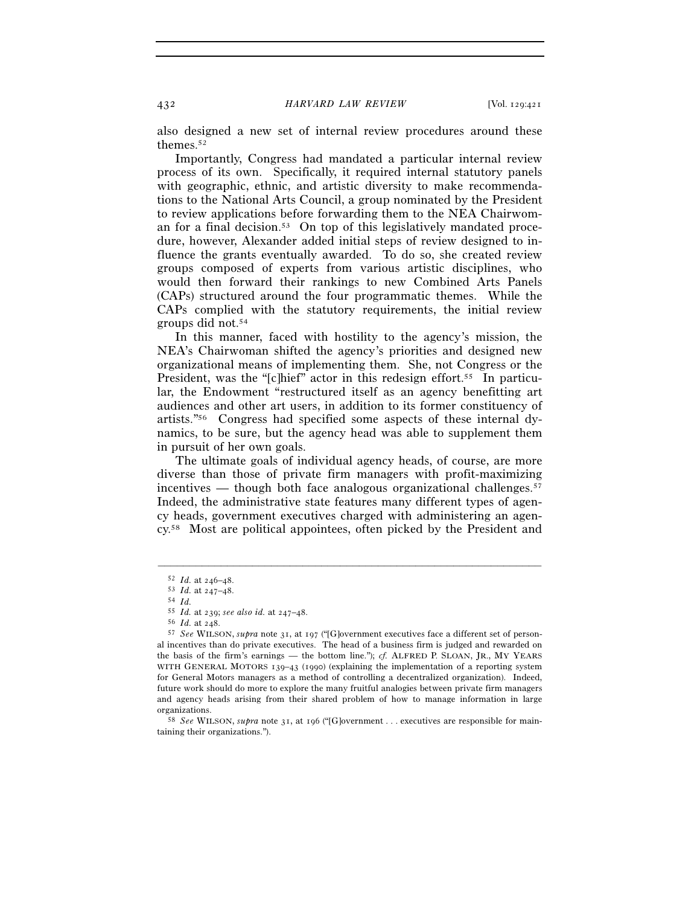also designed a new set of internal review procedures around these themes.52

Importantly, Congress had mandated a particular internal review process of its own. Specifically, it required internal statutory panels with geographic, ethnic, and artistic diversity to make recommendations to the National Arts Council, a group nominated by the President to review applications before forwarding them to the NEA Chairwoman for a final decision.53 On top of this legislatively mandated procedure, however, Alexander added initial steps of review designed to influence the grants eventually awarded. To do so, she created review groups composed of experts from various artistic disciplines, who would then forward their rankings to new Combined Arts Panels (CAPs) structured around the four programmatic themes. While the CAPs complied with the statutory requirements, the initial review groups did not.54

In this manner, faced with hostility to the agency's mission, the NEA's Chairwoman shifted the agency's priorities and designed new organizational means of implementing them. She, not Congress or the President, was the "[c]hief" actor in this redesign effort.<sup>55</sup> In particular, the Endowment "restructured itself as an agency benefitting art audiences and other art users, in addition to its former constituency of artists."56 Congress had specified some aspects of these internal dynamics, to be sure, but the agency head was able to supplement them in pursuit of her own goals.

The ultimate goals of individual agency heads, of course, are more diverse than those of private firm managers with profit-maximizing incentives — though both face analogous organizational challenges.<sup>57</sup> Indeed, the administrative state features many different types of agency heads, government executives charged with administering an agency.58 Most are political appointees, often picked by the President and

<sup>52</sup> *Id.* at 246–48. 53 *Id.* at 247–48. 54 *Id.*

<sup>55</sup> *Id.* at 239; *see also id.* at 247–48. 56 *Id.* at 248. 57 *See* WILSON, *supra* note 31, at 197 ("[G]overnment executives face a different set of personal incentives than do private executives. The head of a business firm is judged and rewarded on the basis of the firm's earnings — the bottom line."); *cf.* ALFRED P. SLOAN, JR., MY YEARS WITH GENERAL MOTORS 139–43 (1990) (explaining the implementation of a reporting system for General Motors managers as a method of controlling a decentralized organization). Indeed, future work should do more to explore the many fruitful analogies between private firm managers and agency heads arising from their shared problem of how to manage information in large

<sup>&</sup>lt;sup>58</sup> *See* WILSON, *supra* note 31, at 196 ("[G]overnment . . . executives are responsible for maintaining their organizations.").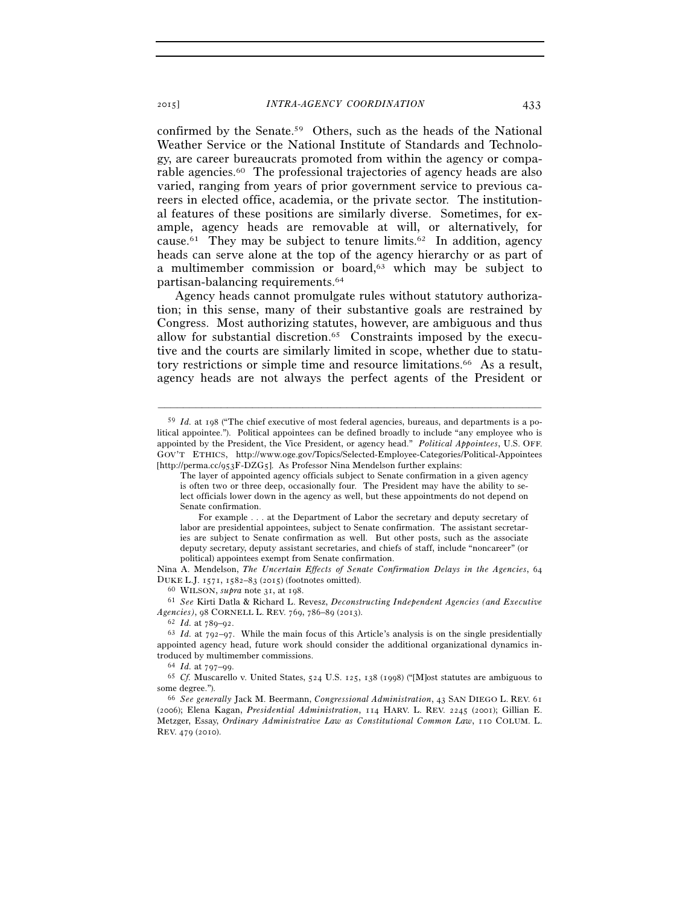confirmed by the Senate.59 Others, such as the heads of the National Weather Service or the National Institute of Standards and Technology, are career bureaucrats promoted from within the agency or comparable agencies.60 The professional trajectories of agency heads are also varied, ranging from years of prior government service to previous careers in elected office, academia, or the private sector. The institutional features of these positions are similarly diverse. Sometimes, for example, agency heads are removable at will, or alternatively, for cause.<sup>61</sup> They may be subject to tenure limits.<sup>62</sup> In addition, agency heads can serve alone at the top of the agency hierarchy or as part of a multimember commission or board,<sup>63</sup> which may be subject to partisan-balancing requirements.64

Agency heads cannot promulgate rules without statutory authorization; in this sense, many of their substantive goals are restrained by Congress. Most authorizing statutes, however, are ambiguous and thus allow for substantial discretion.65 Constraints imposed by the executive and the courts are similarly limited in scope, whether due to statutory restrictions or simple time and resource limitations.<sup>66</sup> As a result, agency heads are not always the perfect agents of the President or

–––––––––––––––––––––––––––––––––––––––––––––––––––––––––––––

Nina A. Mendelson, *The Uncertain Effects of Senate Confirmation Delays in the Agencies*, 64 DUKE L.J. 1571, 1582–83 (2015) (footnotes omitted). 60 WILSON, *supra* note 31, at 198.

<sup>59</sup> *Id.* at 198 ("The chief executive of most federal agencies, bureaus, and departments is a political appointee."). Political appointees can be defined broadly to include "any employee who is appointed by the President, the Vice President, or agency head." *Political Appointees*, U.S. OFF. GOV'T ETHICS, http://www.oge.gov/Topics/Selected-Employee-Categories/Political-Appointees [http://perma.cc/953F-DZG5]. As Professor Nina Mendelson further explains:

The layer of appointed agency officials subject to Senate confirmation in a given agency is often two or three deep, occasionally four. The President may have the ability to select officials lower down in the agency as well, but these appointments do not depend on Senate confirmation.

For example . . . at the Department of Labor the secretary and deputy secretary of labor are presidential appointees, subject to Senate confirmation. The assistant secretaries are subject to Senate confirmation as well. But other posts, such as the associate deputy secretary, deputy assistant secretaries, and chiefs of staff, include "noncareer" (or political) appointees exempt from Senate confirmation.

<sup>61</sup> *See* Kirti Datla & Richard L. Revesz, *Deconstructing Independent Agencies (and Executive Agencies*), 98 CORNELL L. REV. 769, 786–89 (2013).<br><sup>62</sup> *Id.* at 789–92.<br><sup>63</sup> *Id.* at 792–97. While the main focus of this Article's analysis is on the single presidentially

appointed agency head, future work should consider the additional organizational dynamics introduced by multimember commissions.<br><sup>64</sup> *Id.* at 797–99.<br><sup>65</sup> *Cf.* Muscarello v. United States, 524 U.S. 125, 138 (1998) ("[M]ost statutes are ambiguous to

some degree."). 66 *See generally* Jack M. Beermann, *Congressional Administration*, 43 SAN DIEGO L. REV. <sup>61</sup>

<sup>(</sup>2006); Elena Kagan, *Presidential Administration*, 114 HARV. L. REV. 2245 (2001); Gillian E. Metzger, Essay, *Ordinary Administrative Law as Constitutional Common Law*, 110 COLUM. L. REV. 479 (2010).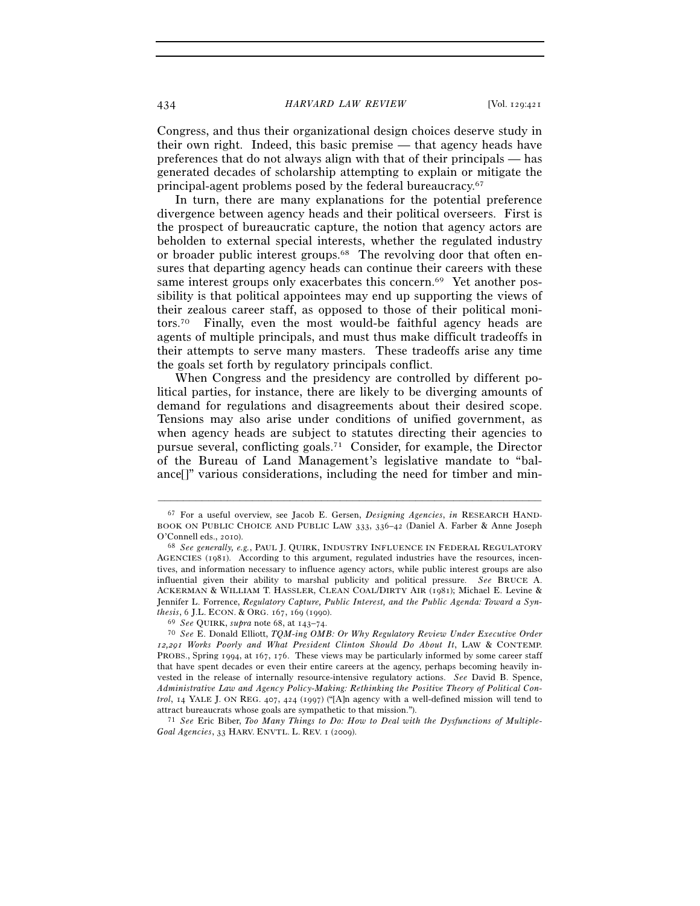Congress, and thus their organizational design choices deserve study in their own right. Indeed, this basic premise — that agency heads have preferences that do not always align with that of their principals — has generated decades of scholarship attempting to explain or mitigate the principal-agent problems posed by the federal bureaucracy.67

In turn, there are many explanations for the potential preference divergence between agency heads and their political overseers. First is the prospect of bureaucratic capture, the notion that agency actors are beholden to external special interests, whether the regulated industry or broader public interest groups.68 The revolving door that often ensures that departing agency heads can continue their careers with these same interest groups only exacerbates this concern.<sup>69</sup> Yet another possibility is that political appointees may end up supporting the views of their zealous career staff, as opposed to those of their political monitors.70 Finally, even the most would-be faithful agency heads are agents of multiple principals, and must thus make difficult tradeoffs in their attempts to serve many masters. These tradeoffs arise any time the goals set forth by regulatory principals conflict.

When Congress and the presidency are controlled by different political parties, for instance, there are likely to be diverging amounts of demand for regulations and disagreements about their desired scope. Tensions may also arise under conditions of unified government, as when agency heads are subject to statutes directing their agencies to pursue several, conflicting goals.71 Consider, for example, the Director of the Bureau of Land Management's legislative mandate to "balance[]" various considerations, including the need for timber and min-

–––––––––––––––––––––––––––––––––––––––––––––––––––––––––––––

<sup>71</sup> See Eric Biber, *Too Many Things to Do: How to Deal with the Dysfunctions of Multiple-Goal Agencies*, 33 HARV. ENVTL. L. REV. 1 (2009).

<sup>67</sup> For a useful overview, see Jacob E. Gersen, *Designing Agencies*, *in* RESEARCH HAND-BOOK ON PUBLIC CHOICE AND PUBLIC LAW 333, 336–42 (Daniel A. Farber & Anne Joseph

O'Connell eds., 2010). 68 *See generally, e.g.*, PAUL J. QUIRK, INDUSTRY INFLUENCE IN FEDERAL REGULATORY AGENCIES (1981). According to this argument, regulated industries have the resources, incentives, and information necessary to influence agency actors, while public interest groups are also influential given their ability to marshal publicity and political pressure. *See* BRUCE A. ACKERMAN & WILLIAM T. HASSLER, CLEAN COAL/DIRTY AIR (1981); Michael E. Levine & Jennifer L. Forrence, *Regulatory Capture, Public Interest, and the Public Agenda: Toward a Synthesis*, 6 J.L. ECON. & ORG. 167, 169 (1990).<br><sup>69</sup> *See* QUIRK, *supra* note 68, at 143–74.<br><sup>70</sup> *See* E. Donald Elliott, *TQM-ing OMB: Or Why Regulatory Review Under Executive Order* 

*<sup>12</sup>,291 Works Poorly and What President Clinton Should Do About It*, LAW & CONTEMP. PROBS., Spring 1994, at 167, 176. These views may be particularly informed by some career staff that have spent decades or even their entire careers at the agency, perhaps becoming heavily invested in the release of internally resource-intensive regulatory actions. *See* David B. Spence, *Administrative Law and Agency Policy-Making: Rethinking the Positive Theory of Political Control*, 14 YALE J. ON REG. 407, 424 (1997) ("[A]n agency with a well-defined mission will tend to attract bureaucrats whose goals are sympathetic to that mission.").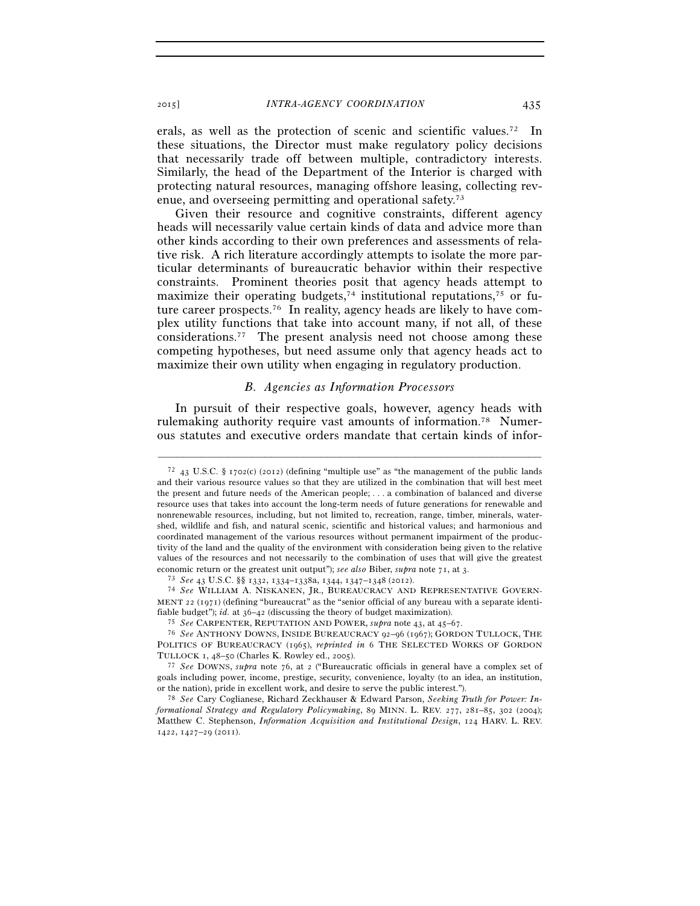erals, as well as the protection of scenic and scientific values.72 In these situations, the Director must make regulatory policy decisions that necessarily trade off between multiple, contradictory interests. Similarly, the head of the Department of the Interior is charged with protecting natural resources, managing offshore leasing, collecting revenue, and overseeing permitting and operational safety.73

Given their resource and cognitive constraints, different agency heads will necessarily value certain kinds of data and advice more than other kinds according to their own preferences and assessments of relative risk. A rich literature accordingly attempts to isolate the more particular determinants of bureaucratic behavior within their respective constraints. Prominent theories posit that agency heads attempt to maximize their operating budgets,<sup>74</sup> institutional reputations,<sup>75</sup> or future career prospects.76 In reality, agency heads are likely to have complex utility functions that take into account many, if not all, of these considerations.77 The present analysis need not choose among these competing hypotheses, but need assume only that agency heads act to maximize their own utility when engaging in regulatory production.

#### *B. Agencies as Information Processors*

In pursuit of their respective goals, however, agency heads with rulemaking authority require vast amounts of information.<sup>78</sup> Numerous statutes and executive orders mandate that certain kinds of infor-

 $72$  43 U.S.C. § 1702(c) (2012) (defining "multiple use" as "the management of the public lands and their various resource values so that they are utilized in the combination that will best meet the present and future needs of the American people; . . . a combination of balanced and diverse resource uses that takes into account the long-term needs of future generations for renewable and nonrenewable resources, including, but not limited to, recreation, range, timber, minerals, watershed, wildlife and fish, and natural scenic, scientific and historical values; and harmonious and coordinated management of the various resources without permanent impairment of the productivity of the land and the quality of the environment with consideration being given to the relative values of the resources and not necessarily to the combination of uses that will give the greatest economic return or the greatest unit output"); *see also* Biber, *supra* note 71, at 3.<br><sup>73</sup> See 43 U.S.C.  $\S$  1332, 1334–1338a, 1344, 1347–1348 (2012).<br><sup>74</sup> See WILLIAM A. NISKANEN, JR., BUREAUCRACY AND REPRESENTATIVE GO

MENT 22 (1971) (defining "bureaucrat" as the "senior official of any bureau with a separate identifiable budget"); *id.* at  $36-42$  (discussing the theory of budget maximization).<br><sup>75</sup> See CARPENTER, REPUTATION AND POWER, *supra* note 43, at 45–67.<br><sup>76</sup> See ANTHONY DOWNS, INSIDE BUREAUCRACY 92–96 (1967); GORDON TULLOC

POLITICS OF BUREAUCRACY (1965), *reprinted in* 6 THE SELECTED WORKS OF GORDON TULLOCK <sup>1</sup>, 48–50 (Charles K. Rowley ed., 2005). 77 *See* DOWNS, *supra* note 76, at 2 ("Bureaucratic officials in general have a complex set of

goals including power, income, prestige, security, convenience, loyalty (to an idea, an institution, or the nation), pride in excellent work, and desire to serve the public interest."). 78 *See* Cary Coglianese, Richard Zeckhauser & Edward Parson, *Seeking Truth for Power: In-*

*formational Strategy and Regulatory Policymaking*, 89 MINN. L. REV. 277, 281–85, 302 (2004); Matthew C. Stephenson, *Information Acquisition and Institutional Design*, 124 HARV. L. REV. 1422, 1427–29 (2011).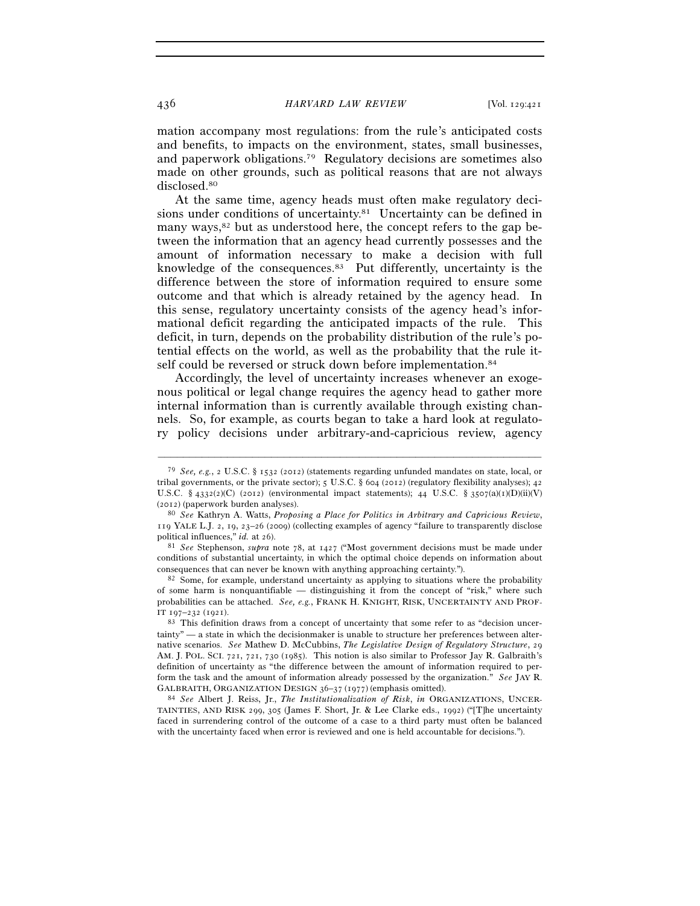mation accompany most regulations: from the rule's anticipated costs and benefits, to impacts on the environment, states, small businesses, and paperwork obligations.79 Regulatory decisions are sometimes also made on other grounds, such as political reasons that are not always disclosed.80

At the same time, agency heads must often make regulatory decisions under conditions of uncertainty.<sup>81</sup> Uncertainty can be defined in many ways, $82$  but as understood here, the concept refers to the gap between the information that an agency head currently possesses and the amount of information necessary to make a decision with full knowledge of the consequences.83 Put differently, uncertainty is the difference between the store of information required to ensure some outcome and that which is already retained by the agency head. In this sense, regulatory uncertainty consists of the agency head's informational deficit regarding the anticipated impacts of the rule. This deficit, in turn, depends on the probability distribution of the rule's potential effects on the world, as well as the probability that the rule itself could be reversed or struck down before implementation.<sup>84</sup>

Accordingly, the level of uncertainty increases whenever an exogenous political or legal change requires the agency head to gather more internal information than is currently available through existing channels. So, for example, as courts began to take a hard look at regulatory policy decisions under arbitrary-and-capricious review, agency

<sup>79</sup> *See, e.g.*, 2 U.S.C. § 1532 (2012) (statements regarding unfunded mandates on state, local, or tribal governments, or the private sector); 5 U.S.C. § 604 (2012) (regulatory flexibility analyses); 42 U.S.C. § 4332(2)(C) (2012) (environmental impact statements); 44 U.S.C. § 3507(a)(1)(D)(ii)(V) (2012) (paperwork burden analyses). 80 *See* Kathryn A. Watts, *Proposing a Place for Politics in Arbitrary and Capricious Review*,

<sup>119</sup> YALE L.J. 2, 19, 23–26 (2009) (collecting examples of agency "failure to transparently disclose political influences," *id.* at 26).<br><sup>81</sup> *See* Stephenson, *supra* note 78, at 1427 ("Most government decisions must be made under

conditions of substantial uncertainty, in which the optimal choice depends on information about consequences that can never be known with anything approaching certainty.").<br><sup>82</sup> Some, for example, understand uncertainty as applying to situations where the probability

of some harm is nonquantifiable — distinguishing it from the concept of "risk," where such probabilities can be attached. *See, e.g.*, FRANK H. KNIGHT, RISK, UNCERTAINTY AND PROF-IT <sup>197</sup>–232 (1921). 83 This definition draws from a concept of uncertainty that some refer to as "decision uncer-

tainty" — a state in which the decisionmaker is unable to structure her preferences between alternative scenarios. *See* Mathew D. McCubbins, *The Legislative Design of Regulatory Structure*, 29 AM. J. POL. SCI. 721, 721, 730 (1985). This notion is also similar to Professor Jay R. Galbraith's definition of uncertainty as "the difference between the amount of information required to perform the task and the amount of information already possessed by the organization." *See* JAY R. GALBRAITH, ORGANIZATION DESIGN <sup>36</sup>–<sup>37</sup> (1977) (emphasis omitted). 84 *See* Albert J. Reiss, Jr., *The Institutionalization of Risk*, *in* ORGANIZATIONS, UNCER-

TAINTIES, AND RISK 299, 305 (James F. Short, Jr. & Lee Clarke eds., 1992) ("[T]he uncertainty faced in surrendering control of the outcome of a case to a third party must often be balanced with the uncertainty faced when error is reviewed and one is held accountable for decisions.").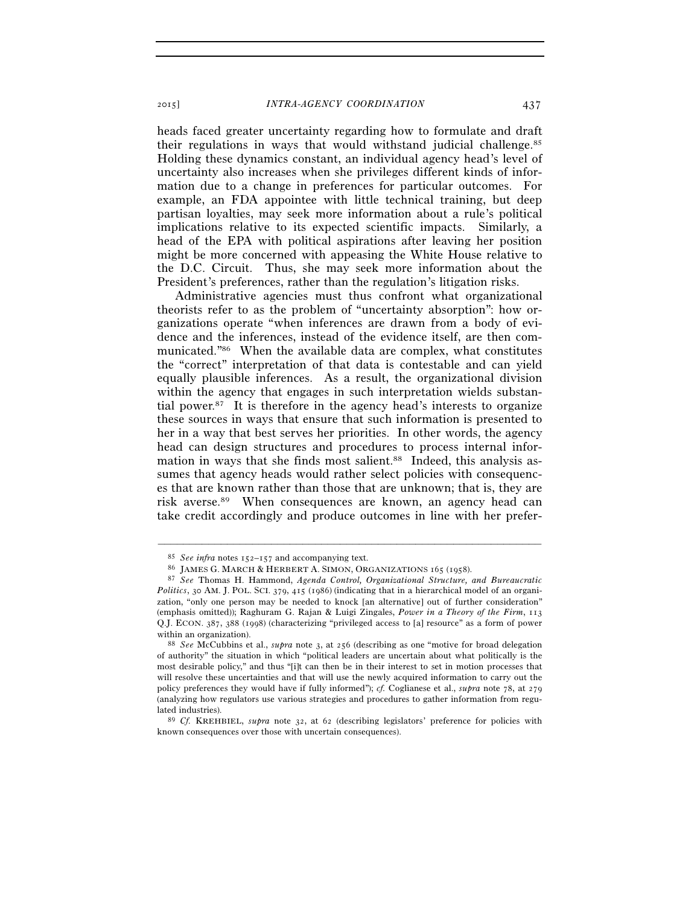heads faced greater uncertainty regarding how to formulate and draft their regulations in ways that would withstand judicial challenge.85 Holding these dynamics constant, an individual agency head's level of uncertainty also increases when she privileges different kinds of information due to a change in preferences for particular outcomes. For example, an FDA appointee with little technical training, but deep partisan loyalties, may seek more information about a rule's political implications relative to its expected scientific impacts. Similarly, a head of the EPA with political aspirations after leaving her position might be more concerned with appeasing the White House relative to the D.C. Circuit. Thus, she may seek more information about the President's preferences, rather than the regulation's litigation risks.

Administrative agencies must thus confront what organizational theorists refer to as the problem of "uncertainty absorption": how organizations operate "when inferences are drawn from a body of evidence and the inferences, instead of the evidence itself, are then communicated."86 When the available data are complex, what constitutes the "correct" interpretation of that data is contestable and can yield equally plausible inferences. As a result, the organizational division within the agency that engages in such interpretation wields substantial power.<sup>87</sup> It is therefore in the agency head's interests to organize these sources in ways that ensure that such information is presented to her in a way that best serves her priorities. In other words, the agency head can design structures and procedures to process internal information in ways that she finds most salient.<sup>88</sup> Indeed, this analysis assumes that agency heads would rather select policies with consequences that are known rather than those that are unknown; that is, they are risk averse.89 When consequences are known, an agency head can take credit accordingly and produce outcomes in line with her prefer-

<sup>%</sup> See infra notes  $152-157$  and accompanying text.<br>
65 JAMES G. MARCH & HERBERT A. SIMON, ORGANIZATIONS 165 (1958).<br>
87 See Thomas H. Hammond, Agenda Control, Organizational Structure, and Bureaucratic *Politics*, 30 AM. J. POL. SCI. 379, 415 (1986) (indicating that in a hierarchical model of an organization, "only one person may be needed to knock [an alternative] out of further consideration" (emphasis omitted)); Raghuram G. Rajan & Luigi Zingales, *Power in a Theory of the Firm*, 113 Q.J. ECON. 387, 388 (1998) (characterizing "privileged access to [a] resource" as a form of power within an organization).<br><sup>88</sup> *See* McCubbins et al., *supra* note 3, at 256 (describing as one "motive for broad delegation"

of authority" the situation in which "political leaders are uncertain about what politically is the most desirable policy," and thus "[i]t can then be in their interest to set in motion processes that will resolve these uncertainties and that will use the newly acquired information to carry out the policy preferences they would have if fully informed"); *cf.* Coglianese et al., *supra* note 78, at 279 (analyzing how regulators use various strategies and procedures to gather information from regu-

lated industries). 89 *Cf.* KREHBIEL, *supra* note 32, at 62 (describing legislators' preference for policies with known consequences over those with uncertain consequences).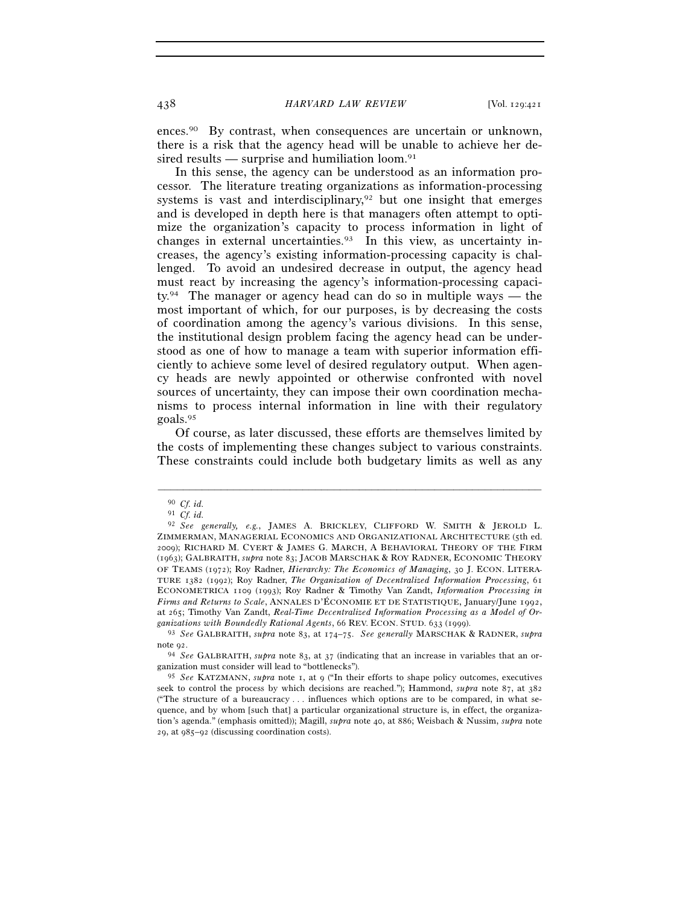ences.90 By contrast, when consequences are uncertain or unknown, there is a risk that the agency head will be unable to achieve her desired results — surprise and humiliation loom. $91$ 

In this sense, the agency can be understood as an information processor. The literature treating organizations as information-processing systems is vast and interdisciplinary,<sup>92</sup> but one insight that emerges and is developed in depth here is that managers often attempt to optimize the organization's capacity to process information in light of changes in external uncertainties.93 In this view, as uncertainty increases, the agency's existing information-processing capacity is challenged. To avoid an undesired decrease in output, the agency head must react by increasing the agency's information-processing capacity.94 The manager or agency head can do so in multiple ways — the most important of which, for our purposes, is by decreasing the costs of coordination among the agency's various divisions. In this sense, the institutional design problem facing the agency head can be understood as one of how to manage a team with superior information efficiently to achieve some level of desired regulatory output. When agency heads are newly appointed or otherwise confronted with novel sources of uncertainty, they can impose their own coordination mechanisms to process internal information in line with their regulatory goals.95

Of course, as later discussed, these efforts are themselves limited by the costs of implementing these changes subject to various constraints. These constraints could include both budgetary limits as well as any

<sup>90</sup> *Cf. id.* 

<sup>91</sup> *Cf. id.* 

<sup>92</sup> *See generally, e.g.*, JAMES A. BRICKLEY, CLIFFORD W. SMITH & JEROLD L. ZIMMERMAN, MANAGERIAL ECONOMICS AND ORGANIZATIONAL ARCHITECTURE (5th ed. 2009); RICHARD M. CYERT & JAMES G. MARCH, A BEHAVIORAL THEORY OF THE FIRM (1963); GALBRAITH, *supra* note 83; JACOB MARSCHAK & ROY RADNER, ECONOMIC THEORY OF TEAMS (1972); Roy Radner, *Hierarchy: The Economics of Managing*, 30 J. ECON. LITERA-TURE 1382 (1992); Roy Radner, *The Organization of Decentralized Information Processing*, 61 ECONOMETRICA 1109 (1993); Roy Radner & Timothy Van Zandt, *Information Processing in Firms and Returns to Scale*, ANNALES D'ÉCONOMIE ET DE STATISTIQUE, January/June 1992, at 265; Timothy Van Zandt, *Real-Time Decentralized Information Processing as a Model of Organizations with Boundedly Rational Agents*, 66 REV. ECON. STUD. 633 (1999). 93 *See* GALBRAITH, *supra* note 83, at 174–75. *See generally* MARSCHAK & RADNER, *supra*

note 92. 94 *See* GALBRAITH, *supra* note 83, at 37 (indicating that an increase in variables that an or-

ganization must consider will lead to "bottlenecks").

<sup>95</sup> *See* KATZMANN, *supra* note 1, at 9 ("In their efforts to shape policy outcomes, executives seek to control the process by which decisions are reached."); Hammond, *supra* note 87, at 382 ("The structure of a bureaucracy . . . influences which options are to be compared, in what sequence, and by whom [such that] a particular organizational structure is, in effect, the organization's agenda." (emphasis omitted)); Magill, *supra* note 40, at 886; Weisbach & Nussim, *supra* note 29, at 985–92 (discussing coordination costs).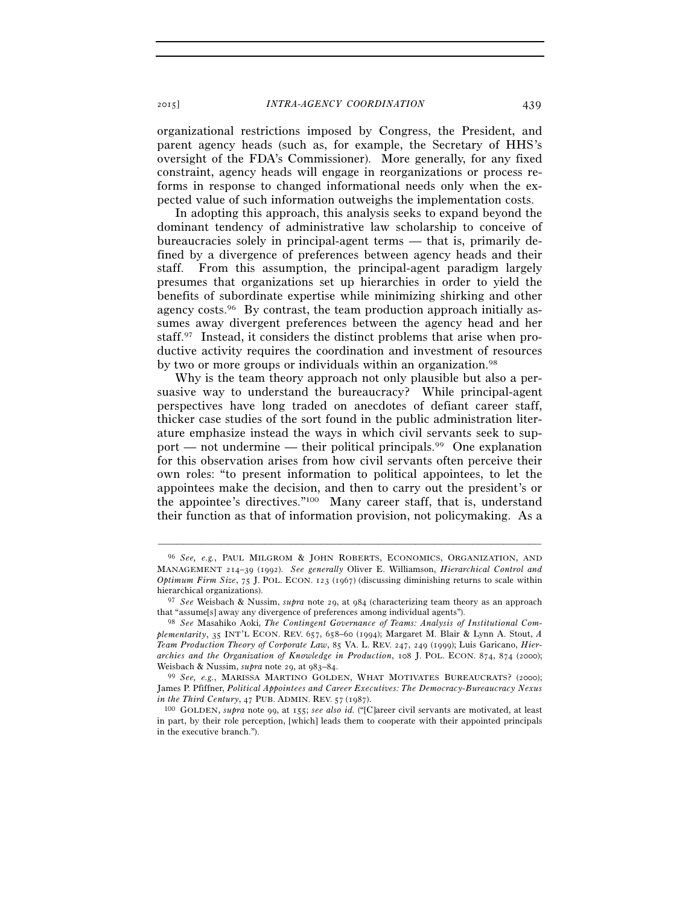organizational restrictions imposed by Congress, the President, and parent agency heads (such as, for example, the Secretary of HHS's oversight of the FDA's Commissioner). More generally, for any fixed constraint, agency heads will engage in reorganizations or process reforms in response to changed informational needs only when the expected value of such information outweighs the implementation costs.

In adopting this approach, this analysis seeks to expand beyond the dominant tendency of administrative law scholarship to conceive of bureaucracies solely in principal-agent terms — that is, primarily defined by a divergence of preferences between agency heads and their staff. From this assumption, the principal-agent paradigm largely presumes that organizations set up hierarchies in order to yield the benefits of subordinate expertise while minimizing shirking and other agency costs.96 By contrast, the team production approach initially assumes away divergent preferences between the agency head and her staff.97 Instead, it considers the distinct problems that arise when productive activity requires the coordination and investment of resources by two or more groups or individuals within an organization.<sup>98</sup>

Why is the team theory approach not only plausible but also a persuasive way to understand the bureaucracy? While principal-agent perspectives have long traded on anecdotes of defiant career staff, thicker case studies of the sort found in the public administration literature emphasize instead the ways in which civil servants seek to support — not undermine — their political principals.<sup>99</sup> One explanation for this observation arises from how civil servants often perceive their own roles: "to present information to political appointees, to let the appointees make the decision, and then to carry out the president's or the appointee's directives."100 Many career staff, that is, understand their function as that of information provision, not policymaking. As a

<sup>96</sup> *See, e.g.*, PAUL MILGROM & JOHN ROBERTS, ECONOMICS, ORGANIZATION, AND MANAGEMENT 214–39 (1992). *See generally* Oliver E. Williamson, *Hierarchical Control and Optimum Firm Size*, 75 J. POL. ECON. 123 (1967) (discussing diminishing returns to scale within hierarchical organizations).

<sup>97</sup> *See* Weisbach & Nussim, *supra* note 29, at 984 (characterizing team theory as an approach that "assume[s] away any divergence of preferences among individual agents"). 98 *See* Masahiko Aoki, *The Contingent Governance of Teams: Analysis of Institutional Com-*

*plementarity*, 35 INT'L ECON. REV. 657, 658–60 (1994); Margaret M. Blair & Lynn A. Stout, *A Team Production Theory of Corporate Law*, 85 VA. L. REV. 247, 249 (1999); Luis Garicano, *Hierarchies and the Organization of Knowledge in Production*, 108 J. POL. ECON. 874, 874 (2000); Weisbach & Nussim, *supra* note 29, at 983–84.<br><sup>99</sup> *See, e.g.*, MARISSA MARTINO GOLDEN, WHAT MOTIVATES BUREAUCRATS? (2000);

James P. Pfiffner, *Political Appointees and Career Executives: The Democracy-Bureaucracy Nexus in the Third Century*, 47 PUB. ADMIN. REV. <sup>57</sup> (1987). 100 GOLDEN, *supra* note 99, at 155; *see also id.* ("[C]areer civil servants are motivated, at least

in part, by their role perception, [which] leads them to cooperate with their appointed principals in the executive branch.").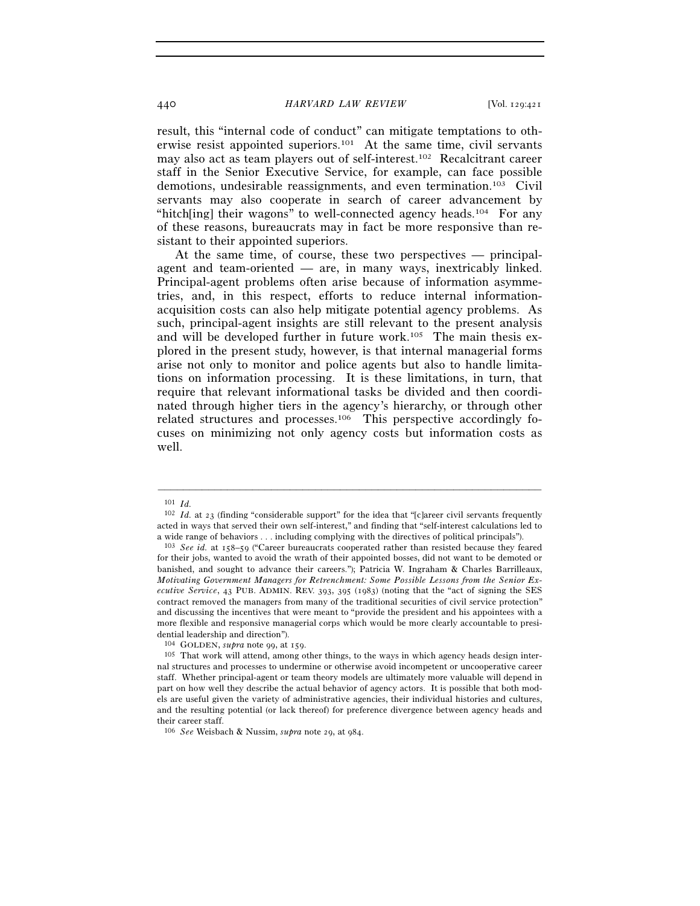result, this "internal code of conduct" can mitigate temptations to otherwise resist appointed superiors.101 At the same time, civil servants may also act as team players out of self-interest.102 Recalcitrant career staff in the Senior Executive Service, for example, can face possible demotions, undesirable reassignments, and even termination.103 Civil servants may also cooperate in search of career advancement by "hitch[ing] their wagons" to well-connected agency heads.<sup>104</sup> For any of these reasons, bureaucrats may in fact be more responsive than resistant to their appointed superiors.

At the same time, of course, these two perspectives — principalagent and team-oriented — are, in many ways, inextricably linked. Principal-agent problems often arise because of information asymmetries, and, in this respect, efforts to reduce internal informationacquisition costs can also help mitigate potential agency problems. As such, principal-agent insights are still relevant to the present analysis and will be developed further in future work.<sup>105</sup> The main thesis explored in the present study, however, is that internal managerial forms arise not only to monitor and police agents but also to handle limitations on information processing. It is these limitations, in turn, that require that relevant informational tasks be divided and then coordinated through higher tiers in the agency's hierarchy, or through other related structures and processes.106 This perspective accordingly focuses on minimizing not only agency costs but information costs as well.

<sup>101</sup> *Id.* 

<sup>102</sup> *Id.* at 23 (finding "considerable support" for the idea that "[c]areer civil servants frequently acted in ways that served their own self-interest," and finding that "self-interest calculations led to a wide range of behaviors . . . including complying with the directives of political principals"). 103 *See id.* at 158–59 ("Career bureaucrats cooperated rather than resisted because they feared

for their jobs, wanted to avoid the wrath of their appointed bosses, did not want to be demoted or banished, and sought to advance their careers."); Patricia W. Ingraham & Charles Barrilleaux, *Motivating Government Managers for Retrenchment: Some Possible Lessons from the Senior Executive Service*, 43 PUB. ADMIN. REV. 393, 395 (1983) (noting that the "act of signing the SES contract removed the managers from many of the traditional securities of civil service protection" and discussing the incentives that were meant to "provide the president and his appointees with a more flexible and responsive managerial corps which would be more clearly accountable to presidential leadership and direction").

<sup>&</sup>lt;sup>104</sup> GOLDEN, *supra* note 99, at 159.<br><sup>105</sup> That work will attend, among other things, to the ways in which agency heads design internal structures and processes to undermine or otherwise avoid incompetent or uncooperative career staff. Whether principal-agent or team theory models are ultimately more valuable will depend in part on how well they describe the actual behavior of agency actors. It is possible that both models are useful given the variety of administrative agencies, their individual histories and cultures, and the resulting potential (or lack thereof) for preference divergence between agency heads and their career staff.

<sup>106</sup> *See* Weisbach & Nussim, *supra* note 29, at 984.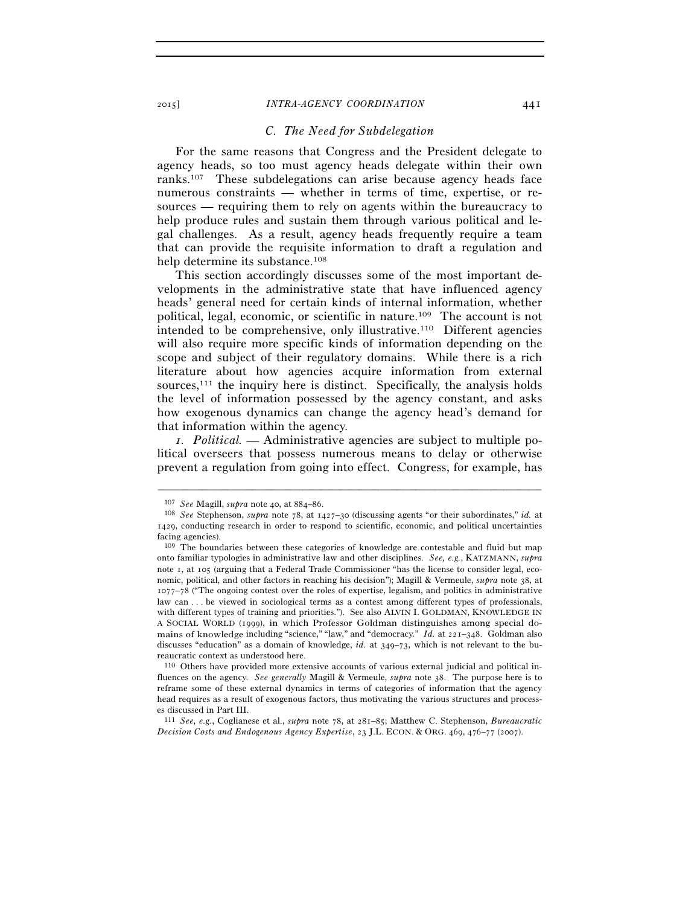#### *C. The Need for Subdelegation*

For the same reasons that Congress and the President delegate to agency heads, so too must agency heads delegate within their own ranks.107 These subdelegations can arise because agency heads face numerous constraints — whether in terms of time, expertise, or resources — requiring them to rely on agents within the bureaucracy to help produce rules and sustain them through various political and legal challenges. As a result, agency heads frequently require a team that can provide the requisite information to draft a regulation and help determine its substance.<sup>108</sup>

This section accordingly discusses some of the most important developments in the administrative state that have influenced agency heads' general need for certain kinds of internal information, whether political, legal, economic, or scientific in nature.109 The account is not intended to be comprehensive, only illustrative.110 Different agencies will also require more specific kinds of information depending on the scope and subject of their regulatory domains. While there is a rich literature about how agencies acquire information from external sources, $111$  the inquiry here is distinct. Specifically, the analysis holds the level of information possessed by the agency constant, and asks how exogenous dynamics can change the agency head's demand for that information within the agency.

*1. Political.* — Administrative agencies are subject to multiple political overseers that possess numerous means to delay or otherwise prevent a regulation from going into effect. Congress, for example, has

<sup>107</sup> *See* Magill, *supra* note 40, at 884–86. 108 *See* Stephenson, *supra* note 78, at 1427–30 (discussing agents "or their subordinates," *id.* at 1429, conducting research in order to respond to scientific, economic, and political uncertainties facing agencies).

<sup>109</sup> The boundaries between these categories of knowledge are contestable and fluid but map onto familiar typologies in administrative law and other disciplines. *See, e.g.*, KATZMANN, *supra* note 1, at 105 (arguing that a Federal Trade Commissioner "has the license to consider legal, economic, political, and other factors in reaching his decision"); Magill & Vermeule, *supra* note 38, at 1077–78 ("The ongoing contest over the roles of expertise, legalism, and politics in administrative law can . . . be viewed in sociological terms as a contest among different types of professionals, with different types of training and priorities."). See also ALVIN I. GOLDMAN, KNOWLEDGE IN A SOCIAL WORLD (1999), in which Professor Goldman distinguishes among special domains of knowledge including "science," "law," and "democracy." *Id.* at 221-348. Goldman also discusses "education" as a domain of knowledge, *id.* at 349–73, which is not relevant to the bureaucratic context as understood here.

<sup>110</sup> Others have provided more extensive accounts of various external judicial and political influences on the agency. *See generally* Magill & Vermeule, *supra* note 38. The purpose here is to reframe some of these external dynamics in terms of categories of information that the agency head requires as a result of exogenous factors, thus motivating the various structures and processes discussed in Part III.

<sup>111</sup> *See, e.g.*, Coglianese et al., *supra* note 78, at 281–85; Matthew C. Stephenson, *Bureaucratic Decision Costs and Endogenous Agency Expertise*, 23 J.L. ECON. & ORG. 469, 476–77 (2007).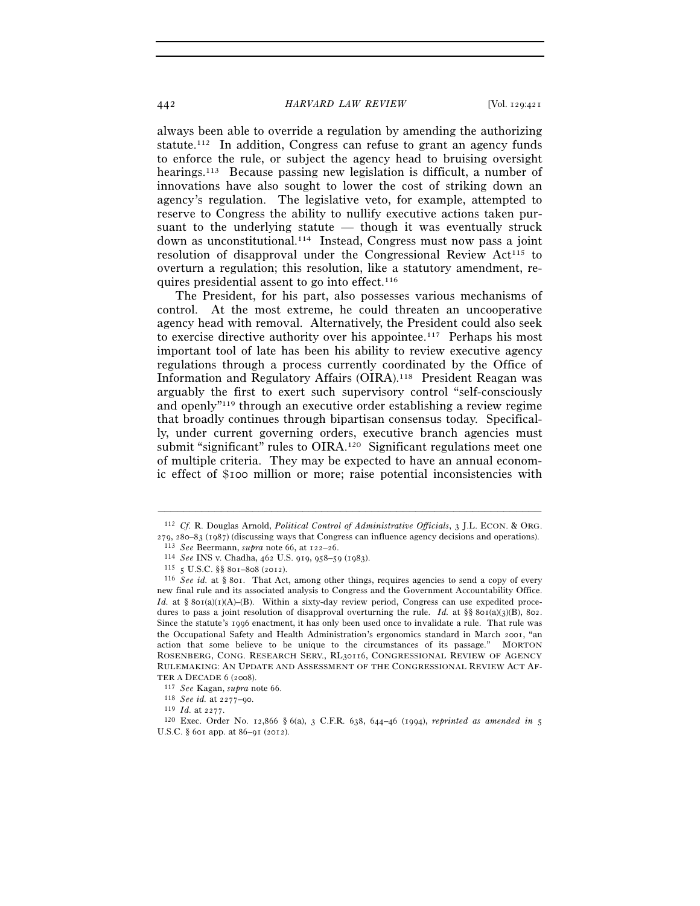always been able to override a regulation by amending the authorizing statute.<sup>112</sup> In addition, Congress can refuse to grant an agency funds to enforce the rule, or subject the agency head to bruising oversight hearings.113 Because passing new legislation is difficult, a number of innovations have also sought to lower the cost of striking down an agency's regulation. The legislative veto, for example, attempted to reserve to Congress the ability to nullify executive actions taken pursuant to the underlying statute — though it was eventually struck down as unconstitutional.114 Instead, Congress must now pass a joint resolution of disapproval under the Congressional Review Act<sup>115</sup> to overturn a regulation; this resolution, like a statutory amendment, requires presidential assent to go into effect.<sup>116</sup>

The President, for his part, also possesses various mechanisms of control. At the most extreme, he could threaten an uncooperative agency head with removal. Alternatively, the President could also seek to exercise directive authority over his appointee.117 Perhaps his most important tool of late has been his ability to review executive agency regulations through a process currently coordinated by the Office of Information and Regulatory Affairs (OIRA).118 President Reagan was arguably the first to exert such supervisory control "self-consciously and openly"119 through an executive order establishing a review regime that broadly continues through bipartisan consensus today. Specifically, under current governing orders, executive branch agencies must submit "significant" rules to OIRA.<sup>120</sup> Significant regulations meet one of multiple criteria. They may be expected to have an annual economic effect of \$100 million or more; raise potential inconsistencies with

<sup>–––––––––––––––––––––––––––––––––––––––––––––––––––––––––––––</sup> 112 *Cf.* R. Douglas Arnold, *Political Control of Administrative Officials*, 3 J.L. ECON. & ORG. 279, 280–83 (1987) (discussing ways that Congress can influence agency decisions and operations).<br>
<sup>113</sup> See Beermann, *supra* note 66, at 122–26.<br>
<sup>114</sup> See INS v. Chadha, 462 U.S. 919, 958–59 (1983).<br>
<sup>115</sup> 5 U.S.C. §§

new final rule and its associated analysis to Congress and the Government Accountability Office. *Id.* at § 801(a)(1)(A)–(B). Within a sixty-day review period, Congress can use expedited procedures to pass a joint resolution of disapproval overturning the rule. *Id.* at  $\S$ § 801(a)(3)(B), 802. Since the statute's 1996 enactment, it has only been used once to invalidate a rule. That rule was the Occupational Safety and Health Administration's ergonomics standard in March 2001, "an action that some believe to be unique to the circumstances of its passage." MORTON ROSENBERG, CONG. RESEARCH SERV., RL30116, CONGRESSIONAL REVIEW OF AGENCY RULEMAKING: AN UPDATE AND ASSESSMENT OF THE CONGRESSIONAL REVIEW ACT AFTER A DECADE 6 (2008).

<sup>&</sup>lt;sup>117</sup> See Kagan, supra note 66.<br>
<sup>118</sup> See id. at 2277–90.<br>
<sup>119</sup> Id. at 2277.<br>
<sup>119</sup> Ld. at 2277.<br>
<sup>120</sup> Exec. Order No. 12,866 § 6(a), 3 C.F.R. 638, 644–46 (1994), *reprinted as amended in* 5 U.S.C. § 601 app. at 86–91 (2012).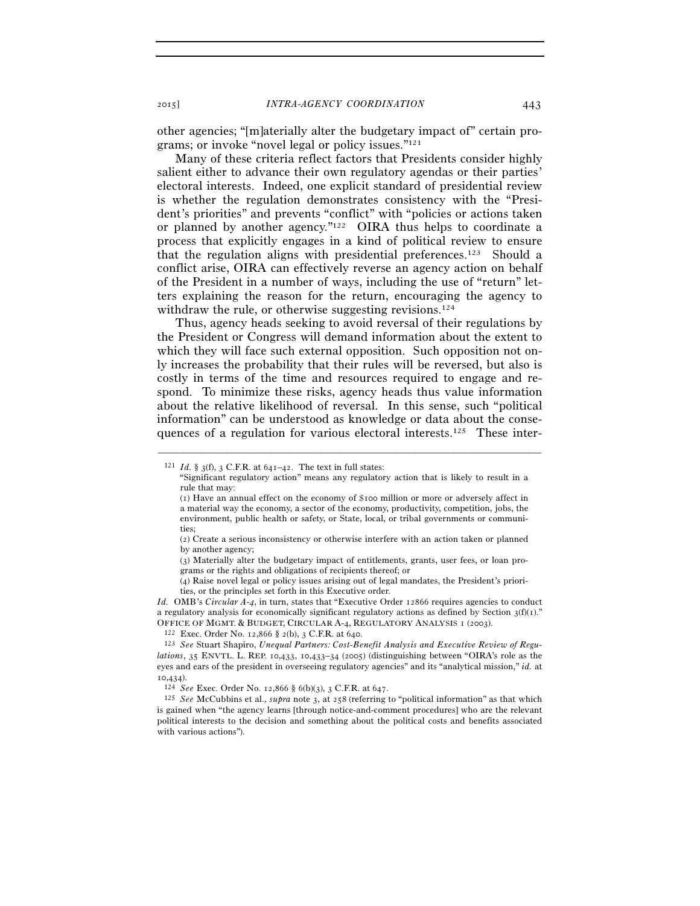other agencies; "[m]aterially alter the budgetary impact of" certain programs; or invoke "novel legal or policy issues."121

Many of these criteria reflect factors that Presidents consider highly salient either to advance their own regulatory agendas or their parties' electoral interests. Indeed, one explicit standard of presidential review is whether the regulation demonstrates consistency with the "President's priorities" and prevents "conflict" with "policies or actions taken or planned by another agency."122 OIRA thus helps to coordinate a process that explicitly engages in a kind of political review to ensure that the regulation aligns with presidential preferences.123 Should a conflict arise, OIRA can effectively reverse an agency action on behalf of the President in a number of ways, including the use of "return" letters explaining the reason for the return, encouraging the agency to withdraw the rule, or otherwise suggesting revisions.<sup>124</sup>

Thus, agency heads seeking to avoid reversal of their regulations by the President or Congress will demand information about the extent to which they will face such external opposition. Such opposition not only increases the probability that their rules will be reversed, but also is costly in terms of the time and resources required to engage and respond. To minimize these risks, agency heads thus value information about the relative likelihood of reversal. In this sense, such "political information" can be understood as knowledge or data about the consequences of a regulation for various electoral interests.125 These inter-

<sup>&</sup>lt;sup>121</sup> *Id.* § 3(f), 3 C.F.R. at  $641-42$ . The text in full states:

<sup>&</sup>quot;Significant regulatory action" means any regulatory action that is likely to result in a rule that may:

<sup>(</sup>1) Have an annual effect on the economy of \$100 million or more or adversely affect in a material way the economy, a sector of the economy, productivity, competition, jobs, the environment, public health or safety, or State, local, or tribal governments or communities;

<sup>(</sup>2) Create a serious inconsistency or otherwise interfere with an action taken or planned by another agency;

<sup>(</sup>3) Materially alter the budgetary impact of entitlements, grants, user fees, or loan programs or the rights and obligations of recipients thereof; or

<sup>(</sup>4) Raise novel legal or policy issues arising out of legal mandates, the President's priorities, or the principles set forth in this Executive order.

*Id.* OMB's *Circular A-4*, in turn, states that "Executive Order 12866 requires agencies to conduct a regulatory analysis for economically significant regulatory actions as defined by Section  $3(f)(1)$ ." OFFICE OF MGMT. & BUDGET, CIRCULAR A-4, REGULATORY ANALYSIS I (2003).<br><sup>122</sup> Exec. Order No. 12,866 § 2(b), 3 C.F.R. at 640.<br><sup>123</sup> See Stuart Shapiro, *Unequal Partners: Cost-Benefit Analysis and Executive Review of Regu-*

*lations*, 35 ENVTL. L. REP. 10,433, 10,433–34 (2005) (distinguishing between "OIRA's role as the eyes and ears of the president in overseeing regulatory agencies" and its "analytical mission," *id.* at 10,434).

<sup>124</sup> *See* Exec. Order No. 12,866 § 6(b)(3), 3 C.F.R. at 647. 125 *See* McCubbins et al., *supra* note 3, at <sup>258</sup> (referring to "political information" as that which is gained when "the agency learns [through notice-and-comment procedures] who are the relevant political interests to the decision and something about the political costs and benefits associated with various actions").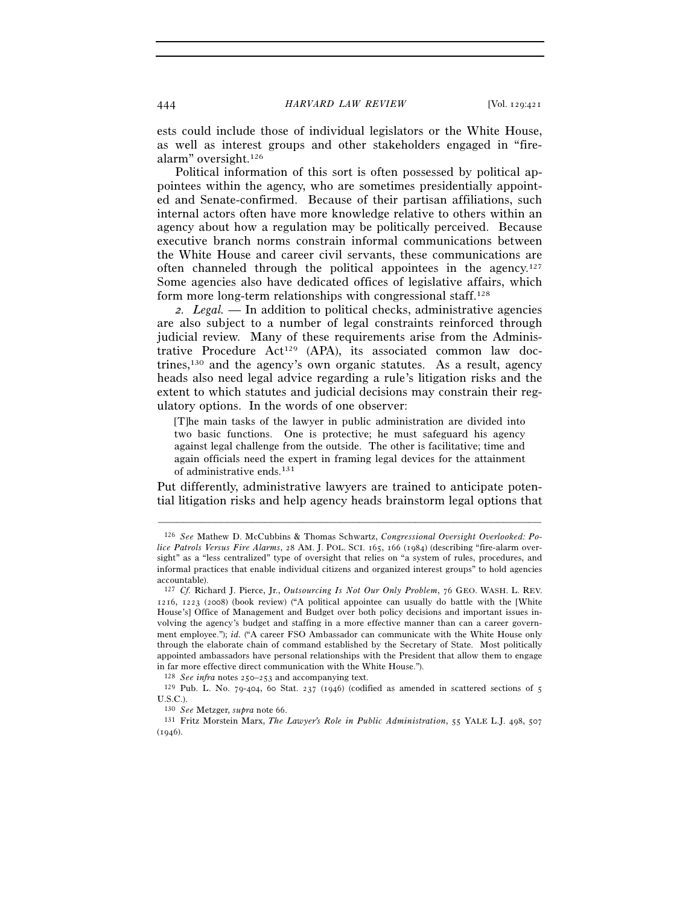ests could include those of individual legislators or the White House, as well as interest groups and other stakeholders engaged in "firealarm" oversight.126

Political information of this sort is often possessed by political appointees within the agency, who are sometimes presidentially appointed and Senate-confirmed. Because of their partisan affiliations, such internal actors often have more knowledge relative to others within an agency about how a regulation may be politically perceived. Because executive branch norms constrain informal communications between the White House and career civil servants, these communications are often channeled through the political appointees in the agency.<sup>127</sup> Some agencies also have dedicated offices of legislative affairs, which form more long-term relationships with congressional staff.128

*2. Legal.* — In addition to political checks, administrative agencies are also subject to a number of legal constraints reinforced through judicial review. Many of these requirements arise from the Administrative Procedure Act<sup>129</sup> (APA), its associated common law doctrines,130 and the agency's own organic statutes. As a result, agency heads also need legal advice regarding a rule's litigation risks and the extent to which statutes and judicial decisions may constrain their regulatory options. In the words of one observer:

[T]he main tasks of the lawyer in public administration are divided into two basic functions. One is protective; he must safeguard his agency against legal challenge from the outside. The other is facilitative; time and again officials need the expert in framing legal devices for the attainment of administrative ends.131

Put differently, administrative lawyers are trained to anticipate potential litigation risks and help agency heads brainstorm legal options that

<sup>126</sup> *See* Mathew D. McCubbins & Thomas Schwartz, *Congressional Oversight Overlooked: Police Patrols Versus Fire Alarms*, 28 AM. J. POL. SCI. 165, 166 (1984) (describing "fire-alarm oversight" as a "less centralized" type of oversight that relies on "a system of rules, procedures, and informal practices that enable individual citizens and organized interest groups" to hold agencies accountable).

<sup>127</sup> *Cf.* Richard J. Pierce, Jr., *Outsourcing Is Not Our Only Problem*, 76 GEO. WASH. L. REV. 1216, 1223 (2008) (book review) ("A political appointee can usually do battle with the [White House's] Office of Management and Budget over both policy decisions and important issues involving the agency's budget and staffing in a more effective manner than can a career government employee."); *id.* ("A career FSO Ambassador can communicate with the White House only through the elaborate chain of command established by the Secretary of State. Most politically appointed ambassadors have personal relationships with the President that allow them to engage in far more effective direct communication with the White House.").<br> $^{128}$  *See infra* notes 250–253 and accompanying text.

<sup>&</sup>lt;sup>129</sup> Pub. L. No. 79-404, 60 Stat. 237 (1946) (codified as amended in scattered sections of 5 U.S.C.).<br><sup>130</sup> *See* Metzger, *supra* note 66.

<sup>&</sup>lt;sup>131</sup> Fritz Morstein Marx, *The Lawyer's Role in Public Administration*, 55 YALE L.J. 498, 507  $(1946).$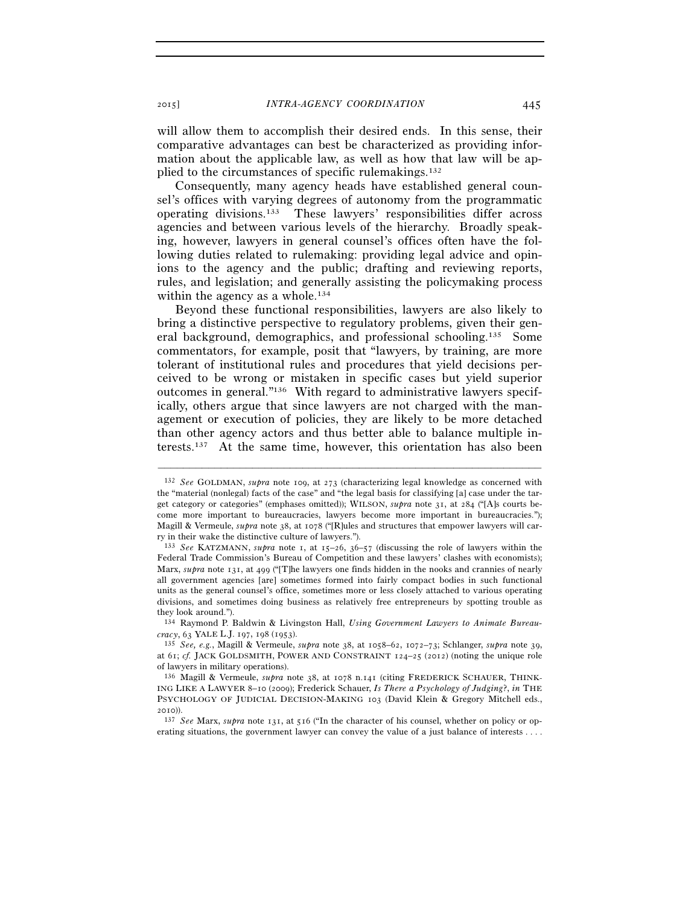will allow them to accomplish their desired ends. In this sense, their comparative advantages can best be characterized as providing information about the applicable law, as well as how that law will be applied to the circumstances of specific rulemakings.132

Consequently, many agency heads have established general counsel's offices with varying degrees of autonomy from the programmatic operating divisions.133 These lawyers' responsibilities differ across agencies and between various levels of the hierarchy. Broadly speaking, however, lawyers in general counsel's offices often have the following duties related to rulemaking: providing legal advice and opinions to the agency and the public; drafting and reviewing reports, rules, and legislation; and generally assisting the policymaking process within the agency as a whole.<sup>134</sup>

Beyond these functional responsibilities, lawyers are also likely to bring a distinctive perspective to regulatory problems, given their general background, demographics, and professional schooling.135 Some commentators, for example, posit that "lawyers, by training, are more tolerant of institutional rules and procedures that yield decisions perceived to be wrong or mistaken in specific cases but yield superior outcomes in general."136 With regard to administrative lawyers specifically, others argue that since lawyers are not charged with the management or execution of policies, they are likely to be more detached than other agency actors and thus better able to balance multiple interests.137 At the same time, however, this orientation has also been

<sup>132</sup> *See* GOLDMAN, *supra* note 109, at 273 (characterizing legal knowledge as concerned with the "material (nonlegal) facts of the case" and "the legal basis for classifying [a] case under the target category or categories" (emphases omitted)); WILSON, *supra* note 31, at 284 ("[A]s courts become more important to bureaucracies, lawyers become more important in bureaucracies."); Magill & Vermeule, *supra* note 38, at 1078 ("[R]ules and structures that empower lawyers will carry in their wake the distinctive culture of lawyers.").

<sup>133</sup> *See* KATZMANN, *supra* note 1, at 15–26, 36–57 (discussing the role of lawyers within the Federal Trade Commission's Bureau of Competition and these lawyers' clashes with economists); Marx, *supra* note 131, at 499 ("[T]he lawyers one finds hidden in the nooks and crannies of nearly all government agencies [are] sometimes formed into fairly compact bodies in such functional units as the general counsel's office, sometimes more or less closely attached to various operating divisions, and sometimes doing business as relatively free entrepreneurs by spotting trouble as they look around.").

<sup>134</sup> Raymond P. Baldwin & Livingston Hall, *Using Government Lawyers to Animate Bureaucracy*, 63 YALE L.J. <sup>197</sup>, 198 (1953). 135 *See, e.g.*, Magill & Vermeule, *supra* note 38, at 1058–62, 1072–73; Schlanger, *supra* note 39,

at 61; *cf.* JACK GOLDSMITH, POWER AND CONSTRAINT 124–25 (2012) (noting the unique role of lawyers in military operations).

<sup>136</sup> Magill & Vermeule, *supra* note 38, at 1078 n.141 (citing FREDERICK SCHAUER, THINK-ING LIKE A LAWYER 8–10 (2009); Frederick Schauer, *Is There a Psychology of Judging*?, *in* THE PSYCHOLOGY OF JUDICIAL DECISION-MAKING 103 (David Klein & Gregory Mitchell eds., <sup>2010</sup>)). 137 *See* Marx, *supra* note 131, at 516 ("In the character of his counsel, whether on policy or op-

erating situations, the government lawyer can convey the value of a just balance of interests . . . .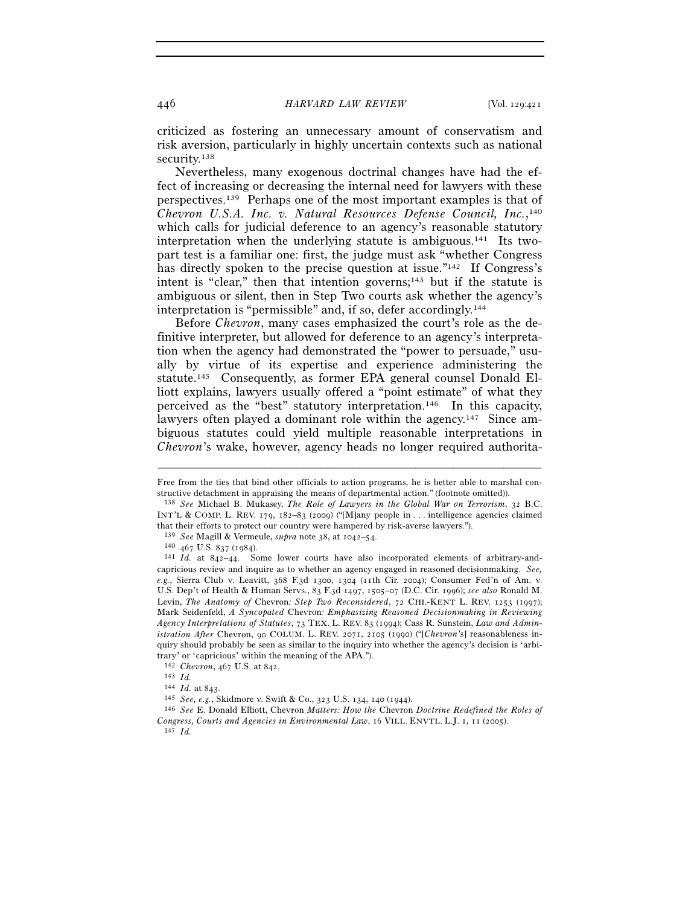criticized as fostering an unnecessary amount of conservatism and risk aversion, particularly in highly uncertain contexts such as national security.<sup>138</sup>

Nevertheless, many exogenous doctrinal changes have had the effect of increasing or decreasing the internal need for lawyers with these perspectives.139 Perhaps one of the most important examples is that of *Chevron U.S.A. Inc. v. Natural Resources Defense Council, Inc.*, 140 which calls for judicial deference to an agency's reasonable statutory interpretation when the underlying statute is ambiguous.<sup>141</sup> Its twopart test is a familiar one: first, the judge must ask "whether Congress has directly spoken to the precise question at issue."<sup>142</sup> If Congress's intent is "clear," then that intention governs; $143$  but if the statute is ambiguous or silent, then in Step Two courts ask whether the agency's interpretation is "permissible" and, if so, defer accordingly.144

Before *Chevron*, many cases emphasized the court's role as the definitive interpreter, but allowed for deference to an agency's interpretation when the agency had demonstrated the "power to persuade," usually by virtue of its expertise and experience administering the statute.145 Consequently, as former EPA general counsel Donald Elliott explains, lawyers usually offered a "point estimate" of what they perceived as the "best" statutory interpretation.146 In this capacity, lawyers often played a dominant role within the agency.147 Since ambiguous statutes could yield multiple reasonable interpretations in *Chevron*'s wake, however, agency heads no longer required authorita-

<sup>142</sup> *Chevron*, 467 U.S. at 842. 143 *Id.*

<sup>–––––––––––––––––––––––––––––––––––––––––––––––––––––––––––––</sup> Free from the ties that bind other officials to action programs, he is better able to marshal constructive detachment in appraising the means of departmental action." (footnote omitted)).

<sup>138</sup> *See* Michael B. Mukasey, *The Role of Lawyers in the Global War on Terrorism*, 32 B.C. INT'L & COMP. L. REV. 179, 182–83 (2009) ("[M]any people in . . . intelligence agencies claimed that their efforts to protect our country were hampered by risk-averse lawyers.").<br>
<sup>139</sup> *See* Magill & Vermeule, *supra* note 38, at 1042–54.<br>
<sup>140</sup> 467 U.S. 837 (1984).<br>
<sup>141</sup> *Id.* at 842–44. Some lower courts have al

capricious review and inquire as to whether an agency engaged in reasoned decisionmaking. *See, e.g.*, Sierra Club v. Leavitt, 368 F.3d 1300, 1304 (11th Cir. 2004); Consumer Fed'n of Am. v. U.S. Dep't of Health & Human Servs., 83 F.3d 1497, 1505–07 (D.C. Cir. 1996); *see also* Ronald M. Levin, *The Anatomy of* Chevron*: Step Two Reconsidered*, 72 CHI.-KENT L. REV. 1253 (1997); Mark Seidenfeld, *A Syncopated* Chevron*: Emphasizing Reasoned Decisionmaking in Reviewing Agency Interpretations of Statutes*, 73 TEX. L. REV. 83 (1994); Cass R. Sunstein, *Law and Administration After* Chevron, 90 COLUM. L. REV. 2071, 2105 (1990) ("[*Chevron*'s] reasonableness inquiry should probably be seen as similar to the inquiry into whether the agency's decision is 'arbitrary' or 'capricious' within the meaning of the APA.").

<sup>144</sup> *Id.* at 843. 145 *See, e.g.*, Skidmore v. Swift & Co., 323 U.S. 134, 140 (1944). 146 *See* E. Donald Elliott, Chevron *Matters: How the* Chevron *Doctrine Redefined the Roles of Congress, Courts and Agencies in Environmental Law*, 16 VILL. ENVTL. L.J. 1, 11 (2005). 147 *Id.*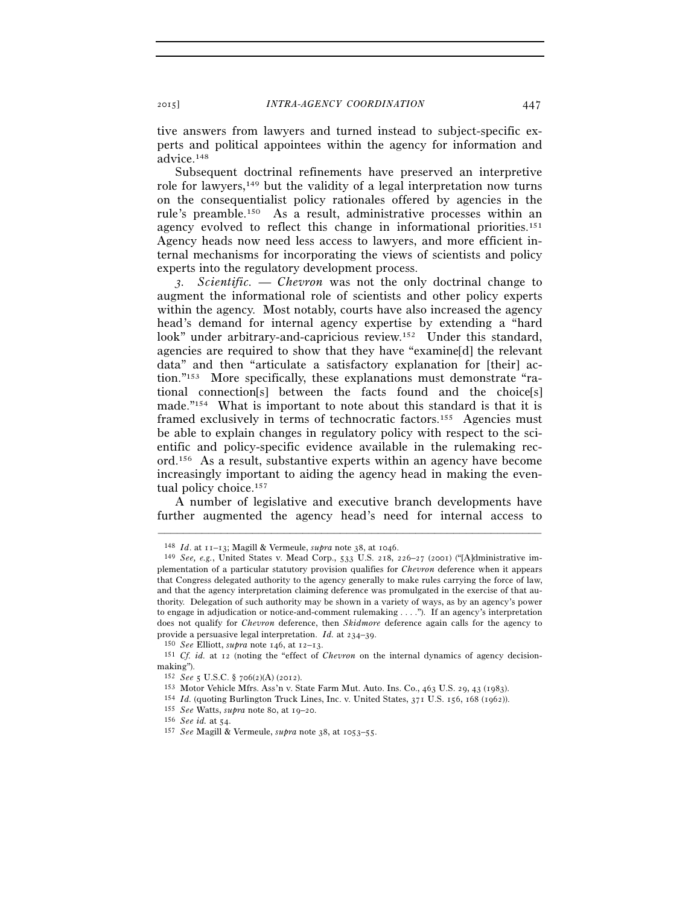tive answers from lawyers and turned instead to subject-specific experts and political appointees within the agency for information and advice.148

Subsequent doctrinal refinements have preserved an interpretive role for lawyers,149 but the validity of a legal interpretation now turns on the consequentialist policy rationales offered by agencies in the rule's preamble.150 As a result, administrative processes within an agency evolved to reflect this change in informational priorities.151 Agency heads now need less access to lawyers, and more efficient internal mechanisms for incorporating the views of scientists and policy experts into the regulatory development process.

*3. Scientific.* — *Chevron* was not the only doctrinal change to augment the informational role of scientists and other policy experts within the agency. Most notably, courts have also increased the agency head's demand for internal agency expertise by extending a "hard look" under arbitrary-and-capricious review.<sup>152</sup> Under this standard, agencies are required to show that they have "examine[d] the relevant data" and then "articulate a satisfactory explanation for [their] action."153 More specifically, these explanations must demonstrate "rational connection[s] between the facts found and the choice[s] made."154 What is important to note about this standard is that it is framed exclusively in terms of technocratic factors.155 Agencies must be able to explain changes in regulatory policy with respect to the scientific and policy-specific evidence available in the rulemaking record.156 As a result, substantive experts within an agency have become increasingly important to aiding the agency head in making the eventual policy choice.<sup>157</sup>

A number of legislative and executive branch developments have further augmented the agency head's need for internal access to

<sup>148</sup> *Id*. at 11–13; Magill & Vermeule, *supra* note 38, at 1046.

<sup>149</sup> *See, e.g.*, United States v. Mead Corp., 533 U.S. 218, 226–27 (2001) ("[A]dministrative implementation of a particular statutory provision qualifies for *Chevron* deference when it appears that Congress delegated authority to the agency generally to make rules carrying the force of law, and that the agency interpretation claiming deference was promulgated in the exercise of that authority. Delegation of such authority may be shown in a variety of ways, as by an agency's power to engage in adjudication or notice-and-comment rulemaking . . . ."). If an agency's interpretation does not qualify for *Chevron* deference, then *Skidmore* deference again calls for the agency to provide a persuasive legal interpretation. *Id.* at 234–39.

<sup>&</sup>lt;sup>150</sup> See Elliott, *supra* note 146, at 12–13.<br><sup>151</sup> Cf. id. at 12 (noting the "effect of Chevron on the internal dynamics of agency decisionmaking").<br><sup>152</sup> *See* 5 U.S.C. § 706(2)(A) (2012).

 $^{153}$  Motor Vehicle Mfrs. Ass'n v. State Farm Mut. Auto. Ins. Co., 463 U.S. 29, 43 (1983).  $^{154}$  *Id.* (quoting Burlington Truck Lines, Inc. v. United States, 371 U.S. 156, 168 (1962)). <br>
<sup>155</sup> *See* Watts, *supra* no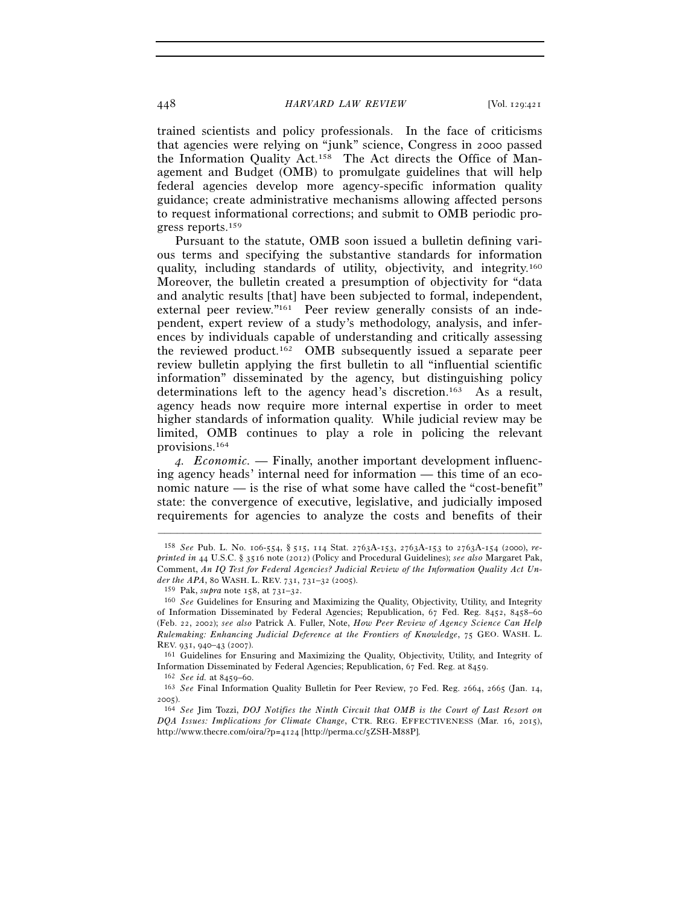trained scientists and policy professionals. In the face of criticisms that agencies were relying on "junk" science, Congress in 2000 passed the Information Quality Act.158 The Act directs the Office of Management and Budget (OMB) to promulgate guidelines that will help federal agencies develop more agency-specific information quality guidance; create administrative mechanisms allowing affected persons to request informational corrections; and submit to OMB periodic progress reports.159

Pursuant to the statute, OMB soon issued a bulletin defining various terms and specifying the substantive standards for information quality, including standards of utility, objectivity, and integrity.160 Moreover, the bulletin created a presumption of objectivity for "data and analytic results [that] have been subjected to formal, independent, external peer review."<sup>161</sup> Peer review generally consists of an independent, expert review of a study's methodology, analysis, and inferences by individuals capable of understanding and critically assessing the reviewed product.162 OMB subsequently issued a separate peer review bulletin applying the first bulletin to all "influential scientific information" disseminated by the agency, but distinguishing policy determinations left to the agency head's discretion.163 As a result, agency heads now require more internal expertise in order to meet higher standards of information quality. While judicial review may be limited, OMB continues to play a role in policing the relevant provisions.164

*4. Economic.* — Finally, another important development influencing agency heads' internal need for information — this time of an economic nature — is the rise of what some have called the "cost-benefit" state: the convergence of executive, legislative, and judicially imposed requirements for agencies to analyze the costs and benefits of their

<sup>158</sup> *See* Pub. L. No. 106-554, § 515, 114 Stat. 2763A-153, 2763A-153 to 2763A-154 (2000), *reprinted in* 44 U.S.C. § 3516 note (2012) (Policy and Procedural Guidelines); *see also* Margaret Pak, Comment, *An IQ Test for Federal Agencies? Judicial Review of the Information Quality Act Un* $der\ the\ APA,$  80 WASH. L. REV. 731, 731–32 (2005).  $^{159}$  Pak,  $supra$  note 158, at 731–32.

<sup>&</sup>lt;sup>160</sup> See Guidelines for Ensuring and Maximizing the Quality, Objectivity, Utility, and Integrity of Information Disseminated by Federal Agencies; Republication, 67 Fed. Reg. 8452, 8458–60 (Feb. 22, 2002); *see also* Patrick A. Fuller, Note, *How Peer Review of Agency Science Can Help Rulemaking: Enhancing Judicial Deference at the Frontiers of Knowledge*, 75 GEO. WASH. L. REV. 931, 940–43 (2007). 161 Guidelines for Ensuring and Maximizing the Quality, Objectivity, Utility, and Integrity of

Information Disseminated by Federal Agencies; Republication, 67 Fed. Reg. at 8459.<br><sup>162</sup> *See id.* at 8459–60.<br><sup>163</sup> *See* Final Information Quality Bulletin for Peer Review, 70 Fed. Reg. 2664, 2665 (Jan. 14,

<sup>2005</sup>).

<sup>164</sup> *See* Jim Tozzi, *DOJ Notifies the Ninth Circuit that OMB is the Court of Last Resort on DQA Issues: Implications for Climate Change*, CTR. REG. EFFECTIVENESS (Mar. 16, 2015), http://www.thecre.com/oira/?p=4124 [http://perma.cc/5ZSH-M88P].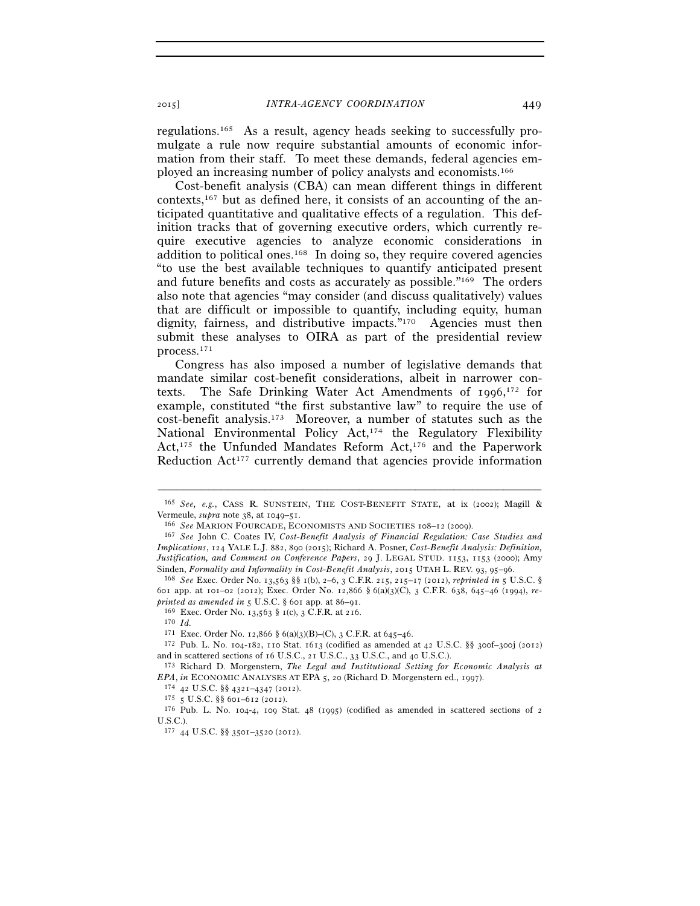regulations.165 As a result, agency heads seeking to successfully promulgate a rule now require substantial amounts of economic information from their staff. To meet these demands, federal agencies employed an increasing number of policy analysts and economists.166

Cost-benefit analysis (CBA) can mean different things in different contexts,167 but as defined here, it consists of an accounting of the anticipated quantitative and qualitative effects of a regulation. This definition tracks that of governing executive orders, which currently require executive agencies to analyze economic considerations in addition to political ones.168 In doing so, they require covered agencies "to use the best available techniques to quantify anticipated present and future benefits and costs as accurately as possible."169 The orders also note that agencies "may consider (and discuss qualitatively) values that are difficult or impossible to quantify, including equity, human dignity, fairness, and distributive impacts."170 Agencies must then submit these analyses to OIRA as part of the presidential review process.171

Congress has also imposed a number of legislative demands that mandate similar cost-benefit considerations, albeit in narrower contexts. The Safe Drinking Water Act Amendments of 1996, 172 for example, constituted "the first substantive law" to require the use of cost-benefit analysis.173 Moreover, a number of statutes such as the National Environmental Policy Act,<sup>174</sup> the Regulatory Flexibility Act,175 the Unfunded Mandates Reform Act,176 and the Paperwork Reduction Act<sup>177</sup> currently demand that agencies provide information

<sup>–––––––––––––––––––––––––––––––––––––––––––––––––––––––––––––</sup> <sup>165</sup> *See, e.g.*, CASS R. SUNSTEIN, THE COST-BENEFIT STATE, at ix (2002); Magill & Vermeule, *supra* note 38, at 1049–51.

<sup>&</sup>lt;sup>166</sup> *See* MARION FOURCADE, ECONOMISTS AND SOCIETIES 108–12 (2009). <sup>167</sup> *See* John C. Coates IV, *Cost-Benefit Analysis of Financial Regulation: Case Studies and Implications*, 124 YALE L.J. 882, 890 (2015); Richard A. Posner, *Cost-Benefit Analysis: Definition, Justification, and Comment on Conference Papers*, 29 J. LEGAL STUD. 1153, 1153 (2000); Amy Sinden, *Formality and Informality in Cost-Benefit Analysis*, 2015 UTAH L. REV. 93, 95–96.<br><sup>168</sup> *See* Exec. Order No. 13,563 §§ 1(b), 2–6, 3 C.F.R. 215, 215–17 (2012), *reprinted in* 5 U.S.C. §

<sup>601</sup> app. at 101–02 (2012); Exec. Order No. 12,866 § 6(a)(3)(C), 3 C.F.R. 638, 645–46 (1994), *re-*

*printed as a feed books as a feed in* 5 U.S. *princed as 8 feed in* 5 U.S. *princed in* 5 U.S. *princed 171* Exec. Order No. 12,866 § 6(a)(3)(B)–(C), 3 C.F.R. at 645–46.

 $172$  Pub. L. No. 104-182, 110 Stat. 1613 (codified as amended at 42 U.S.C. §§ 300f-300j (2012)

and in scattered sections of 16 U.S.C., 21 U.S.C., 33 U.S.C., and 40 U.S.C.).<br><sup>173</sup> Richard D. Morgenstern, *The Legal and Institutional Setting for Economic Analysis at EPA*, *in* ECONOMIC ANALYSES AT EPA 5, 20 (Richard

<sup>&</sup>lt;sup>174</sup> 42 U.S.C. §§ 4321-4347 (2012).<br><sup>175</sup> 5 U.S.C. §§ 601–612 (2012).<br><sup>175</sup> Pub. L. No. 104-4, 109 Stat. 48 (1995) (codified as amended in scattered sections of 2 U.S.C.).

<sup>177</sup> 44 U.S.C. §§ 3501–3520 (2012).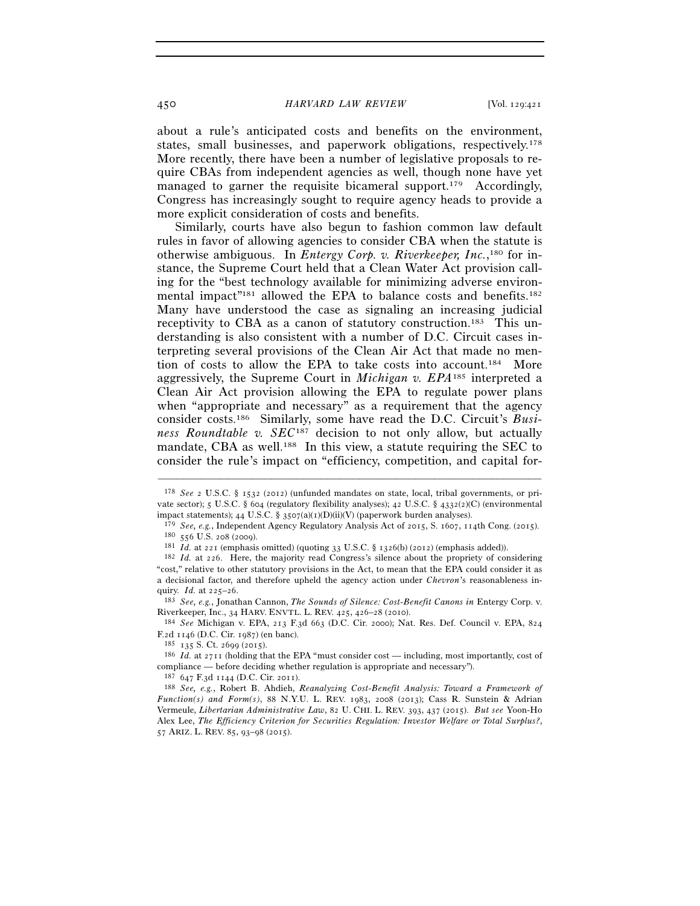about a rule's anticipated costs and benefits on the environment, states, small businesses, and paperwork obligations, respectively.178 More recently, there have been a number of legislative proposals to require CBAs from independent agencies as well, though none have yet managed to garner the requisite bicameral support.<sup>179</sup> Accordingly, Congress has increasingly sought to require agency heads to provide a more explicit consideration of costs and benefits.

Similarly, courts have also begun to fashion common law default rules in favor of allowing agencies to consider CBA when the statute is otherwise ambiguous. In *Entergy Corp. v. Riverkeeper, Inc.*,<sup>180</sup> for instance, the Supreme Court held that a Clean Water Act provision calling for the "best technology available for minimizing adverse environmental impact"<sup>181</sup> allowed the EPA to balance costs and benefits.<sup>182</sup> Many have understood the case as signaling an increasing judicial receptivity to CBA as a canon of statutory construction.183 This understanding is also consistent with a number of D.C. Circuit cases interpreting several provisions of the Clean Air Act that made no mention of costs to allow the EPA to take costs into account.184 More aggressively, the Supreme Court in *Michigan v. EPA*185 interpreted a Clean Air Act provision allowing the EPA to regulate power plans when "appropriate and necessary" as a requirement that the agency consider costs.186 Similarly, some have read the D.C. Circuit's *Business Roundtable v. SEC*187 decision to not only allow, but actually mandate, CBA as well.<sup>188</sup> In this view, a statute requiring the SEC to consider the rule's impact on "efficiency, competition, and capital for-

<sup>178</sup> *See* 2 U.S.C. § 1532 (2012) (unfunded mandates on state, local, tribal governments, or private sector); 5 U.S.C. § 604 (regulatory flexibility analyses); 42 U.S.C. § 4332(2)(C) (environmental impact statements); 44 U.S.C. § 3507(a)(1)(D)(ii)(V) (paperwork burden analyses).

<sup>&</sup>lt;sup>179</sup> *See, e.g.*, Independent Agency Regulatory Analysis Act of 2015, S. 1607, 114th Cong. (2015).<br><sup>180</sup> 556 U.S. 208 (2009).<br><sup>181</sup> *Id.* at 221 (emphasis omitted) (quoting 33 U.S.C. § 1326(b) (2012) (emphasis added)).<br><sup></sup>

<sup>&</sup>quot;cost," relative to other statutory provisions in the Act, to mean that the EPA could consider it as a decisional factor, and therefore upheld the agency action under *Chevron*'s reasonableness inquiry. *Id.* at 225–26. 183 *See, e.g.*, Jonathan Cannon, *The Sounds of Silence: Cost-Benefit Canons in* Entergy Corp. v.

Riverkeeper, Inc., 34 HARV. ENVTL. L. REV. 425, 426–28 (2010).<br><sup>184</sup> *See* Michigan v. EPA, 213 F.3d 663 (D.C. Cir. 2000); Nat. Res. Def. Council v. EPA, 824<br>F.2d 1146 (D.C. Cir. 1987) (en banc).

<sup>&</sup>lt;sup>185</sup> 135 S. Ct. 2699 (2015).<br><sup>186</sup> *Id.* at 2711 (holding that the EPA "must consider cost — including, most importantly, cost of compliance — before deciding whether regulation is appropriate and necessary").<br> $^{187}$  647 F.3d 1144 (D.C. Cir. 2011).

<sup>187</sup> <sup>647</sup> F.3d 1144 (D.C. Cir. 2011). 188 *See, e.g.*, Robert B. Ahdieh, *Reanalyzing Cost-Benefit Analysis: Toward a Framework of Function(s) and Form(s)*, 88 N.Y.U. L. REV. 1983, 2008 (2013); Cass R. Sunstein & Adrian Vermeule, *Libertarian Administrative Law*, 82 U. CHI. L. REV. 393, 437 (2015). *But see* Yoon-Ho Alex Lee, *The Efficiency Criterion for Securities Regulation: Investor Welfare or Total Surplus?*, 57 ARIZ. L. REV. 85, 93–98 (2015).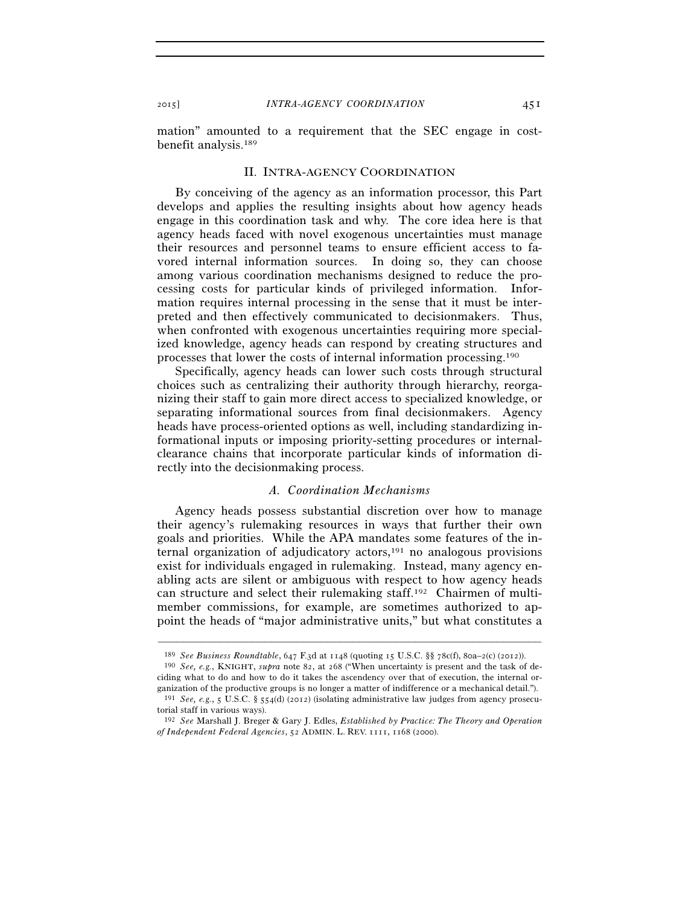mation" amounted to a requirement that the SEC engage in costbenefit analysis.189

#### II. INTRA-AGENCY COORDINATION

By conceiving of the agency as an information processor, this Part develops and applies the resulting insights about how agency heads engage in this coordination task and why. The core idea here is that agency heads faced with novel exogenous uncertainties must manage their resources and personnel teams to ensure efficient access to favored internal information sources. In doing so, they can choose among various coordination mechanisms designed to reduce the processing costs for particular kinds of privileged information. Information requires internal processing in the sense that it must be interpreted and then effectively communicated to decisionmakers. Thus, when confronted with exogenous uncertainties requiring more specialized knowledge, agency heads can respond by creating structures and processes that lower the costs of internal information processing.190

Specifically, agency heads can lower such costs through structural choices such as centralizing their authority through hierarchy, reorganizing their staff to gain more direct access to specialized knowledge, or separating informational sources from final decisionmakers. Agency heads have process-oriented options as well, including standardizing informational inputs or imposing priority-setting procedures or internalclearance chains that incorporate particular kinds of information directly into the decisionmaking process.

## *A. Coordination Mechanisms*

Agency heads possess substantial discretion over how to manage their agency's rulemaking resources in ways that further their own goals and priorities. While the APA mandates some features of the internal organization of adjudicatory actors, $191$  no analogous provisions exist for individuals engaged in rulemaking. Instead, many agency enabling acts are silent or ambiguous with respect to how agency heads can structure and select their rulemaking staff.192 Chairmen of multimember commissions, for example, are sometimes authorized to appoint the heads of "major administrative units," but what constitutes a

<sup>–––––––––––––––––––––––––––––––––––––––––––––––––––––––––––––</sup>

<sup>189</sup> *See Business Roundtable*, 647 F.3d at 1148 (quoting 15 U.S.C. §§ 78c(f), 80a–2(c) (2012)). 190 *See, e.g.*, KNIGHT, *supra* note 82, at 268 ("When uncertainty is present and the task of deciding what to do and how to do it takes the ascendency over that of execution, the internal organization of the productive groups is no longer a matter of indifference or a mechanical detail."). 191 *See, e.g.*, 5 U.S.C. § 554(d) (2012) (isolating administrative law judges from agency prosecu-

torial staff in various ways).

<sup>192</sup> *See* Marshall J. Breger & Gary J. Edles, *Established by Practice: The Theory and Operation of Independent Federal Agencies*, 52 ADMIN. L. REV. 1111, 1168 (2000).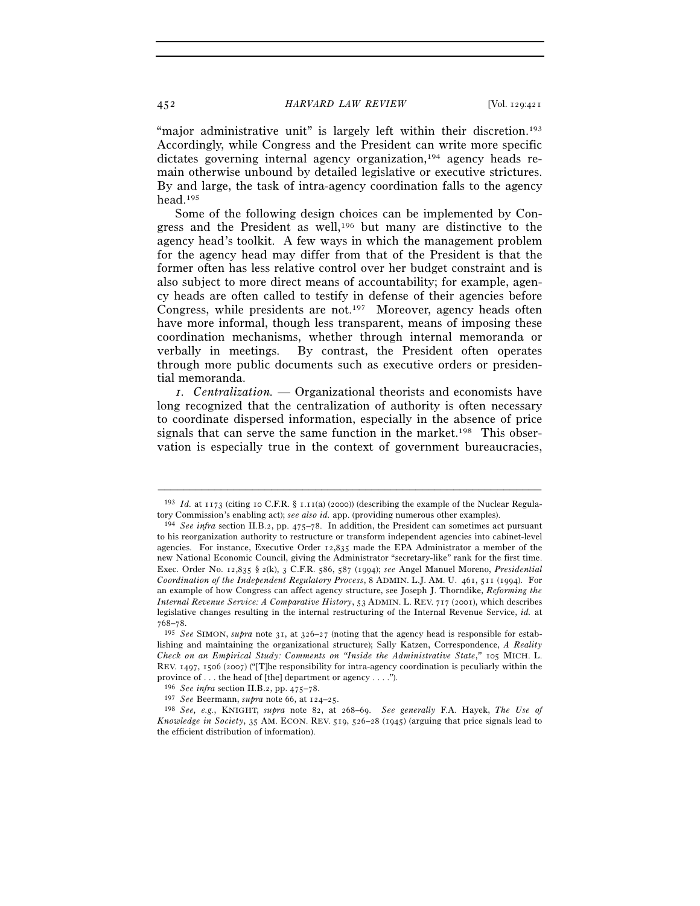"major administrative unit" is largely left within their discretion.<sup>193</sup> Accordingly, while Congress and the President can write more specific dictates governing internal agency organization,<sup>194</sup> agency heads remain otherwise unbound by detailed legislative or executive strictures. By and large, the task of intra-agency coordination falls to the agency head.195

Some of the following design choices can be implemented by Congress and the President as well,196 but many are distinctive to the agency head's toolkit. A few ways in which the management problem for the agency head may differ from that of the President is that the former often has less relative control over her budget constraint and is also subject to more direct means of accountability; for example, agency heads are often called to testify in defense of their agencies before Congress, while presidents are not.<sup>197</sup> Moreover, agency heads often have more informal, though less transparent, means of imposing these coordination mechanisms, whether through internal memoranda or verbally in meetings. By contrast, the President often operates through more public documents such as executive orders or presidential memoranda.

*1. Centralization.* — Organizational theorists and economists have long recognized that the centralization of authority is often necessary to coordinate dispersed information, especially in the absence of price signals that can serve the same function in the market.<sup>198</sup> This observation is especially true in the context of government bureaucracies,

<sup>–––––––––––––––––––––––––––––––––––––––––––––––––––––––––––––</sup> <sup>193</sup> *Id.* at 1173 (citing 10 C.F.R. § 1.11(a) (2000)) (describing the example of the Nuclear Regulatory Commission's enabling act); *see also id.* app. (providing numerous other examples).

<sup>&</sup>lt;sup>194</sup> *See infra* section II.B.2, pp. 475–78. In addition, the President can sometimes act pursuant to his reorganization authority to restructure or transform independent agencies into cabinet-level agencies. For instance, Executive Order 12,835 made the EPA Administrator a member of the new National Economic Council, giving the Administrator "secretary-like" rank for the first time. Exec. Order No. 12,835 § 2(k), 3 C.F.R. 586, 587 (1994); *see* Angel Manuel Moreno, *Presidential Coordination of the Independent Regulatory Process*, 8 ADMIN. L.J. AM. U. 461, 511 (1994). For an example of how Congress can affect agency structure, see Joseph J. Thorndike, *Reforming the Internal Revenue Service: A Comparative History*, 53 ADMIN. L. REV. 717 (2001), which describes legislative changes resulting in the internal restructuring of the Internal Revenue Service, *id.* at <sup>768</sup>–78. 195 *See* SIMON, *supra* note 31, at 326–27 (noting that the agency head is responsible for estab-

lishing and maintaining the organizational structure); Sally Katzen, Correspondence, *A Reality Check on an Empirical Study: Comments on "Inside the Administrative State*,*"* 105 MICH. L. REV. 1497, 1506 (2007) ("[T]he responsibility for intra-agency coordination is peculiarly within the province of . . . the head of [the] department or agency . . . .").

<sup>&</sup>lt;sup>196</sup> See infra section II.B.2, pp. 475–78.<br><sup>197</sup> See Beermann, supra note 66, at 124–25.<br><sup>198</sup> See, e.g., KNIGHT, supra note 82, at 268–69. See generally F.A. Hayek, *The Use of Knowledge in Society*, 35 AM. ECON. REV. 519, 526–28 (1945) (arguing that price signals lead to the efficient distribution of information).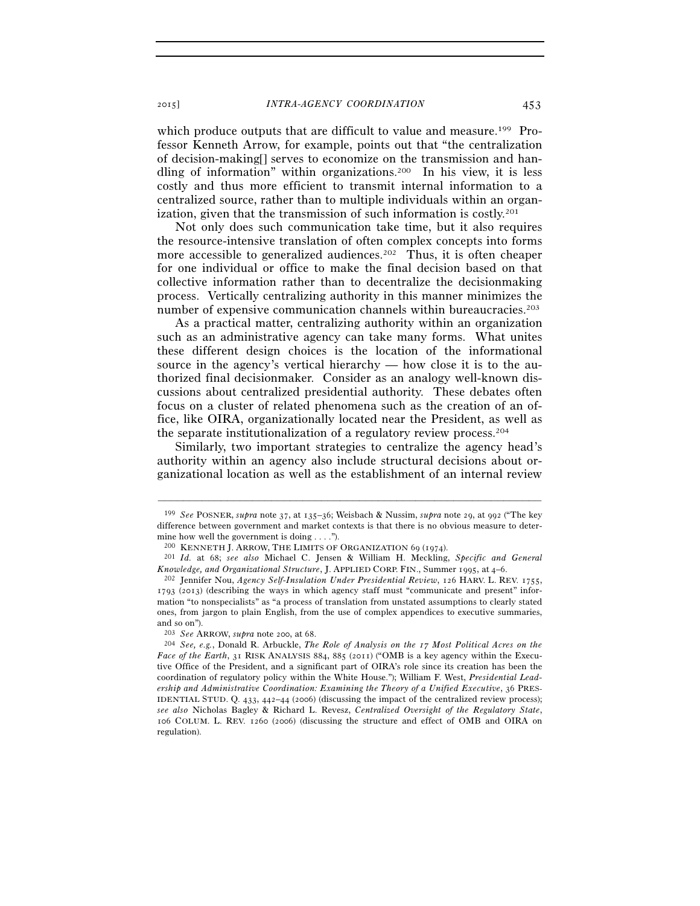which produce outputs that are difficult to value and measure.<sup>199</sup> Professor Kenneth Arrow, for example, points out that "the centralization of decision-making[] serves to economize on the transmission and handling of information" within organizations.200 In his view, it is less costly and thus more efficient to transmit internal information to a centralized source, rather than to multiple individuals within an organization, given that the transmission of such information is costly.<sup>201</sup>

Not only does such communication take time, but it also requires the resource-intensive translation of often complex concepts into forms more accessible to generalized audiences.<sup>202</sup> Thus, it is often cheaper for one individual or office to make the final decision based on that collective information rather than to decentralize the decisionmaking process. Vertically centralizing authority in this manner minimizes the number of expensive communication channels within bureaucracies.<sup>203</sup>

As a practical matter, centralizing authority within an organization such as an administrative agency can take many forms. What unites these different design choices is the location of the informational source in the agency's vertical hierarchy — how close it is to the authorized final decisionmaker. Consider as an analogy well-known discussions about centralized presidential authority. These debates often focus on a cluster of related phenomena such as the creation of an office, like OIRA, organizationally located near the President, as well as the separate institutionalization of a regulatory review process.204

Similarly, two important strategies to centralize the agency head's authority within an agency also include structural decisions about organizational location as well as the establishment of an internal review

<sup>199</sup> *See* POSNER, *supra* note 37, at 135–36; Weisbach & Nussim, *supra* note 29, at 992 ("The key difference between government and market contexts is that there is no obvious measure to determine how well the government is doing . . . .").<br> $^{200}$  KENNETH J. ARROW, THE LIMITS OF ORGANIZATION 69 (1974).

<sup>&</sup>lt;sup>201</sup> Id. at 68; see also Michael C. Jensen & William H. Meckling, Specific and General *Knowledge, and Organizational Structure*, J. APPLIED CORP. FIN., Summer <sup>1995</sup>, at <sup>4</sup>–6. 202 Jennifer Nou, *Agency Self-Insulation Under Presidential Review*, 126 HARV. L. REV. 1755,

<sup>1793</sup> (2013) (describing the ways in which agency staff must "communicate and present" information "to nonspecialists" as "a process of translation from unstated assumptions to clearly stated ones, from jargon to plain English, from the use of complex appendices to executive summaries, and so on").<br> $203 \text{ See } \text{ARROW}, \text{supra note } 200, \text{ at } 68.$ 

<sup>&</sup>lt;sup>204</sup> See, e.g., Donald R. Arbuckle, *The Role of Analysis on the 17 Most Political Acres on the Face of the Earth*, 31 RISK ANALYSIS 884, 885 (2011) ("OMB is a key agency within the Executive Office of the President, and a significant part of OIRA's role since its creation has been the coordination of regulatory policy within the White House."); William F. West, *Presidential Leadership and Administrative Coordination: Examining the Theory of a Unified Executive*, 36 PRES-IDENTIAL STUD. Q. 433, 442–44 (2006) (discussing the impact of the centralized review process); *see also* Nicholas Bagley & Richard L. Revesz, *Centralized Oversight of the Regulatory State*, 106 COLUM. L. REV. 1260 (2006) (discussing the structure and effect of OMB and OIRA on regulation).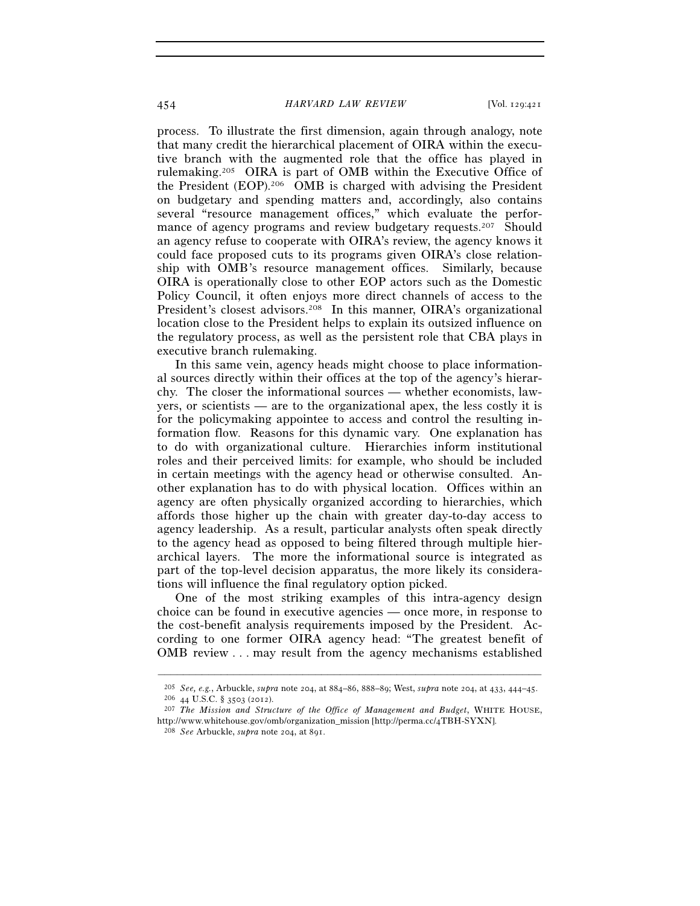process. To illustrate the first dimension, again through analogy, note that many credit the hierarchical placement of OIRA within the executive branch with the augmented role that the office has played in rulemaking.205 OIRA is part of OMB within the Executive Office of the President (EOP).206 OMB is charged with advising the President on budgetary and spending matters and, accordingly, also contains several "resource management offices," which evaluate the performance of agency programs and review budgetary requests.<sup>207</sup> Should an agency refuse to cooperate with OIRA's review, the agency knows it could face proposed cuts to its programs given OIRA's close relationship with OMB's resource management offices. Similarly, because OIRA is operationally close to other EOP actors such as the Domestic Policy Council, it often enjoys more direct channels of access to the President's closest advisors.<sup>208</sup> In this manner, OIRA's organizational location close to the President helps to explain its outsized influence on the regulatory process, as well as the persistent role that CBA plays in executive branch rulemaking.

In this same vein, agency heads might choose to place informational sources directly within their offices at the top of the agency's hierarchy. The closer the informational sources — whether economists, lawyers, or scientists — are to the organizational apex, the less costly it is for the policymaking appointee to access and control the resulting information flow. Reasons for this dynamic vary. One explanation has to do with organizational culture. Hierarchies inform institutional roles and their perceived limits: for example, who should be included in certain meetings with the agency head or otherwise consulted. Another explanation has to do with physical location. Offices within an agency are often physically organized according to hierarchies, which affords those higher up the chain with greater day-to-day access to agency leadership. As a result, particular analysts often speak directly to the agency head as opposed to being filtered through multiple hierarchical layers. The more the informational source is integrated as part of the top-level decision apparatus, the more likely its considerations will influence the final regulatory option picked.

One of the most striking examples of this intra-agency design choice can be found in executive agencies — once more, in response to the cost-benefit analysis requirements imposed by the President. According to one former OIRA agency head: "The greatest benefit of OMB review . . . may result from the agency mechanisms established

<sup>–––––––––––––––––––––––––––––––––––––––––––––––––––––––––––––</sup> <sup>205</sup> See, e.g., Arbuckle, *supra* note 204, at 884–86, 888–89; West, *supra* note 204, at 433, 444–45.<br><sup>206</sup> 44 U.S.C. § 3503 (2012).<br><sup>207</sup> The Mission and Structure of the Office of Management and Budget, WHITE HOUSE.

http://www.whitehouse.gov/omb/organization\_mission [http://perma.cc/4TBH-SYXN]. 208 *See* Arbuckle, *supra* note 204, at 891.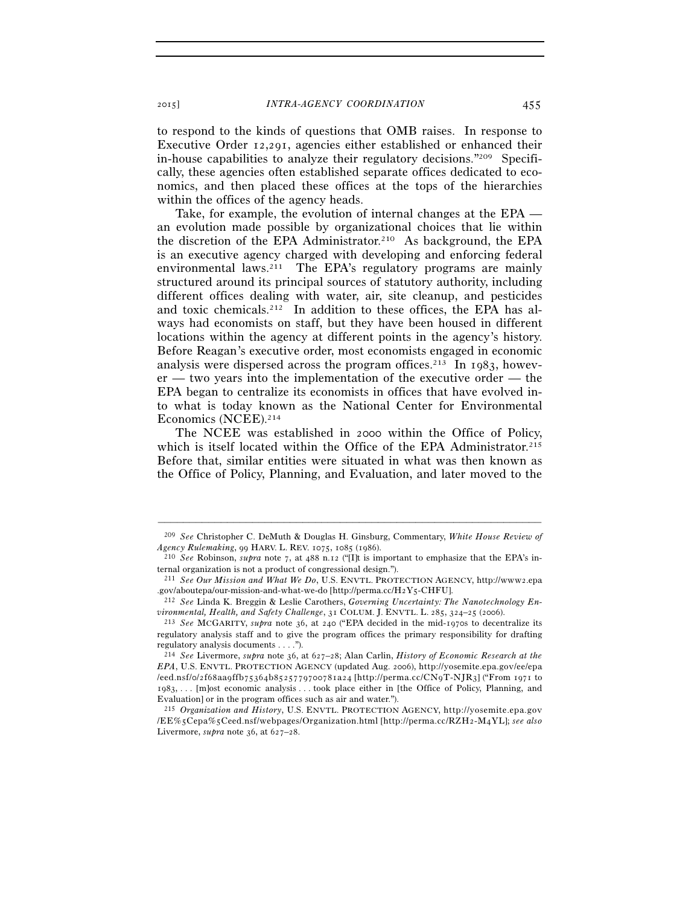to respond to the kinds of questions that OMB raises. In response to Executive Order 12,291, agencies either established or enhanced their in-house capabilities to analyze their regulatory decisions."209 Specifically, these agencies often established separate offices dedicated to economics, and then placed these offices at the tops of the hierarchies within the offices of the agency heads.

Take, for example, the evolution of internal changes at the EPA an evolution made possible by organizational choices that lie within the discretion of the EPA Administrator.210 As background, the EPA is an executive agency charged with developing and enforcing federal environmental laws.<sup>211</sup> The EPA's regulatory programs are mainly structured around its principal sources of statutory authority, including different offices dealing with water, air, site cleanup, and pesticides and toxic chemicals.<sup>212</sup> In addition to these offices, the EPA has always had economists on staff, but they have been housed in different locations within the agency at different points in the agency's history. Before Reagan's executive order, most economists engaged in economic analysis were dispersed across the program offices.<sup>213</sup> In 1983, however — two years into the implementation of the executive order — the EPA began to centralize its economists in offices that have evolved into what is today known as the National Center for Environmental Economics (NCEE).214

The NCEE was established in 2000 within the Office of Policy, which is itself located within the Office of the EPA Administrator.<sup>215</sup> Before that, similar entities were situated in what was then known as the Office of Policy, Planning, and Evaluation, and later moved to the

<sup>–––––––––––––––––––––––––––––––––––––––––––––––––––––––––––––</sup> 209 *See* Christopher C. DeMuth & Douglas H. Ginsburg, Commentary, *White House Review of* 

<sup>&</sup>lt;sup>210</sup> See Robinson, *supra* note 7, at 488 n.12 ("[I]t is important to emphasize that the EPA's internal organization is not a product of congressional design.").

<sup>211</sup> *See Our Mission and What We Do*, U.S. ENVTL. PROTECTION AGENCY, http://www2.epa .gov/aboutepa/our-mission-and-what-we-do [http://perma.cc/H2Y5-CHFU]. 212 *See* Linda K. Breggin & Leslie Carothers, *Governing Uncertainty: The Nanotechnology En-*

*vironmental, Health, and Safety Challenge*, 31 COLUM. J. ENVTL. L. <sup>285</sup>, 324–25 (2006). 213 *See* MCGARITY, *supra* note 36, at 240 ("EPA decided in the mid-1970s to decentralize its

regulatory analysis staff and to give the program offices the primary responsibility for drafting regulatory analysis documents . . . .").

<sup>214</sup> *See* Livermore, *supra* note 36, at 627–28; Alan Carlin, *History of Economic Research at the EPA*, U.S. ENVTL. PROTECTION AGENCY (updated Aug. 2006), http://yosemite.epa.gov/ee/epa /eed.nsf/o/2f68aa9ffb75364b8525779700781a24 [http://perma.cc/CN9T-NJR3] ("From 1971 to 1983, . . . [m]ost economic analysis . . . took place either in [the Office of Policy, Planning, and Evaluation] or in the program offices such as air and water.").

<sup>&</sup>lt;sup>215</sup> *Organization and History*, U.S. ENVTL. PROTECTION AGENCY, http://yosemite.epa.gov / E E % 5 C e p a % 5 C e e d . n s f / w e b p a g e s / O r g a n i z a t i o n . h t m l [h t t p : / / p e r m a . c c / R Z H 2 - M 4 Y L]; *see also* Livermore, *supra* note 36, at 627–28.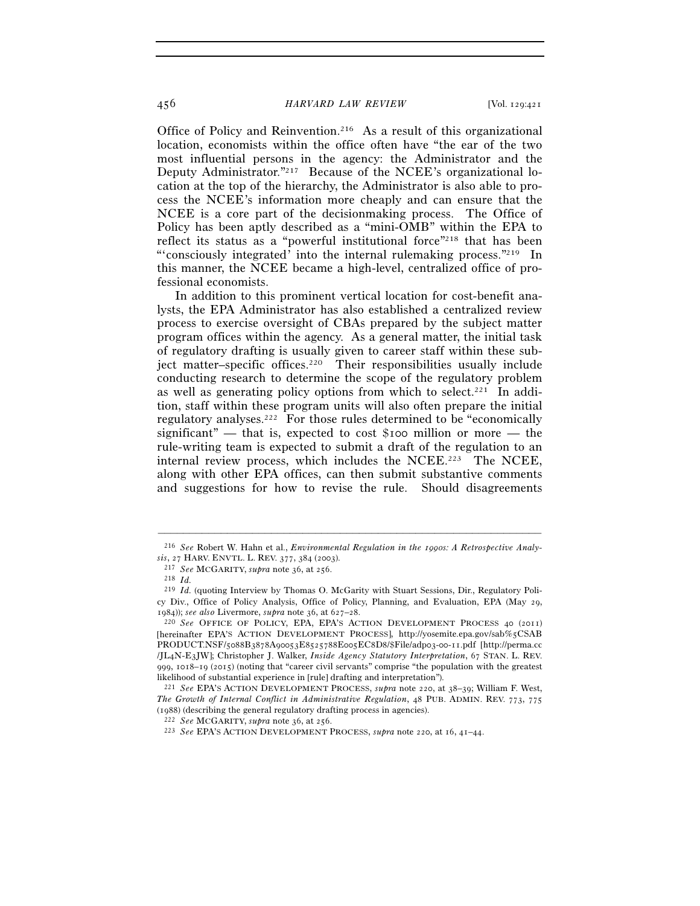Office of Policy and Reinvention.216 As a result of this organizational location, economists within the office often have "the ear of the two most influential persons in the agency: the Administrator and the Deputy Administrator."217 Because of the NCEE's organizational location at the top of the hierarchy, the Administrator is also able to process the NCEE's information more cheaply and can ensure that the NCEE is a core part of the decisionmaking process. The Office of Policy has been aptly described as a "mini-OMB" within the EPA to reflect its status as a "powerful institutional force"218 that has been "'consciously integrated' into the internal rulemaking process."219 In this manner, the NCEE became a high-level, centralized office of professional economists.

In addition to this prominent vertical location for cost-benefit analysts, the EPA Administrator has also established a centralized review process to exercise oversight of CBAs prepared by the subject matter program offices within the agency. As a general matter, the initial task of regulatory drafting is usually given to career staff within these subject matter–specific offices.<sup>220</sup> Their responsibilities usually include conducting research to determine the scope of the regulatory problem as well as generating policy options from which to select.<sup>221</sup> In addition, staff within these program units will also often prepare the initial regulatory analyses.222 For those rules determined to be "economically significant" — that is, expected to cost \$100 million or more — the rule-writing team is expected to submit a draft of the regulation to an internal review process, which includes the NCEE.<sup>223</sup> The NCEE, along with other EPA offices, can then submit substantive comments and suggestions for how to revise the rule. Should disagreements

<sup>–––––––––––––––––––––––––––––––––––––––––––––––––––––––––––––</sup> 216 *See* Robert W. Hahn et al., *Environmental Regulation in the 1990s: A Retrospective Analysis*, 27 HARV. ENVTL. L. REV. 377, 384 (2003). 217 *See* MCGARITY, *supra* note 36, at 256. 218 *Id.*

<sup>&</sup>lt;sup>219</sup> *Id.* (quoting Interview by Thomas O. McGarity with Stuart Sessions, Dir., Regulatory Policy Div., Office of Policy Analysis, Office of Policy, Planning, and Evaluation, EPA (May 29, <sup>1984</sup>)); *see also* Livermore, *supra* note 36, at 627–28. 220 *See* OFFICE OF POLICY, EPA, EPA'S ACTION DEVELOPMENT PROCESS <sup>40</sup> (2011)

<sup>[</sup>hereinafter EPA'S ACTION DEVELOPMENT PROCESS], http://yosemite.epa.gov/sab%5CSAB PRODUCT.NSF/5088B3878A90053E8525788E005EC8D8/\$File/adp03-00-11.pdf [http://perma.cc /JL4N-E3JW]; Christopher J. Walker, *Inside Agency Statutory Interpretation*, 67 STAN. L. REV. 999,  $1018-19$  ( $2015$ ) (noting that "career civil servants" comprise "the population with the greatest likelihood of substantial experience in [rule] drafting and interpretation").

likelihood of substantial experience in [rule] drafting and interpretation"). 221 *See* EPA'S ACTION DEVELOPMENT PROCESS, *supra* note 220, at 38–39; William F. West, *The Growth of Internal Conflict in Administrative Regulation*, 48 PUB. ADMIN. REV. 773, 775 (1988) (describing the general regulatory drafting process in agencies).

<sup>(</sup>1988) (describing the general regulatory drafting process in agencies). 222 *See* MCGARITY, *supra* note 36, at 256. 223 *See* EPA'S ACTION DEVELOPMENT PROCESS, *supra* note 220, at 16, 41–44.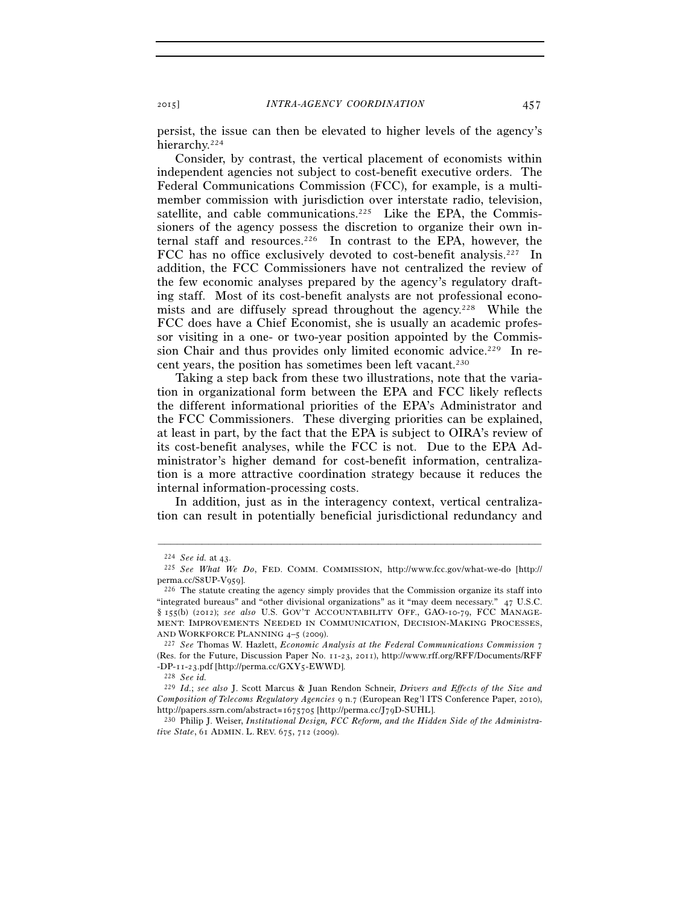persist, the issue can then be elevated to higher levels of the agency's hierarchy.224

Consider, by contrast, the vertical placement of economists within independent agencies not subject to cost-benefit executive orders. The Federal Communications Commission (FCC), for example, is a multimember commission with jurisdiction over interstate radio, television, satellite, and cable communications.<sup>225</sup> Like the EPA, the Commissioners of the agency possess the discretion to organize their own internal staff and resources.226 In contrast to the EPA, however, the FCC has no office exclusively devoted to cost-benefit analysis.227 In addition, the FCC Commissioners have not centralized the review of the few economic analyses prepared by the agency's regulatory drafting staff. Most of its cost-benefit analysts are not professional economists and are diffusely spread throughout the agency.<sup>228</sup> While the FCC does have a Chief Economist, she is usually an academic professor visiting in a one- or two-year position appointed by the Commission Chair and thus provides only limited economic advice.229 In recent years, the position has sometimes been left vacant.230

Taking a step back from these two illustrations, note that the variation in organizational form between the EPA and FCC likely reflects the different informational priorities of the EPA's Administrator and the FCC Commissioners. These diverging priorities can be explained, at least in part, by the fact that the EPA is subject to OIRA's review of its cost-benefit analyses, while the FCC is not. Due to the EPA Administrator's higher demand for cost-benefit information, centralization is a more attractive coordination strategy because it reduces the internal information-processing costs.

In addition, just as in the interagency context, vertical centralization can result in potentially beneficial jurisdictional redundancy and

<sup>224</sup> *See id.* at 43. 225 *See What We Do*, FED. COMM. COMMISSION, http://www.fcc.gov/what-we-do [http:// perma.cc/S8UP-V959].<br><sup>226</sup> The statute creating the agency simply provides that the Commission organize its staff into

<sup>&</sup>quot;integrated bureaus" and "other divisional organizations" as it "may deem necessary." 47 U.S.C. § 155(b) (2012); *see also* U.S. GOV'T ACCOUNTABILITY OFF., GAO-10-79, FCC MANAGE-MENT: IMPROVEMENTS NEEDED IN COMMUNICATION, DECISION-MAKING PROCESSES, AND WORKFORCE PLANNING <sup>4</sup>–5 (2009). 227 *See* Thomas W. Hazlett, *Economic Analysis at the Federal Communications Commission* <sup>7</sup>

<sup>(</sup>Res. for the Future, Discussion Paper No. 11-23, 2011), http://www.rff.org/RFF/Documents/RFF -DP-11-23.pdf [http://perma.cc/GXY5-EWWD]. 228 *See id.* 

<sup>229</sup> *Id.*; *see also* J. Scott Marcus & Juan Rendon Schneir, *Drivers and Effects of the Size and Composition of Telecoms Regulatory Agencies* 9 n.7 (European Reg'l ITS Conference Paper, 2010),

<sup>&</sup>lt;sup>230</sup> Philip J. Weiser, *Institutional Design, FCC Reform, and the Hidden Side of the Administrative State*, 61 ADMIN. L. REV. 675, 712 (2009).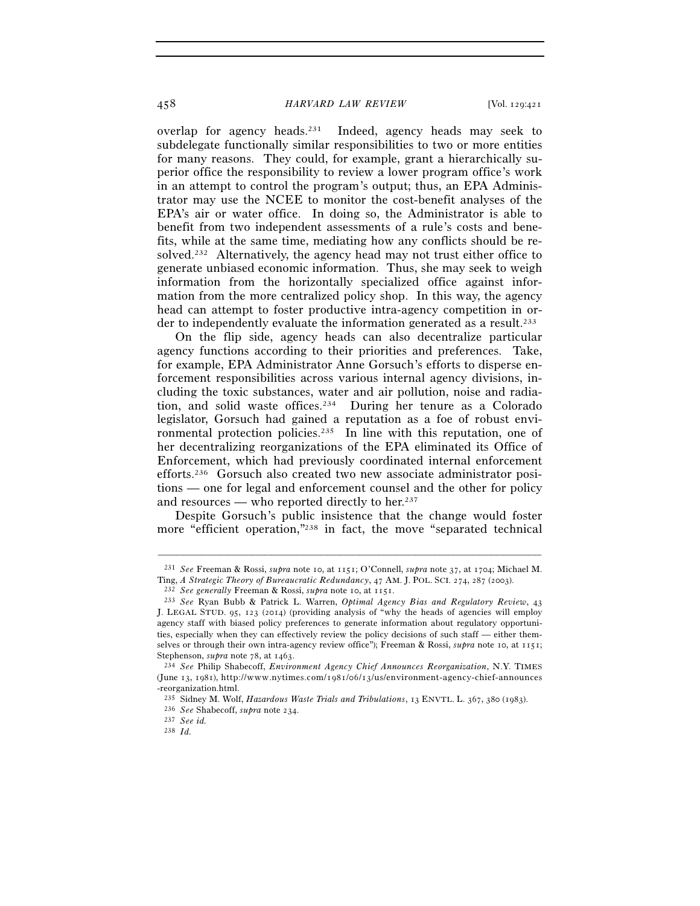overlap for agency heads.231 Indeed, agency heads may seek to subdelegate functionally similar responsibilities to two or more entities for many reasons. They could, for example, grant a hierarchically superior office the responsibility to review a lower program office's work in an attempt to control the program's output; thus, an EPA Administrator may use the NCEE to monitor the cost-benefit analyses of the EPA's air or water office. In doing so, the Administrator is able to benefit from two independent assessments of a rule's costs and benefits, while at the same time, mediating how any conflicts should be resolved.232 Alternatively, the agency head may not trust either office to generate unbiased economic information. Thus, she may seek to weigh information from the horizontally specialized office against information from the more centralized policy shop. In this way, the agency head can attempt to foster productive intra-agency competition in order to independently evaluate the information generated as a result.233

On the flip side, agency heads can also decentralize particular agency functions according to their priorities and preferences. Take, for example, EPA Administrator Anne Gorsuch's efforts to disperse enforcement responsibilities across various internal agency divisions, including the toxic substances, water and air pollution, noise and radiation, and solid waste offices.234 During her tenure as a Colorado legislator, Gorsuch had gained a reputation as a foe of robust environmental protection policies.235 In line with this reputation, one of her decentralizing reorganizations of the EPA eliminated its Office of Enforcement, which had previously coordinated internal enforcement efforts.236 Gorsuch also created two new associate administrator positions — one for legal and enforcement counsel and the other for policy and resources — who reported directly to her.<sup>237</sup>

Despite Gorsuch's public insistence that the change would foster more "efficient operation,"238 in fact, the move "separated technical

<sup>–––––––––––––––––––––––––––––––––––––––––––––––––––––––––––––</sup> <sup>231</sup> *See* Freeman & Rossi, *supra* note 10, at 1151; O'Connell, *supra* note 37, at 1704; Michael M. Ting, A Strategic Theory of Bureaucratic Redundancy, 47 AM. J. POL. SCI. 274, 287 (2003).

<sup>&</sup>lt;sup>232</sup> See generally Freeman & Rossi, *supra* note 10, at 1151.<br><sup>233</sup> See Ryan Bubb & Patrick L. Warren, *Optimal Agency Bias and Regulatory Review*, 43 J. LEGAL STUD. 95, 123 (2014) (providing analysis of "why the heads of agencies will employ agency staff with biased policy preferences to generate information about regulatory opportunities, especially when they can effectively review the policy decisions of such staff — either themselves or through their own intra-agency review office"); Freeman & Rossi, *supra* note 10, at 1151; Stephenson, *supra* note 78, at 1463. 234 *See* Philip Shabecoff, *Environment Agency Chief Announces Reorganization*, N.Y. TIMES

<sup>(</sup>June 13, 1981), http://www.nytimes.com/1981/06/13/us/environment-agency-chief-announces -reorganization.html.

<sup>235</sup> Sidney M. Wolf, *Hazardous Waste Trials and Tribulations*, <sup>13</sup> ENVTL. L. 367, 380 (1983). 236 *See* Shabecoff, *supra* note 234. 237 *See id.*

<sup>238</sup> *Id.*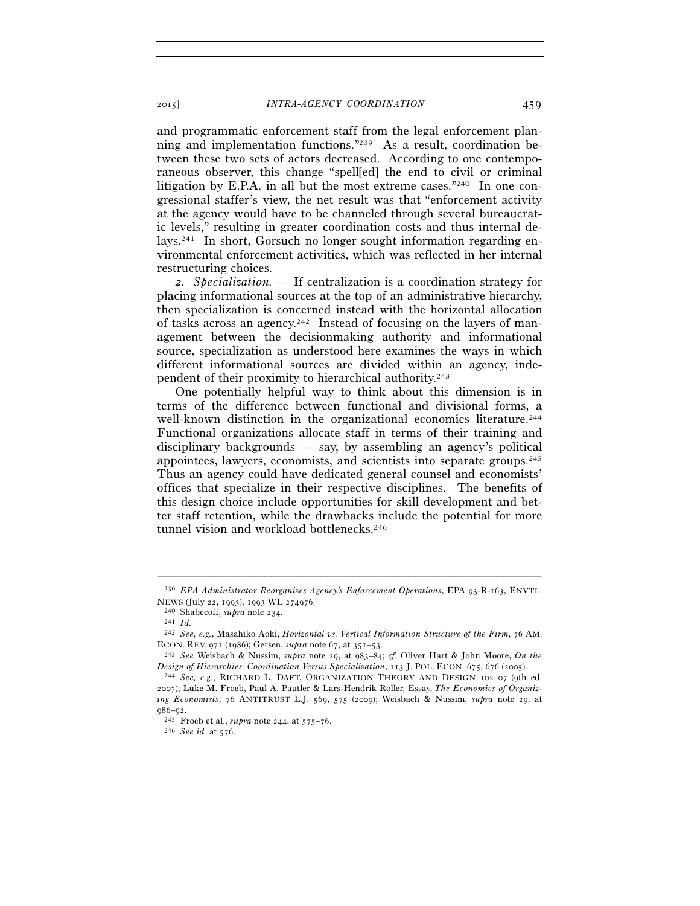and programmatic enforcement staff from the legal enforcement planning and implementation functions."239 As a result, coordination between these two sets of actors decreased. According to one contemporaneous observer, this change "spell[ed] the end to civil or criminal litigation by E.P.A. in all but the most extreme cases."240 In one congressional staffer's view, the net result was that "enforcement activity at the agency would have to be channeled through several bureaucratic levels," resulting in greater coordination costs and thus internal delays.241 In short, Gorsuch no longer sought information regarding environmental enforcement activities, which was reflected in her internal restructuring choices.

*2. Specialization.* — If centralization is a coordination strategy for placing informational sources at the top of an administrative hierarchy, then specialization is concerned instead with the horizontal allocation of tasks across an agency.242 Instead of focusing on the layers of management between the decisionmaking authority and informational source, specialization as understood here examines the ways in which different informational sources are divided within an agency, independent of their proximity to hierarchical authority.243

One potentially helpful way to think about this dimension is in terms of the difference between functional and divisional forms, a well-known distinction in the organizational economics literature.<sup>244</sup> Functional organizations allocate staff in terms of their training and disciplinary backgrounds — say, by assembling an agency's political appointees, lawyers, economists, and scientists into separate groups.245 Thus an agency could have dedicated general counsel and economists' offices that specialize in their respective disciplines. The benefits of this design choice include opportunities for skill development and better staff retention, while the drawbacks include the potential for more tunnel vision and workload bottlenecks.<sup>246</sup>

<sup>–––––––––––––––––––––––––––––––––––––––––––––––––––––––––––––</sup> 239 *EPA Administrator Reorganizes Agency's Enforcement Operations*, EPA 93-R-163, ENVTL. NEWS (July 22, 1993), 1993 WL 274976. 240 Shabecoff, *supra* note 234. 241 *Id.*

<sup>242</sup> *See, e.g.*, Masahiko Aoki, *Horizontal vs. Vertical Information Structure of the Firm*, 76 AM. ECON. REV. <sup>971</sup> (1986); Gersen, *supra* note 67, at 351–53. 243 *See* Weisbach & Nussim, *supra* note 29, at 983–84; *cf.* Oliver Hart & John Moore, *On the* 

*Design of Hierarchies: Coordination Versus Specialization*, 113 J. POL. ECON. 675, 676 (2005). 244 *See, e.g.*, RICHARD L. DAFT, ORGANIZATION THEORY AND DESIGN <sup>102</sup>–<sup>07</sup> (9th ed.

<sup>2007</sup>); Luke M. Froeb, Paul A. Pautler & Lars-Hendrik Röller, Essay, *The Economics of Organizing Economists*, 76 ANTITRUST L.J. 569, 575 (2009); Weisbach & Nussim, *supra* note 29, at

<sup>986</sup>–92. 245 Froeb et al., *supra* note 244, at 575–76. 246 *See id.* at 576.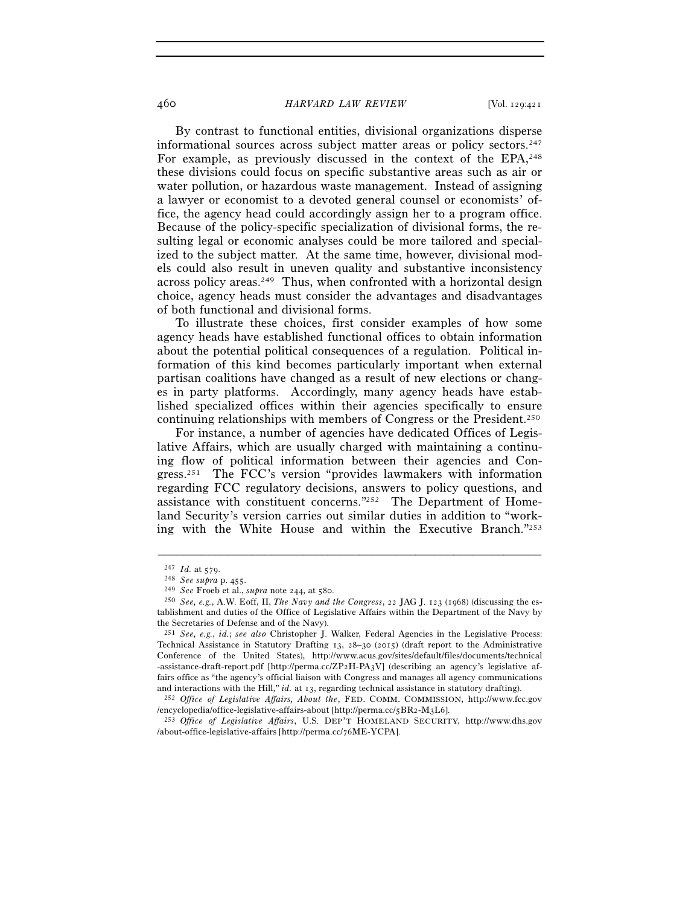By contrast to functional entities, divisional organizations disperse informational sources across subject matter areas or policy sectors.247 For example, as previously discussed in the context of the EPA,  $248$ these divisions could focus on specific substantive areas such as air or water pollution, or hazardous waste management. Instead of assigning a lawyer or economist to a devoted general counsel or economists' office, the agency head could accordingly assign her to a program office. Because of the policy-specific specialization of divisional forms, the resulting legal or economic analyses could be more tailored and specialized to the subject matter. At the same time, however, divisional models could also result in uneven quality and substantive inconsistency across policy areas.<sup>249</sup> Thus, when confronted with a horizontal design choice, agency heads must consider the advantages and disadvantages of both functional and divisional forms.

To illustrate these choices, first consider examples of how some agency heads have established functional offices to obtain information about the potential political consequences of a regulation. Political information of this kind becomes particularly important when external partisan coalitions have changed as a result of new elections or changes in party platforms. Accordingly, many agency heads have established specialized offices within their agencies specifically to ensure continuing relationships with members of Congress or the President.250

For instance, a number of agencies have dedicated Offices of Legislative Affairs, which are usually charged with maintaining a continuing flow of political information between their agencies and Congress.251 The FCC's version "provides lawmakers with information regarding FCC regulatory decisions, answers to policy questions, and assistance with constituent concerns."252 The Department of Homeland Security's version carries out similar duties in addition to "working with the White House and within the Executive Branch."253

<sup>247</sup> *Id.* at 579. 248 *See supra* p. 455. 249 *See* Froeb et al., *supra* note 244, at 580. 250 *See, e.g.*, A.W. Eoff, II, *The Navy and the Congress*, 22 JAG J. 123 (1968) (discussing the establishment and duties of the Office of Legislative Affairs within the Department of the Navy by the Secretaries of Defense and of the Navy).

<sup>251</sup> *See, e.g.*, *id.*; *see also* Christopher J. Walker, Federal Agencies in the Legislative Process: Technical Assistance in Statutory Drafting 13, 28–30 (2015) (draft report to the Administrative Conference of the United States), http://www.acus.gov/sites/default/files/documents/technical -assistance-draft-report.pdf [http://perma.cc/ZP2H-PA3V] (describing an agency's legislative affairs office as "the agency's official liaison with Congress and manages all agency communications

and interactions with the Hill," *id.* at 13, regarding technical assistance in statutory drafting).<br><sup>252</sup> *Office of Legislative Affairs, About the*, FED. COMM. COMMISSION, http://www.fcc.gov<br>/encyclopedia/office-legislat

<sup>&</sup>lt;sup>253</sup> Office of Legislative Affairs, U.S. DEP'T HOMELAND SECURITY, http://www.dhs.gov /about-office-legislative-affairs [http://perma.cc/76ME-YCPA].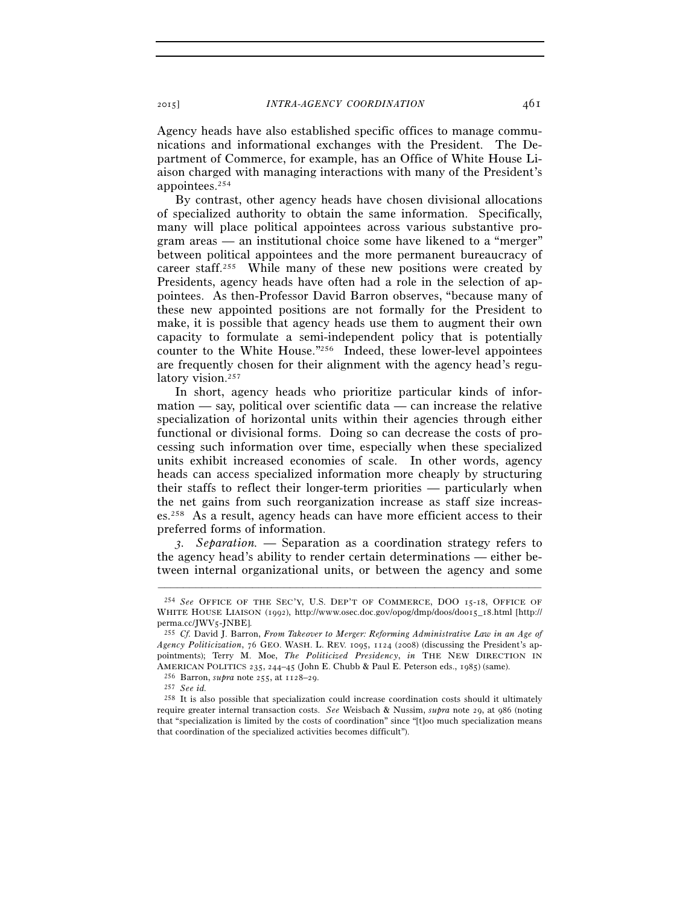Agency heads have also established specific offices to manage communications and informational exchanges with the President. The Department of Commerce, for example, has an Office of White House Liaison charged with managing interactions with many of the President's appointees.254

By contrast, other agency heads have chosen divisional allocations of specialized authority to obtain the same information. Specifically, many will place political appointees across various substantive program areas — an institutional choice some have likened to a "merger" between political appointees and the more permanent bureaucracy of career staff.255 While many of these new positions were created by Presidents, agency heads have often had a role in the selection of appointees. As then-Professor David Barron observes, "because many of these new appointed positions are not formally for the President to make, it is possible that agency heads use them to augment their own capacity to formulate a semi-independent policy that is potentially counter to the White House."256 Indeed, these lower-level appointees are frequently chosen for their alignment with the agency head's regulatory vision.<sup>257</sup>

In short, agency heads who prioritize particular kinds of infor $mation$  — say, political over scientific data — can increase the relative specialization of horizontal units within their agencies through either functional or divisional forms. Doing so can decrease the costs of processing such information over time, especially when these specialized units exhibit increased economies of scale. In other words, agency heads can access specialized information more cheaply by structuring their staffs to reflect their longer-term priorities — particularly when the net gains from such reorganization increase as staff size increases.258 As a result, agency heads can have more efficient access to their preferred forms of information.

*3. Separation.* — Separation as a coordination strategy refers to the agency head's ability to render certain determinations — either between internal organizational units, or between the agency and some

<sup>254</sup> *See* OFFICE OF THE SEC'Y, U.S. DEP'T OF COMMERCE, DOO 15-18, OFFICE OF WHITE HOUSE LIAISON (1992), http://www.osec.doc.gov/opog/dmp/doos/doo15\_18.html [http:// perma.cc/JWV5-JNBE]. 255 *Cf.* David J. Barron, *From Takeover to Merger: Reforming Administrative Law in an Age of* 

*Agency Politicization*, 76 GEO. WASH. L. REV. 1095, 1124 (2008) (discussing the President's appointments); Terry M. Moe, *The Politicized Presidency*, *in* THE NEW DIRECTION IN AMERICAN POLITICS 235, 244–45 (John E. Chubb & Paul E. Peterson eds., 1985) (same).<br><sup>256</sup> Barron, *supra* note 255, at 1128–29.<br><sup>257</sup> *See id.* 

<sup>258</sup> It is also possible that specialization could increase coordination costs should it ultimately require greater internal transaction costs. *See* Weisbach & Nussim, *supra* note 29, at 986 (noting that "specialization is limited by the costs of coordination" since "[t]oo much specialization means that coordination of the specialized activities becomes difficult").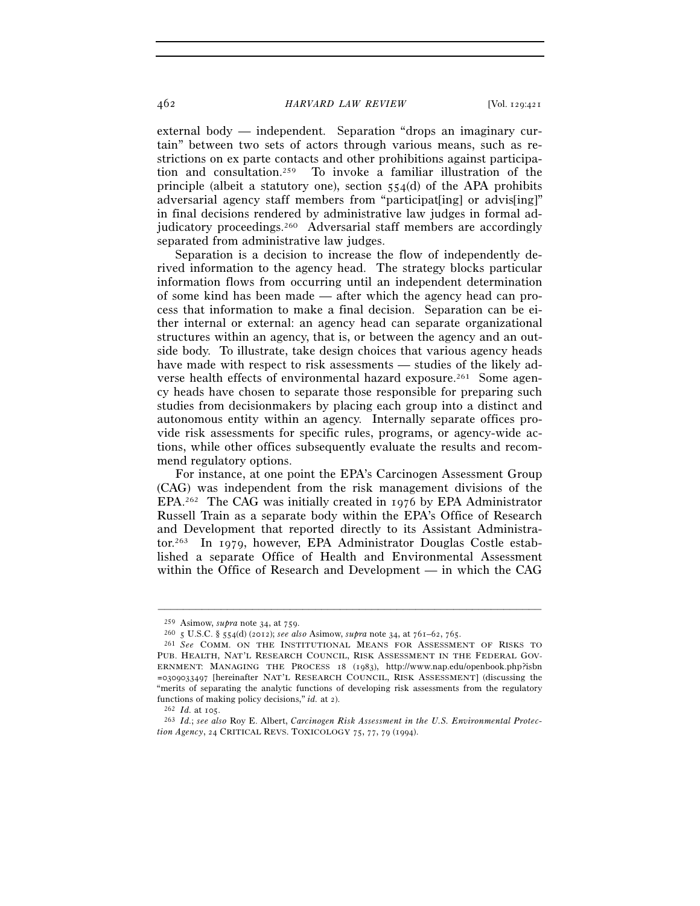external body — independent. Separation "drops an imaginary curtain" between two sets of actors through various means, such as restrictions on ex parte contacts and other prohibitions against participation and consultation.259 To invoke a familiar illustration of the principle (albeit a statutory one), section 554(d) of the APA prohibits adversarial agency staff members from "participat[ing] or advis[ing]" in final decisions rendered by administrative law judges in formal adjudicatory proceedings.<sup>260</sup> Adversarial staff members are accordingly separated from administrative law judges.

Separation is a decision to increase the flow of independently derived information to the agency head. The strategy blocks particular information flows from occurring until an independent determination of some kind has been made — after which the agency head can process that information to make a final decision. Separation can be either internal or external: an agency head can separate organizational structures within an agency, that is, or between the agency and an outside body. To illustrate, take design choices that various agency heads have made with respect to risk assessments — studies of the likely adverse health effects of environmental hazard exposure.<sup>261</sup> Some agency heads have chosen to separate those responsible for preparing such studies from decisionmakers by placing each group into a distinct and autonomous entity within an agency. Internally separate offices provide risk assessments for specific rules, programs, or agency-wide actions, while other offices subsequently evaluate the results and recommend regulatory options.

For instance, at one point the EPA's Carcinogen Assessment Group (CAG) was independent from the risk management divisions of the EPA.262 The CAG was initially created in 1976 by EPA Administrator Russell Train as a separate body within the EPA's Office of Research and Development that reported directly to its Assistant Administrator.263 In 1979, however, EPA Administrator Douglas Costle established a separate Office of Health and Environmental Assessment within the Office of Research and Development — in which the CAG

<sup>259</sup> Asimow, *supra* note 34, at 759. 260 <sup>5</sup> U.S.C. § 554(d) (2012); *see also* Asimow, *supra* note 34, at 761–62, 765. 261 *See* COMM. ON THE INSTITUTIONAL MEANS FOR ASSESSMENT OF RISKS TO PUB. HEALTH, NAT'L RESEARCH COUNCIL, RISK ASSESSMENT IN THE FEDERAL GOV-ERNMENT: MANAGING THE PROCESS 18 (1983), http://www.nap.edu/openbook.php?isbn =0309033497 [hereinafter NAT'L RESEARCH COUNCIL, RISK ASSESSMENT] (discussing the "merits of separating the analytic functions of developing risk assessments from the regulatory functions of making policy decisions," *id.* at 2). 262 *Id.* at 105. 263 *Id.*; *see also* Roy E. Albert, *Carcinogen Risk Assessment in the U.S. Environmental Protec-*

*tion Agency*, 24 CRITICAL REVS. TOXICOLOGY 75, 77, 79 (1994).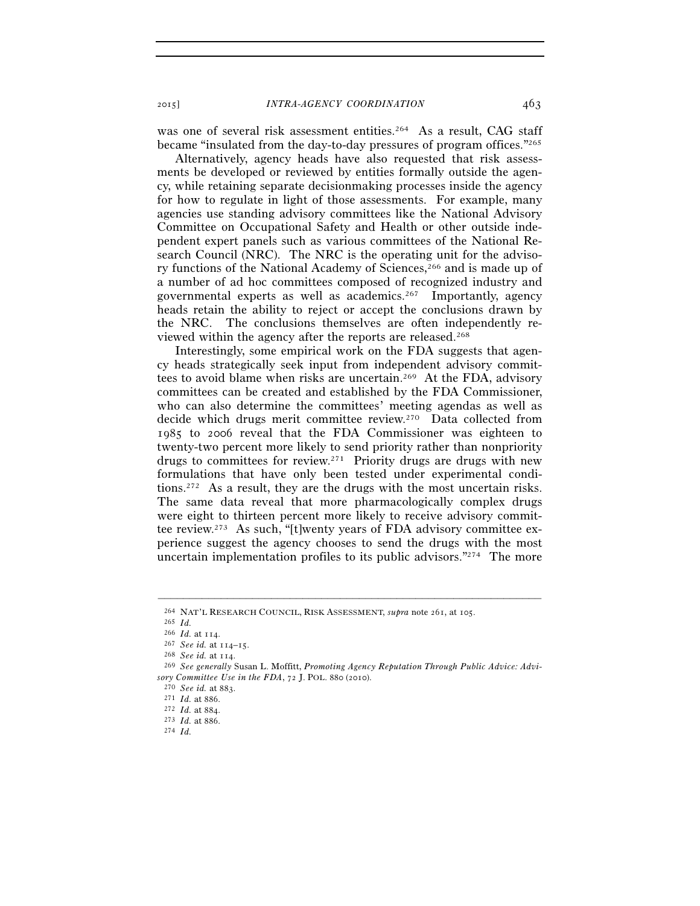was one of several risk assessment entities.<sup>264</sup> As a result, CAG staff became "insulated from the day-to-day pressures of program offices."265

Alternatively, agency heads have also requested that risk assessments be developed or reviewed by entities formally outside the agency, while retaining separate decisionmaking processes inside the agency for how to regulate in light of those assessments. For example, many agencies use standing advisory committees like the National Advisory Committee on Occupational Safety and Health or other outside independent expert panels such as various committees of the National Research Council (NRC). The NRC is the operating unit for the advisory functions of the National Academy of Sciences,266 and is made up of a number of ad hoc committees composed of recognized industry and governmental experts as well as academics.<sup>267</sup> Importantly, agency heads retain the ability to reject or accept the conclusions drawn by the NRC. The conclusions themselves are often independently reviewed within the agency after the reports are released.268

Interestingly, some empirical work on the FDA suggests that agency heads strategically seek input from independent advisory committees to avoid blame when risks are uncertain.269 At the FDA, advisory committees can be created and established by the FDA Commissioner, who can also determine the committees' meeting agendas as well as decide which drugs merit committee review.270 Data collected from 1985 to 2006 reveal that the FDA Commissioner was eighteen to twenty-two percent more likely to send priority rather than nonpriority drugs to committees for review.271 Priority drugs are drugs with new formulations that have only been tested under experimental conditions.272 As a result, they are the drugs with the most uncertain risks. The same data reveal that more pharmacologically complex drugs were eight to thirteen percent more likely to receive advisory committee review.273 As such, "[t]wenty years of FDA advisory committee experience suggest the agency chooses to send the drugs with the most uncertain implementation profiles to its public advisors."274 The more

<sup>264</sup> NAT'L RESEARCH COUNCIL, RISK ASSESSMENT, *supra* note 261, at 105. 265 *Id.* 

<sup>266</sup> *Id.* at 114. 267 *See id.* at 114–15. 268 *See id.* at 114. 269 *See generally* Susan L. Moffitt, *Promoting Agency Reputation Through Public Advice: Advisory Committee Use in the FDA*, 72 J. POL. 880 (2010). 270 *See id.* at 883. 271 *Id.* at 886. 272 *Id.* at 884. 273 *Id.* at 886. 274 *Id.*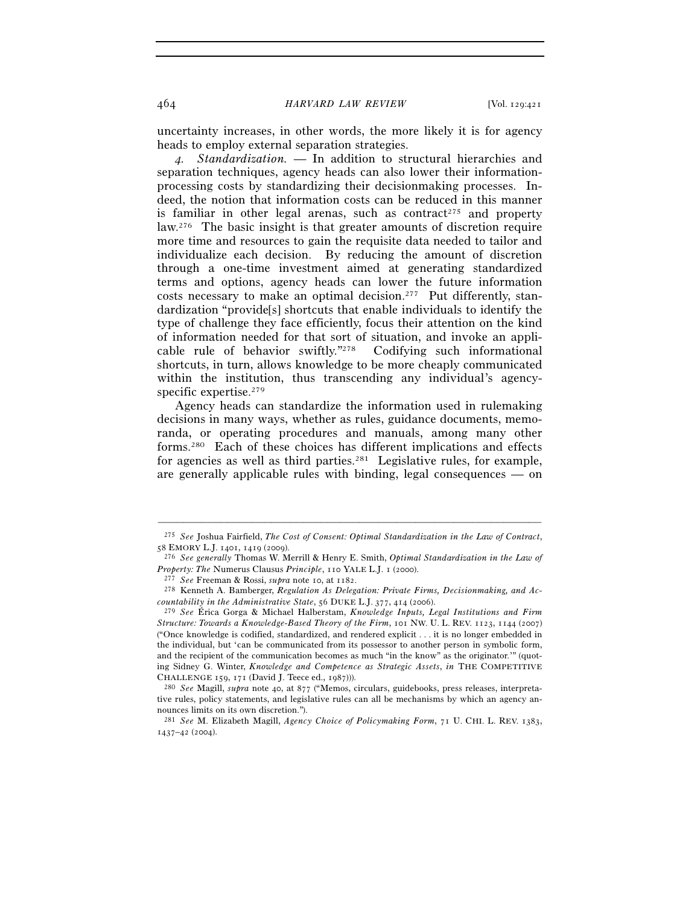uncertainty increases, in other words, the more likely it is for agency heads to employ external separation strategies.

*4. Standardization.* — In addition to structural hierarchies and separation techniques, agency heads can also lower their informationprocessing costs by standardizing their decisionmaking processes. Indeed, the notion that information costs can be reduced in this manner is familiar in other legal arenas, such as contract<sup>275</sup> and property law.276 The basic insight is that greater amounts of discretion require more time and resources to gain the requisite data needed to tailor and individualize each decision. By reducing the amount of discretion through a one-time investment aimed at generating standardized terms and options, agency heads can lower the future information costs necessary to make an optimal decision.277 Put differently, standardization "provide[s] shortcuts that enable individuals to identify the type of challenge they face efficiently, focus their attention on the kind of information needed for that sort of situation, and invoke an applicable rule of behavior swiftly."278 Codifying such informational shortcuts, in turn, allows knowledge to be more cheaply communicated within the institution, thus transcending any individual's agencyspecific expertise.<sup>279</sup>

Agency heads can standardize the information used in rulemaking decisions in many ways, whether as rules, guidance documents, memoranda, or operating procedures and manuals, among many other forms.280 Each of these choices has different implications and effects for agencies as well as third parties.<sup>281</sup> Legislative rules, for example, are generally applicable rules with binding, legal consequences — on

<sup>–––––––––––––––––––––––––––––––––––––––––––––––––––––––––––––</sup> 275 *See* Joshua Fairfield, *The Cost of Consent: Optimal Standardization in the Law of Contract*,

<sup>&</sup>lt;sup>276</sup> See generally Thomas W. Merrill & Henry E. Smith, *Optimal Standardization in the Law of* Property: The Numerus Clausus Principle, 110 YALE L.J. 1 (2000).<br><sup>277</sup> See Freeman & Rossi, supra note 10, at 1182.<br><sup>278</sup> Kenneth A. Bamberger, *Regulation As Delegation: Private Firms, Decisionmaking, and Ac-*

*countability in the Administrative State*, 56 DUKE L.J. 377, 414 (2006).

<sup>279</sup> *See* Érica Gorga & Michael Halberstam, *Knowledge Inputs, Legal Institutions and Firm Structure: Towards a Knowledge-Based Theory of the Firm*, 101 NW. U. L. REV. 1123, 1144 (2007) ("Once knowledge is codified, standardized, and rendered explicit . . . it is no longer embedded in the individual, but 'can be communicated from its possessor to another person in symbolic form, and the recipient of the communication becomes as much "in the know" as the originator.'" (quoting Sidney G. Winter, *Knowledge and Competence as Strategic Assets*, *in* THE COMPETITIVE CHALLENGE 159, 171 (David J. Teece ed., 1987))).

<sup>&</sup>lt;sup>280</sup> *See* Magill, *supra* note 40, at 877 ("Memos, circulars, guidebooks, press releases, interpretative rules, policy statements, and legislative rules can all be mechanisms by which an agency announces limits on its own discretion.").

<sup>281</sup> *See* M. Elizabeth Magill, *Agency Choice of Policymaking Form*, 71 U. CHI. L. REV. 1383, 1437–42 (2004).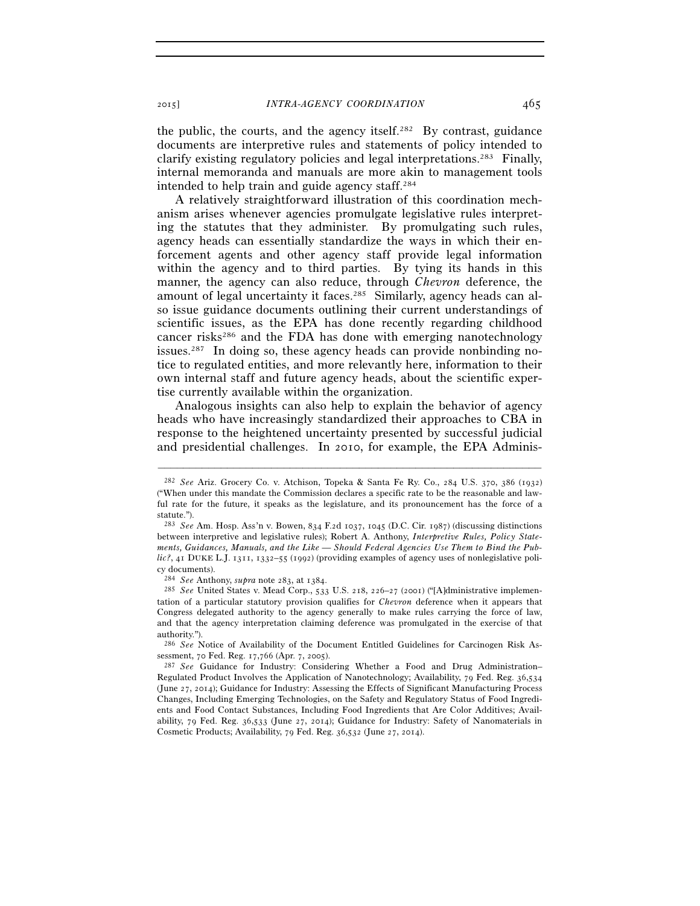the public, the courts, and the agency itself.282 By contrast, guidance documents are interpretive rules and statements of policy intended to clarify existing regulatory policies and legal interpretations.283 Finally, internal memoranda and manuals are more akin to management tools intended to help train and guide agency staff.284

A relatively straightforward illustration of this coordination mechanism arises whenever agencies promulgate legislative rules interpreting the statutes that they administer. By promulgating such rules, agency heads can essentially standardize the ways in which their enforcement agents and other agency staff provide legal information within the agency and to third parties. By tying its hands in this manner, the agency can also reduce, through *Chevron* deference, the amount of legal uncertainty it faces.285 Similarly, agency heads can also issue guidance documents outlining their current understandings of scientific issues, as the EPA has done recently regarding childhood cancer risks<sup>286</sup> and the FDA has done with emerging nanotechnology issues.287 In doing so, these agency heads can provide nonbinding notice to regulated entities, and more relevantly here, information to their own internal staff and future agency heads, about the scientific expertise currently available within the organization.

Analogous insights can also help to explain the behavior of agency heads who have increasingly standardized their approaches to CBA in response to the heightened uncertainty presented by successful judicial and presidential challenges. In 2010, for example, the EPA Adminis-

–––––––––––––––––––––––––––––––––––––––––––––––––––––––––––––

286 *See* Notice of Availability of the Document Entitled Guidelines for Carcinogen Risk Assessment, 70 Fed. Reg. 17,766 (Apr. 7, 2005). 287 *See* Guidance for Industry: Considering Whether a Food and Drug Administration–

<sup>282</sup> *See* Ariz. Grocery Co. v. Atchison, Topeka & Santa Fe Ry. Co., 284 U.S. 370, 386 (1932) ("When under this mandate the Commission declares a specific rate to be the reasonable and lawful rate for the future, it speaks as the legislature, and its pronouncement has the force of a statute."

<sup>283</sup> *See* Am. Hosp. Ass'n v. Bowen, 834 F.2d 1037, 1045 (D.C. Cir. 1987) (discussing distinctions between interpretive and legislative rules); Robert A. Anthony, *Interpretive Rules, Policy Statements, Guidances, Manuals, and the Like — Should Federal Agencies Use Them to Bind the Pub*lic?, 41 DUKE L.J. 1311, 1332-55 (1992) (providing examples of agency uses of nonlegislative policy documents).

<sup>284</sup> *See* Anthony, *supra* note 283, at 1384. 285 *See* United States v. Mead Corp., 533 U.S. 218, 226–27 (2001) ("[A]dministrative implementation of a particular statutory provision qualifies for *Chevron* deference when it appears that Congress delegated authority to the agency generally to make rules carrying the force of law, and that the agency interpretation claiming deference was promulgated in the exercise of that authority.").

Regulated Product Involves the Application of Nanotechnology; Availability, 79 Fed. Reg. 36,534 (June 27, 2014); Guidance for Industry: Assessing the Effects of Significant Manufacturing Process Changes, Including Emerging Technologies, on the Safety and Regulatory Status of Food Ingredients and Food Contact Substances, Including Food Ingredients that Are Color Additives; Availability, 79 Fed. Reg. 36,533 (June 27, 2014); Guidance for Industry: Safety of Nanomaterials in Cosmetic Products; Availability, 79 Fed. Reg. 36,532 (June 27, 2014).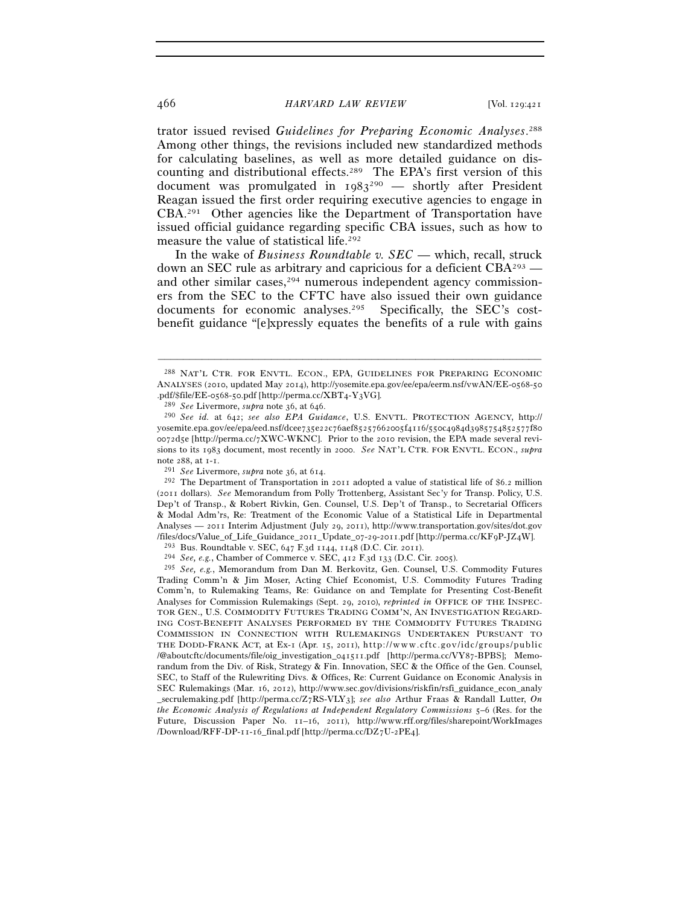trator issued revised *Guidelines for Preparing Economic Analyses*. 288 Among other things, the revisions included new standardized methods for calculating baselines, as well as more detailed guidance on discounting and distributional effects.289 The EPA's first version of this document was promulgated in  $1983^{290}$  — shortly after President Reagan issued the first order requiring executive agencies to engage in CBA.291 Other agencies like the Department of Transportation have issued official guidance regarding specific CBA issues, such as how to measure the value of statistical life.292

In the wake of *Business Roundtable v. SEC* — which, recall, struck down an SEC rule as arbitrary and capricious for a deficient  $CBA<sup>293</sup>$  and other similar cases,<sup>294</sup> numerous independent agency commissioners from the SEC to the CFTC have also issued their own guidance documents for economic analyses.<sup>295</sup> Specifically, the SEC's costbenefit guidance "[e]xpressly equates the benefits of a rule with gains

<sup>288</sup> NAT'L CTR. FOR ENVTL. ECON., EPA, GUIDELINES FOR PREPARING ECONOMIC ANALYSES (2010, updated May 2014), http://yosemite.epa.gov/ee/epa/eerm.nsf/vwAN/EE-0568-50 .pdf/\$file/EE-0568-50.pdf [http://perma.cc/XBT4-Y3VG]. 289 *See* Livermore, *supra* note 36, at 646. 290 *See id.* at 642; *see also EPA Guidance*, U.S. ENVTL. PROTECTION AGENCY, http://

yosemite.epa.gov/ee/epa/eed.nsf/dcee735e22c76aef85257662005f4116/550c4984d3985754852577f80 0072d5e [http://perma.cc/7XWC-WKNC]. Prior to the 2010 revision, the EPA made several revisions to its 1983 document, most recently in 2000. *See* NAT'L CTR. FOR ENVTL. ECON., *supra*

note 288, at 1-1.<br><sup>291</sup> *See* Livermore, *supra* note 36, at 614.<br><sup>292</sup> The Department of Transportation in 2011 adopted a value of statistical life of \$6.2 million (2011 dollars). *See* Memorandum from Polly Trottenberg, Assistant Sec'y for Transp. Policy, U.S. Dep't of Transp., & Robert Rivkin, Gen. Counsel, U.S. Dep't of Transp., to Secretarial Officers & Modal Adm'rs, Re: Treatment of the Economic Value of a Statistical Life in Departmental Analyses — 2011 Interim Adjustment (July 29, 2011), http://www.transportation.gov/sites/dot.gov /files/docs/Value\_of\_Life\_Guidance\_2011\_Update\_07-29-2011.pdf [http://perma.cc/KF9P-JZ4W].<br><sup>293</sup> Bus. Roundtable v. SEC, 647 F.3d 1144, 1148 (D.C. Cir. 2011).<br><sup>294</sup> *See, e.g.*, Chamber of Commerce v. SEC, 412 F.3d 133 (D

<sup>295</sup> *See, e.g.*, Memorandum from Dan M. Berkovitz, Gen. Counsel, U.S. Commodity Futures Trading Comm'n & Jim Moser, Acting Chief Economist, U.S. Commodity Futures Trading Comm'n, to Rulemaking Teams, Re: Guidance on and Template for Presenting Cost-Benefit Analyses for Commission Rulemakings (Sept. 29, 2010), *reprinted in* OFFICE OF THE INSPEC-TOR GEN., U.S. COMMODITY FUTURES TRADING COMM'N, AN INVESTIGATION REGARD-ING COST-BENEFIT ANALYSES PERFORMED BY THE COMMODITY FUTURES TRADING COMMISSION IN CONNECTION WITH RULEMAKINGS UNDERTAKEN PURSUANT TO THE DODD-FRANK ACT, at Ex-1 (Apr. 15, 2011), http://www.cftc.gov/idc/groups/public /@aboutcftc/documents/file/oig\_investigation\_041511.pdf [http://perma.cc/VY87-BPBS]; Memorandum from the Div. of Risk, Strategy & Fin. Innovation, SEC & the Office of the Gen. Counsel, SEC, to Staff of the Rulewriting Divs. & Offices, Re: Current Guidance on Economic Analysis in SEC Rulemakings (Mar. 16, 2012), http://www.sec.gov/divisions/riskfin/rsfi\_guidance\_econ\_analy \_secrulemaking.pdf [http://perma.cc/Z7RS-VLY3]; *see also* Arthur Fraas & Randall Lutter, *On the Economic Analysis of Regulations at Independent Regulatory Commissions* 5–6 (Res. for the Future, Discussion Paper No. 11–16, 2011), http://www.rff.org/files/sharepoint/WorkImages /Download/RFF-DP-11-16\_final.pdf [http://perma.cc/DZ7U-2PE4].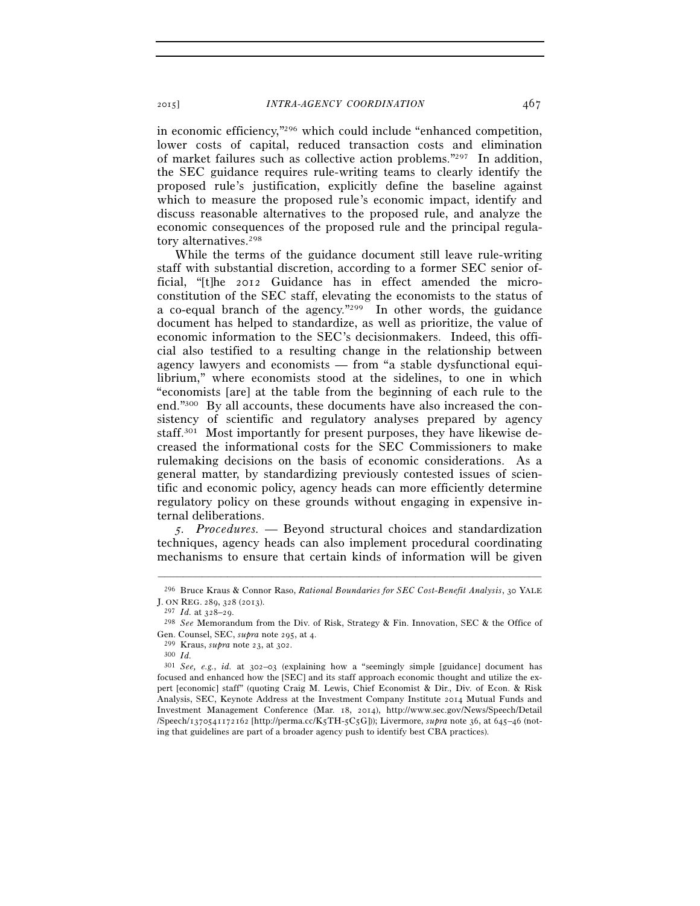in economic efficiency,"296 which could include "enhanced competition, lower costs of capital, reduced transaction costs and elimination of market failures such as collective action problems."297 In addition, the SEC guidance requires rule-writing teams to clearly identify the proposed rule's justification, explicitly define the baseline against which to measure the proposed rule's economic impact, identify and discuss reasonable alternatives to the proposed rule, and analyze the economic consequences of the proposed rule and the principal regulatory alternatives.298

While the terms of the guidance document still leave rule-writing staff with substantial discretion, according to a former SEC senior official, "[t]he 2012 Guidance has in effect amended the microconstitution of the SEC staff, elevating the economists to the status of a co-equal branch of the agency."299 In other words, the guidance document has helped to standardize, as well as prioritize, the value of economic information to the SEC's decisionmakers. Indeed, this official also testified to a resulting change in the relationship between agency lawyers and economists — from "a stable dysfunctional equilibrium," where economists stood at the sidelines, to one in which "economists [are] at the table from the beginning of each rule to the end."300 By all accounts, these documents have also increased the consistency of scientific and regulatory analyses prepared by agency staff.301 Most importantly for present purposes, they have likewise decreased the informational costs for the SEC Commissioners to make rulemaking decisions on the basis of economic considerations. As a general matter, by standardizing previously contested issues of scientific and economic policy, agency heads can more efficiently determine regulatory policy on these grounds without engaging in expensive internal deliberations.

*5. Procedures.* — Beyond structural choices and standardization techniques, agency heads can also implement procedural coordinating mechanisms to ensure that certain kinds of information will be given

<sup>–––––––––––––––––––––––––––––––––––––––––––––––––––––––––––––</sup> 296 Bruce Kraus & Connor Raso, *Rational Boundaries for SEC Cost-Benefit Analysis*, 30 YALE J. ON REG. 289, 328 (2013).

<sup>297</sup> *Id.* at 328–29. 298 *See* Memorandum from the Div. of Risk, Strategy & Fin. Innovation, SEC & the Office of Gen. Counsel, SEC, *supra* note 295, at 4. 299 Kraus, *supra* note 23, at 302. 300 *Id.*

<sup>301</sup> *See, e.g.*, *id.* at 302–03 (explaining how a "seemingly simple [guidance] document has focused and enhanced how the [SEC] and its staff approach economic thought and utilize the expert [economic] staff" (quoting Craig M. Lewis, Chief Economist & Dir., Div. of Econ. & Risk Analysis, SEC, Keynote Address at the Investment Company Institute 2014 Mutual Funds and Investment Management Conference (Mar. 18, 2014), http://www.sec.gov/News/Speech/Detail /Speech/1370541172162 [http://perma.cc/K5TH-5C5G])); Livermore, *supra* note 36, at 645–46 (noting that guidelines are part of a broader agency push to identify best CBA practices).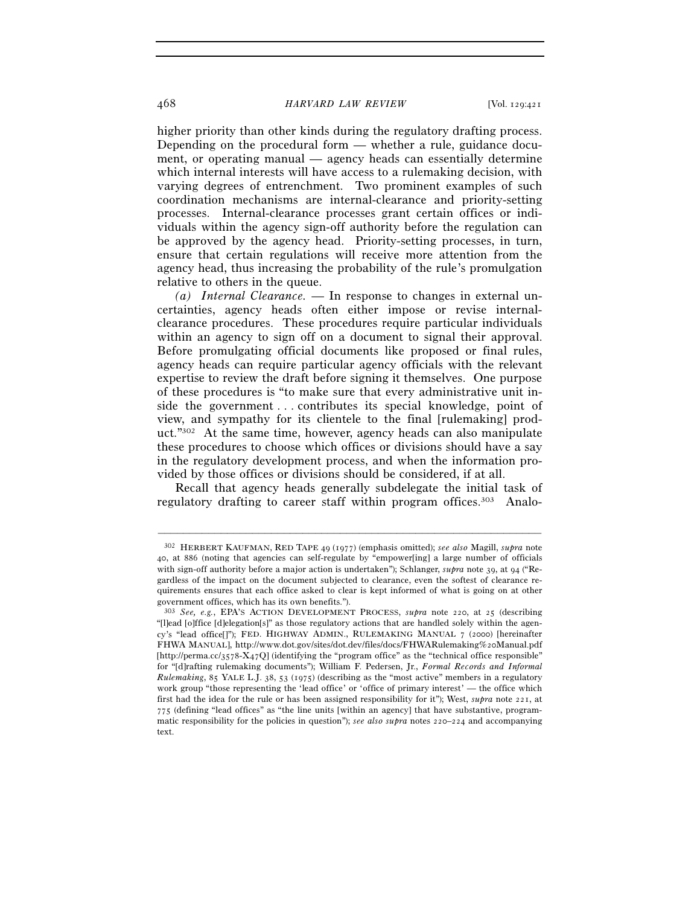higher priority than other kinds during the regulatory drafting process. Depending on the procedural form — whether a rule, guidance document, or operating manual — agency heads can essentially determine which internal interests will have access to a rulemaking decision, with varying degrees of entrenchment. Two prominent examples of such coordination mechanisms are internal-clearance and priority-setting processes. Internal-clearance processes grant certain offices or individuals within the agency sign-off authority before the regulation can be approved by the agency head. Priority-setting processes, in turn, ensure that certain regulations will receive more attention from the agency head, thus increasing the probability of the rule's promulgation relative to others in the queue.

*(a) Internal Clearance.* — In response to changes in external uncertainties, agency heads often either impose or revise internalclearance procedures. These procedures require particular individuals within an agency to sign off on a document to signal their approval. Before promulgating official documents like proposed or final rules, agency heads can require particular agency officials with the relevant expertise to review the draft before signing it themselves. One purpose of these procedures is "to make sure that every administrative unit inside the government . . . contributes its special knowledge, point of view, and sympathy for its clientele to the final [rulemaking] product."302 At the same time, however, agency heads can also manipulate these procedures to choose which offices or divisions should have a say in the regulatory development process, and when the information provided by those offices or divisions should be considered, if at all.

Recall that agency heads generally subdelegate the initial task of regulatory drafting to career staff within program offices.<sup>303</sup> Analo-

<sup>302</sup> HERBERT KAUFMAN, RED TAPE 49 (1977) (emphasis omitted); *see also* Magill, *supra* note 40, at 886 (noting that agencies can self-regulate by "empower[ing] a large number of officials with sign-off authority before a major action is undertaken"); Schlanger, *supra* note 39, at 94 ("Regardless of the impact on the document subjected to clearance, even the softest of clearance requirements ensures that each office asked to clear is kept informed of what is going on at other government offices, which has its own benefits.").

<sup>303</sup> *See, e.g.*, EPA'S ACTION DEVELOPMENT PROCESS, *supra* note 220, at 25 (describing "[l]ead [o]ffice [d]elegation[s]" as those regulatory actions that are handled solely within the agency's "lead office[]"); FED. HIGHWAY ADMIN., RULEMAKING MANUAL 7 (2000) [hereinafter FHWA MANUAL], http://www.dot.gov/sites/dot.dev/files/docs/FHWARulemaking%20Manual.pdf [http://perma.cc/3578-X47Q] (identifying the "program office" as the "technical office responsible" for "[d]rafting rulemaking documents"); William F. Pedersen, Jr., *Formal Records and Informal Rulemaking*, 85 YALE L.J. 38, 53 (1975) (describing as the "most active" members in a regulatory work group "those representing the 'lead office' or 'office of primary interest' — the office which first had the idea for the rule or has been assigned responsibility for it"); West, *supra* note 221, at 775 (defining "lead offices" as "the line units [within an agency] that have substantive, programmatic responsibility for the policies in question"); *see also supra* notes 220–224 and accompanying text.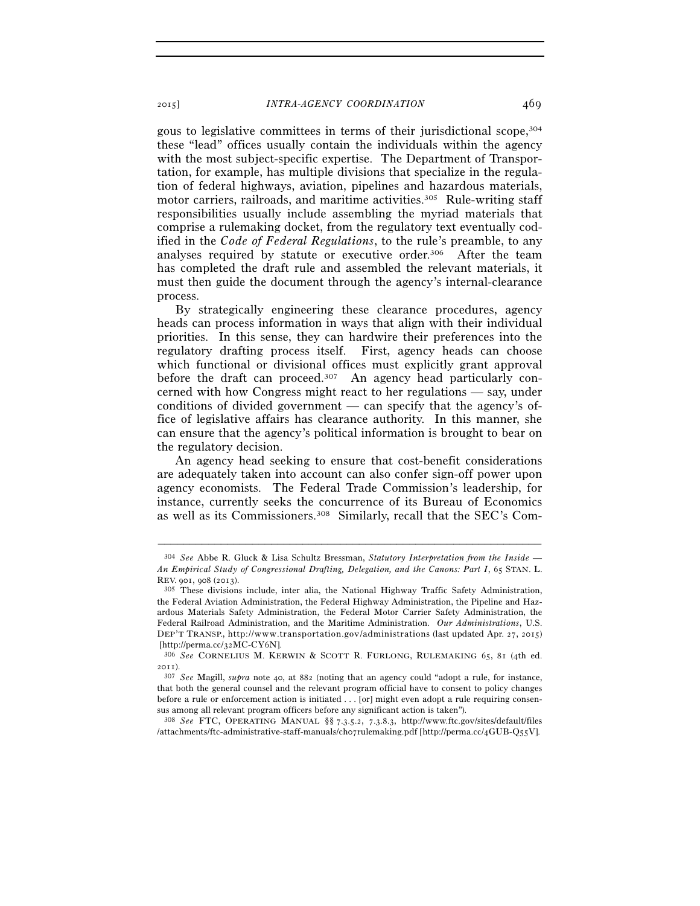gous to legislative committees in terms of their jurisdictional scope,304 these "lead" offices usually contain the individuals within the agency with the most subject-specific expertise. The Department of Transportation, for example, has multiple divisions that specialize in the regulation of federal highways, aviation, pipelines and hazardous materials, motor carriers, railroads, and maritime activities.305 Rule-writing staff responsibilities usually include assembling the myriad materials that comprise a rulemaking docket, from the regulatory text eventually codified in the *Code of Federal Regulations*, to the rule's preamble, to any analyses required by statute or executive order.306 After the team has completed the draft rule and assembled the relevant materials, it must then guide the document through the agency's internal-clearance process.

By strategically engineering these clearance procedures, agency heads can process information in ways that align with their individual priorities. In this sense, they can hardwire their preferences into the regulatory drafting process itself. First, agency heads can choose which functional or divisional offices must explicitly grant approval before the draft can proceed.<sup>307</sup> An agency head particularly concerned with how Congress might react to her regulations — say, under conditions of divided government — can specify that the agency's office of legislative affairs has clearance authority. In this manner, she can ensure that the agency's political information is brought to bear on the regulatory decision.

An agency head seeking to ensure that cost-benefit considerations are adequately taken into account can also confer sign-off power upon agency economists. The Federal Trade Commission's leadership, for instance, currently seeks the concurrence of its Bureau of Economics as well as its Commissioners.308 Similarly, recall that the SEC's Com-

–––––––––––––––––––––––––––––––––––––––––––––––––––––––––––––

308 *See* FTC, OPERATING MANUAL §§ 7.3.5.2, 7.3.8.3, http://www.ftc.gov/sites/default/files /attachments/ftc-administrative-staff-manuals/ch07rulemaking.pdf [http://perma.cc/4GUB-Q55V].

<sup>304</sup> *See* Abbe R. Gluck & Lisa Schultz Bressman, *Statutory Interpretation from the Inside — An Empirical Study of Congressional Drafting, Delegation, and the Canons: Part I*, 65 STAN. L. REV. <sup>901</sup>, 908 (2013). 305 These divisions include, inter alia, the National Highway Traffic Safety Administration,

the Federal Aviation Administration, the Federal Highway Administration, the Pipeline and Hazardous Materials Safety Administration, the Federal Motor Carrier Safety Administration, the Federal Railroad Administration, and the Maritime Administration. *Our Administrations*, U.S. DEP'T TRANSP., http://www.transportation.gov/administrations (last updated Apr. 27, 2015) [http://perma.cc/32MC-CY6N]. 306 *See* CORNELIUS M. KERWIN & SCOTT R. FURLONG, RULEMAKING 65, <sup>81</sup> (4th ed.

<sup>2011</sup>). 307 *See* Magill, *supra* note 40, at 882 (noting that an agency could "adopt a rule, for instance,

that both the general counsel and the relevant program official have to consent to policy changes before a rule or enforcement action is initiated . . . [or] might even adopt a rule requiring consensus among all relevant program officers before any significant action is taken").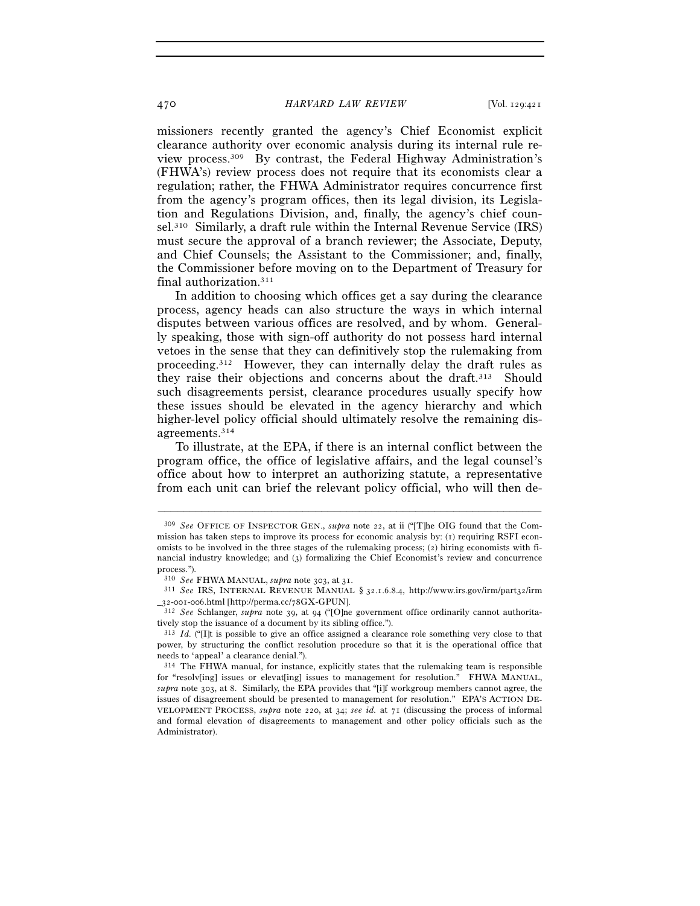missioners recently granted the agency's Chief Economist explicit clearance authority over economic analysis during its internal rule review process.309 By contrast, the Federal Highway Administration's (FHWA's) review process does not require that its economists clear a regulation; rather, the FHWA Administrator requires concurrence first from the agency's program offices, then its legal division, its Legislation and Regulations Division, and, finally, the agency's chief counsel.310 Similarly, a draft rule within the Internal Revenue Service (IRS) must secure the approval of a branch reviewer; the Associate, Deputy, and Chief Counsels; the Assistant to the Commissioner; and, finally, the Commissioner before moving on to the Department of Treasury for final authorization.311

In addition to choosing which offices get a say during the clearance process, agency heads can also structure the ways in which internal disputes between various offices are resolved, and by whom. Generally speaking, those with sign-off authority do not possess hard internal vetoes in the sense that they can definitively stop the rulemaking from proceeding.312 However, they can internally delay the draft rules as they raise their objections and concerns about the draft.<sup>313</sup> Should such disagreements persist, clearance procedures usually specify how these issues should be elevated in the agency hierarchy and which higher-level policy official should ultimately resolve the remaining disagreements.314

To illustrate, at the EPA, if there is an internal conflict between the program office, the office of legislative affairs, and the legal counsel's office about how to interpret an authorizing statute, a representative from each unit can brief the relevant policy official, who will then de-

<sup>309</sup> *See* OFFICE OF INSPECTOR GEN., *supra* note 22, at ii ("[T]he OIG found that the Commission has taken steps to improve its process for economic analysis by: (1) requiring RSFI economists to be involved in the three stages of the rulemaking process; (2) hiring economists with financial industry knowledge; and (3) formalizing the Chief Economist's review and concurrence process.").

<sup>310</sup> *See* FHWA MANUAL, *supra* note 303, at <sup>31</sup>. 311 *See* IRS, INTERNAL REVENUE MANUAL § 32.1.6.8.4, http://www.irs.gov/irm/part32/irm

\_32-001-006.html [http://perma.cc/78GX-GPUN]. 312 *See* Schlanger, *supra* note 39, at 94 ("[O]ne government office ordinarily cannot authoritatively stop the issuance of a document by its sibling office.").

<sup>313</sup> *Id.* ("[I]t is possible to give an office assigned a clearance role something very close to that power, by structuring the conflict resolution procedure so that it is the operational office that needs to 'appeal' a clearance denial.").

<sup>314</sup> The FHWA manual, for instance, explicitly states that the rulemaking team is responsible for "resolv[ing] issues or elevat[ing] issues to management for resolution." FHWA MANUAL, *supra* note 303, at 8. Similarly, the EPA provides that "[i]f workgroup members cannot agree, the issues of disagreement should be presented to management for resolution." EPA'S ACTION DE-VELOPMENT PROCESS, *supra* note 220, at 34; *see id.* at 71 (discussing the process of informal and formal elevation of disagreements to management and other policy officials such as the Administrator).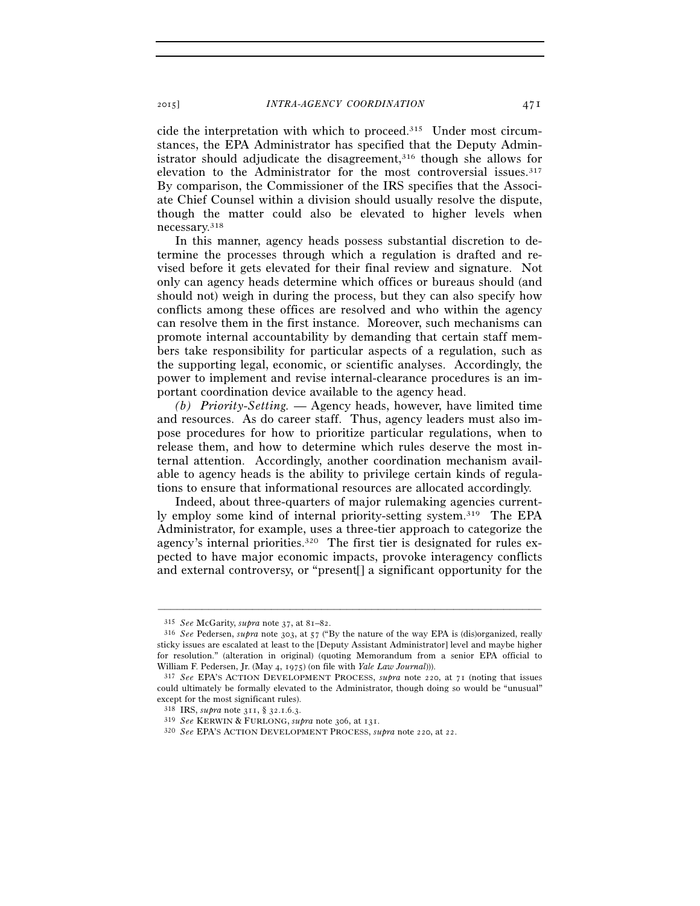cide the interpretation with which to proceed.315 Under most circumstances, the EPA Administrator has specified that the Deputy Administrator should adjudicate the disagreement,<sup>316</sup> though she allows for elevation to the Administrator for the most controversial issues.317 By comparison, the Commissioner of the IRS specifies that the Associate Chief Counsel within a division should usually resolve the dispute, though the matter could also be elevated to higher levels when necessary.318

In this manner, agency heads possess substantial discretion to determine the processes through which a regulation is drafted and revised before it gets elevated for their final review and signature. Not only can agency heads determine which offices or bureaus should (and should not) weigh in during the process, but they can also specify how conflicts among these offices are resolved and who within the agency can resolve them in the first instance. Moreover, such mechanisms can promote internal accountability by demanding that certain staff members take responsibility for particular aspects of a regulation, such as the supporting legal, economic, or scientific analyses. Accordingly, the power to implement and revise internal-clearance procedures is an important coordination device available to the agency head.

*(b) Priority-Setting.* — Agency heads, however, have limited time and resources. As do career staff. Thus, agency leaders must also impose procedures for how to prioritize particular regulations, when to release them, and how to determine which rules deserve the most internal attention. Accordingly, another coordination mechanism available to agency heads is the ability to privilege certain kinds of regulations to ensure that informational resources are allocated accordingly.

Indeed, about three-quarters of major rulemaking agencies currently employ some kind of internal priority-setting system.319 The EPA Administrator, for example, uses a three-tier approach to categorize the agency's internal priorities.320 The first tier is designated for rules expected to have major economic impacts, provoke interagency conflicts and external controversy, or "present[] a significant opportunity for the

<sup>315</sup> *See* McGarity, *supra* note 37, at 81–82. 316 *See* Pedersen, *supra* note 303, at 57 ("By the nature of the way EPA is (dis)organized, really sticky issues are escalated at least to the [Deputy Assistant Administrator] level and maybe higher for resolution." (alteration in original) (quoting Memorandum from a senior EPA official to William F. Pedersen, Jr. (May 4, 1975) (on file with *Yale Law Journal*))).<br><sup>317</sup> *See* EPA'S ACTION DEVELOPMENT PROCESS, *supra* note 220, at 71 (noting that issues

could ultimately be formally elevated to the Administrator, though doing so would be "unusual" except for the most significant rules).<br> $318$  IRS, *supra* note 311, § 32.1.6.3.

<sup>318</sup> IRS, *supra* note 311, § 32.1.6.3. 319 *See* KERWIN & FURLONG, *supra* note 306, at 131. 320 *See* EPA'S ACTION DEVELOPMENT PROCESS, *supra* note 220, at 22.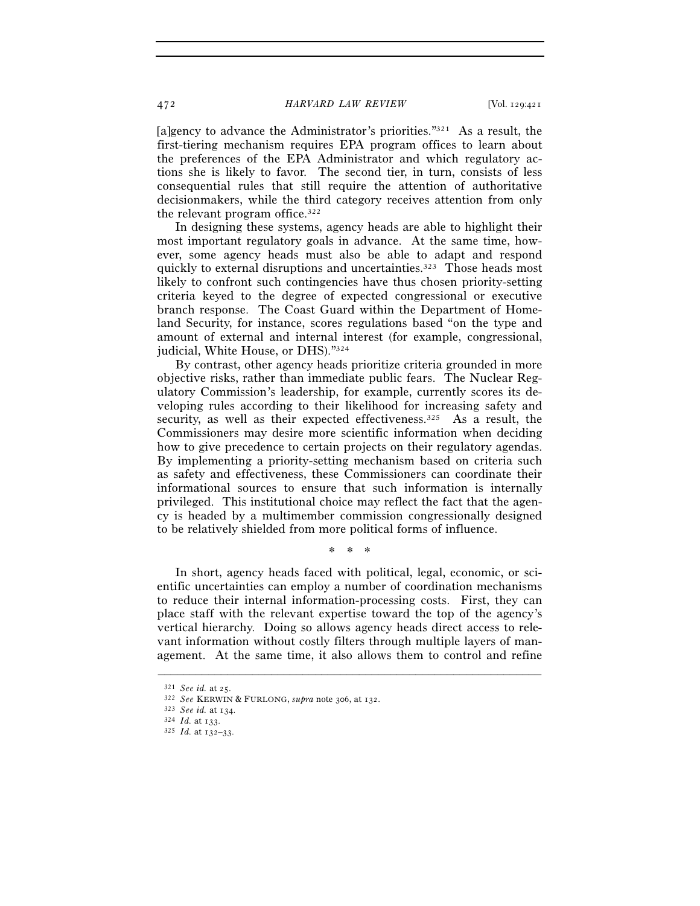[a]gency to advance the Administrator's priorities."<sup>321</sup> As a result, the first-tiering mechanism requires EPA program offices to learn about the preferences of the EPA Administrator and which regulatory actions she is likely to favor. The second tier, in turn, consists of less consequential rules that still require the attention of authoritative decisionmakers, while the third category receives attention from only the relevant program office.322

In designing these systems, agency heads are able to highlight their most important regulatory goals in advance. At the same time, however, some agency heads must also be able to adapt and respond quickly to external disruptions and uncertainties.323 Those heads most likely to confront such contingencies have thus chosen priority-setting criteria keyed to the degree of expected congressional or executive branch response. The Coast Guard within the Department of Homeland Security, for instance, scores regulations based "on the type and amount of external and internal interest (for example, congressional, judicial, White House, or DHS)."324

By contrast, other agency heads prioritize criteria grounded in more objective risks, rather than immediate public fears. The Nuclear Regulatory Commission's leadership, for example, currently scores its developing rules according to their likelihood for increasing safety and security, as well as their expected effectiveness.<sup>325</sup> As a result, the Commissioners may desire more scientific information when deciding how to give precedence to certain projects on their regulatory agendas. By implementing a priority-setting mechanism based on criteria such as safety and effectiveness, these Commissioners can coordinate their informational sources to ensure that such information is internally privileged. This institutional choice may reflect the fact that the agency is headed by a multimember commission congressionally designed to be relatively shielded from more political forms of influence.

\* \* \*

In short, agency heads faced with political, legal, economic, or scientific uncertainties can employ a number of coordination mechanisms to reduce their internal information-processing costs. First, they can place staff with the relevant expertise toward the top of the agency's vertical hierarchy. Doing so allows agency heads direct access to relevant information without costly filters through multiple layers of management. At the same time, it also allows them to control and refine

<sup>321</sup> *See id.* at 25. 322 *See* KERWIN & FURLONG, *supra* note 306, at 132. 323 *See id.* at 134. 324 *Id.* at 133. 325 *Id.* at 132–33.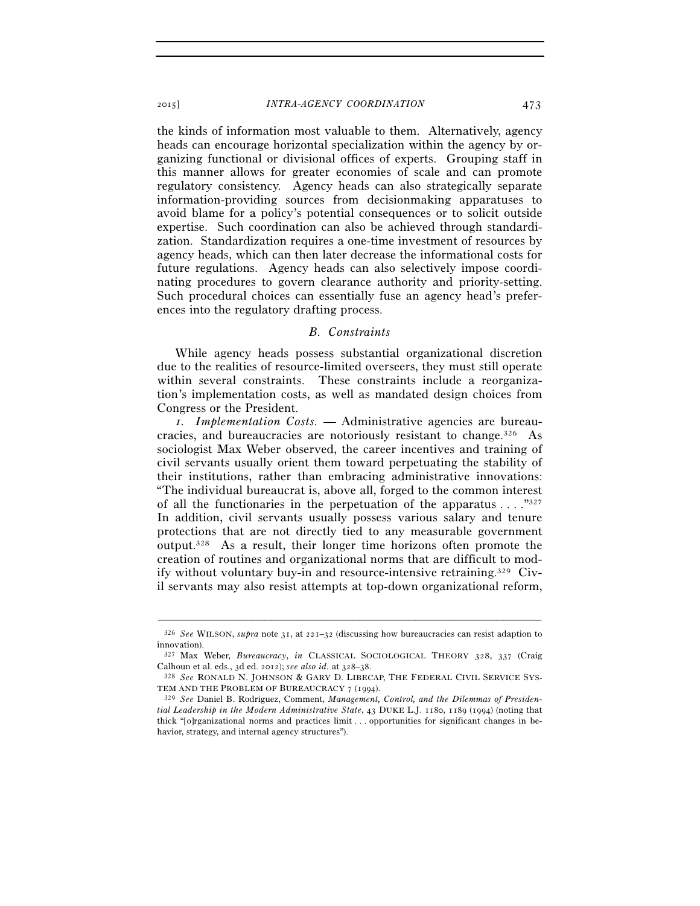the kinds of information most valuable to them. Alternatively, agency heads can encourage horizontal specialization within the agency by organizing functional or divisional offices of experts. Grouping staff in this manner allows for greater economies of scale and can promote regulatory consistency. Agency heads can also strategically separate information-providing sources from decisionmaking apparatuses to avoid blame for a policy's potential consequences or to solicit outside expertise. Such coordination can also be achieved through standardization. Standardization requires a one-time investment of resources by agency heads, which can then later decrease the informational costs for future regulations. Agency heads can also selectively impose coordinating procedures to govern clearance authority and priority-setting. Such procedural choices can essentially fuse an agency head's preferences into the regulatory drafting process.

#### *B. Constraints*

While agency heads possess substantial organizational discretion due to the realities of resource-limited overseers, they must still operate within several constraints. These constraints include a reorganization's implementation costs, as well as mandated design choices from Congress or the President.

*1. Implementation Costs.* — Administrative agencies are bureaucracies, and bureaucracies are notoriously resistant to change.326 As sociologist Max Weber observed, the career incentives and training of civil servants usually orient them toward perpetuating the stability of their institutions, rather than embracing administrative innovations: "The individual bureaucrat is, above all, forged to the common interest of all the functionaries in the perpetuation of the apparatus  $\dots$ ."327 In addition, civil servants usually possess various salary and tenure protections that are not directly tied to any measurable government output.328 As a result, their longer time horizons often promote the creation of routines and organizational norms that are difficult to modify without voluntary buy-in and resource-intensive retraining.329 Civil servants may also resist attempts at top-down organizational reform,

<sup>–––––––––––––––––––––––––––––––––––––––––––––––––––––––––––––</sup> 326 *See* WILSON, *supra* note 31, at 221–32 (discussing how bureaucracies can resist adaption to innovation).

<sup>327</sup> Max Weber, *Bureaucracy*, *in* CLASSICAL SOCIOLOGICAL THEORY 328, 337 (Craig Calhoun et al. eds., 3d ed. 2012); *see also id.* at 328–38.<br><sup>328</sup> *See* RONALD N. JOHNSON & GARY D. LIBECAP, THE FEDERAL CIVIL SERVICE SYS-

TEM AND THE PROBLEM OF BUREAUCRACY <sup>7</sup> (1994). 329 *See* Daniel B. Rodriguez, Comment, *Management, Control, and the Dilemmas of Presiden-*

*tial Leadership in the Modern Administrative State*, 43 DUKE L.J. 1180, 1189 (1994) (noting that thick "[o]rganizational norms and practices limit . . . opportunities for significant changes in behavior, strategy, and internal agency structures").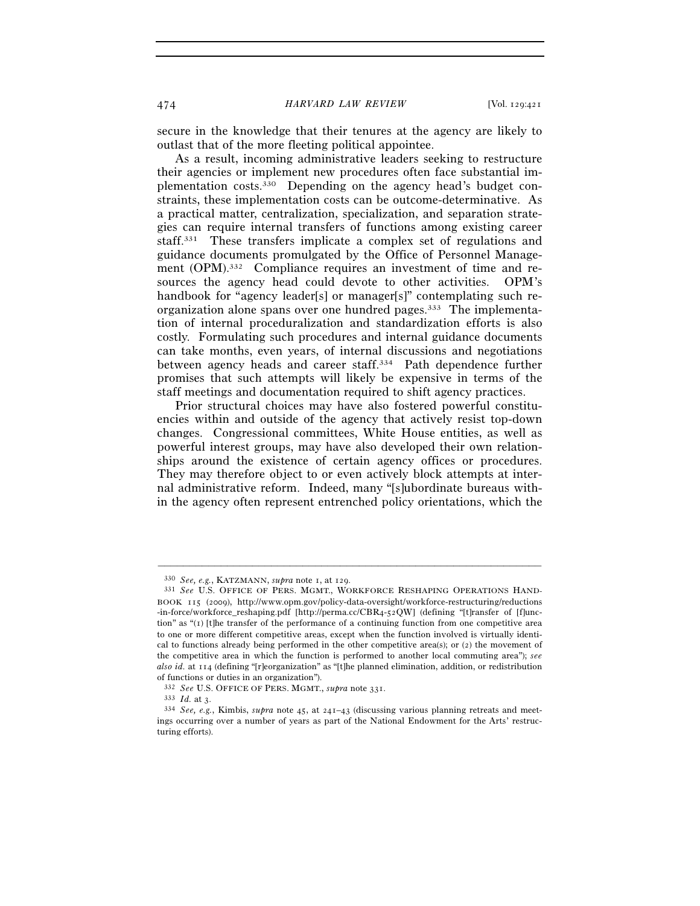secure in the knowledge that their tenures at the agency are likely to outlast that of the more fleeting political appointee.

As a result, incoming administrative leaders seeking to restructure their agencies or implement new procedures often face substantial implementation costs.330 Depending on the agency head's budget constraints, these implementation costs can be outcome-determinative. As a practical matter, centralization, specialization, and separation strategies can require internal transfers of functions among existing career staff.331 These transfers implicate a complex set of regulations and guidance documents promulgated by the Office of Personnel Management (OPM).<sup>332</sup> Compliance requires an investment of time and resources the agency head could devote to other activities. OPM's handbook for "agency leader[s] or manager[s]" contemplating such reorganization alone spans over one hundred pages.333 The implementation of internal proceduralization and standardization efforts is also costly. Formulating such procedures and internal guidance documents can take months, even years, of internal discussions and negotiations between agency heads and career staff.334 Path dependence further promises that such attempts will likely be expensive in terms of the staff meetings and documentation required to shift agency practices.

Prior structural choices may have also fostered powerful constituencies within and outside of the agency that actively resist top-down changes. Congressional committees, White House entities, as well as powerful interest groups, may have also developed their own relationships around the existence of certain agency offices or procedures. They may therefore object to or even actively block attempts at internal administrative reform. Indeed, many "[s]ubordinate bureaus within the agency often represent entrenched policy orientations, which the

<sup>330</sup> *See, e.g.*, KATZMANN, *supra* note 1, at 129. 331 *See* U.S. OFFICE OF PERS. MGMT., WORKFORCE RESHAPING OPERATIONS HAND-BOOK 115 (2009), http://www.opm.gov/policy-data-oversight/workforce-restructuring/reductions -in-force/workforce\_reshaping.pdf [http://perma.cc/CBR4-52QW] (defining "[t]ransfer of [f]unction" as "(1) [t]he transfer of the performance of a continuing function from one competitive area to one or more different competitive areas, except when the function involved is virtually identical to functions already being performed in the other competitive area(s); or (2) the movement of the competitive area in which the function is performed to another local commuting area"); *see also id.* at 114 (defining "[r]eorganization" as "[t]he planned elimination, addition, or redistribution of functions or duties in an organization").

<sup>332</sup> *See* U.S. OFFICE OF PERS. MGMT., *supra* note 331. 333 *Id.* at 3. 334 *See, e.g.*, Kimbis, *supra* note 45, at 241–43 (discussing various planning retreats and meetings occurring over a number of years as part of the National Endowment for the Arts' restructuring efforts).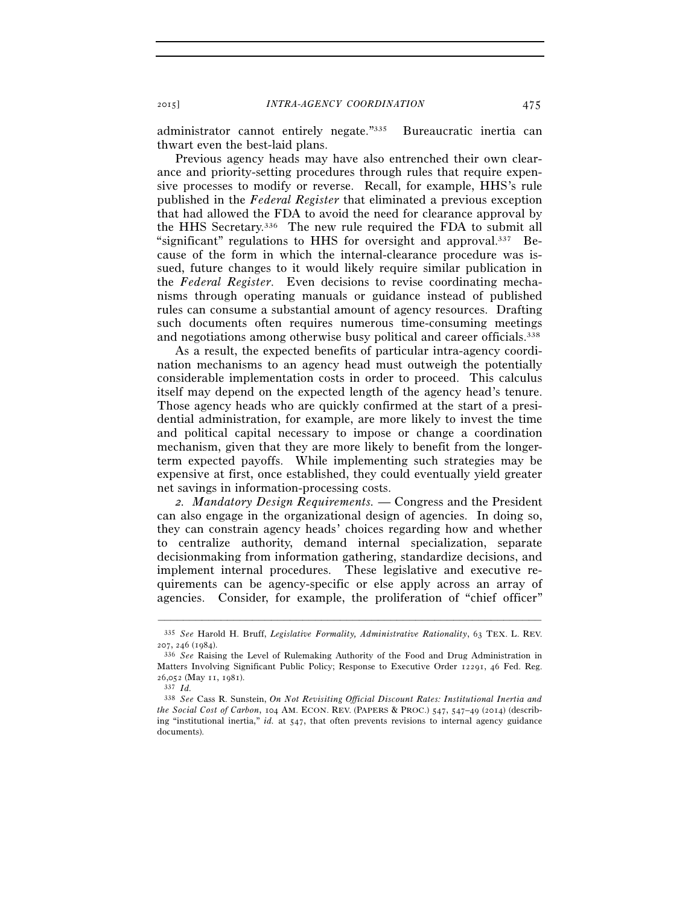administrator cannot entirely negate."335 Bureaucratic inertia can thwart even the best-laid plans.

Previous agency heads may have also entrenched their own clearance and priority-setting procedures through rules that require expensive processes to modify or reverse. Recall, for example, HHS's rule published in the *Federal Register* that eliminated a previous exception that had allowed the FDA to avoid the need for clearance approval by the HHS Secretary.336 The new rule required the FDA to submit all "significant" regulations to HHS for oversight and approval.337 Because of the form in which the internal-clearance procedure was issued, future changes to it would likely require similar publication in the *Federal Register*. Even decisions to revise coordinating mechanisms through operating manuals or guidance instead of published rules can consume a substantial amount of agency resources. Drafting such documents often requires numerous time-consuming meetings and negotiations among otherwise busy political and career officials.<sup>338</sup>

As a result, the expected benefits of particular intra-agency coordination mechanisms to an agency head must outweigh the potentially considerable implementation costs in order to proceed. This calculus itself may depend on the expected length of the agency head's tenure. Those agency heads who are quickly confirmed at the start of a presidential administration, for example, are more likely to invest the time and political capital necessary to impose or change a coordination mechanism, given that they are more likely to benefit from the longerterm expected payoffs. While implementing such strategies may be expensive at first, once established, they could eventually yield greater net savings in information-processing costs.

*2. Mandatory Design Requirements.* — Congress and the President can also engage in the organizational design of agencies. In doing so, they can constrain agency heads' choices regarding how and whether to centralize authority, demand internal specialization, separate decisionmaking from information gathering, standardize decisions, and implement internal procedures. These legislative and executive requirements can be agency-specific or else apply across an array of agencies. Consider, for example, the proliferation of "chief officer"

<sup>–––––––––––––––––––––––––––––––––––––––––––––––––––––––––––––</sup> 335 *See* Harold H. Bruff, *Legislative Formality, Administrative Rationality*, 63 TEX. L. REV. <sup>207</sup>, 246 (1984). 336 *See* Raising the Level of Rulemaking Authority of the Food and Drug Administration in

Matters Involving Significant Public Policy; Response to Executive Order 12291, 46 Fed. Reg. 26,052 (May 11, 1981).

<sup>337</sup> *Id.* 

<sup>338</sup> *See* Cass R. Sunstein, *On Not Revisiting Official Discount Rates: Institutional Inertia and the Social Cost of Carbon*, 104 AM. ECON. REV. (PAPERS & PROC.) 547, 547–49 (2014) (describing "institutional inertia," *id.* at 547, that often prevents revisions to internal agency guidance documents).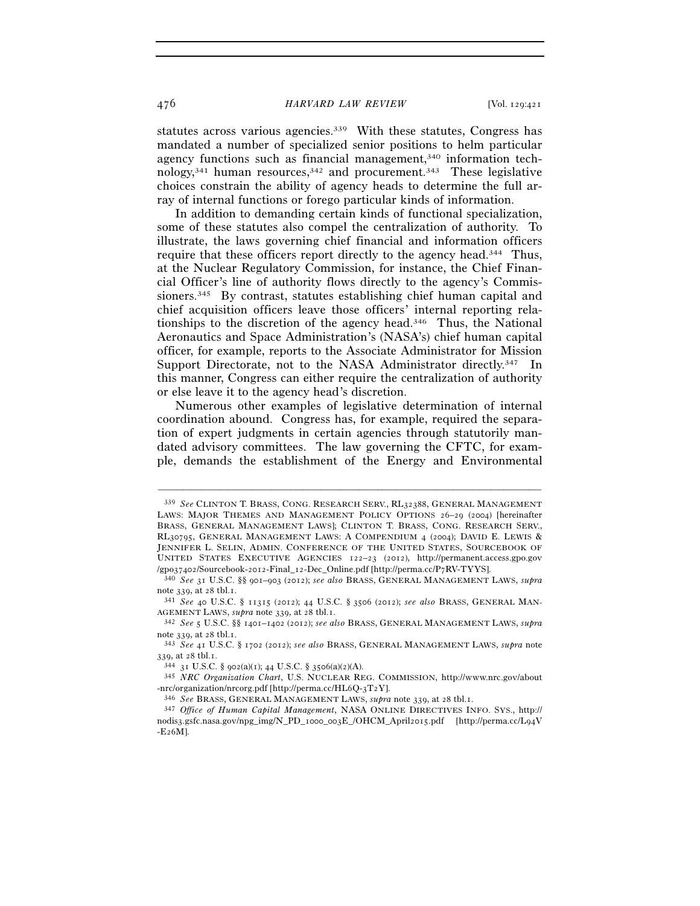statutes across various agencies.<sup>339</sup> With these statutes, Congress has mandated a number of specialized senior positions to helm particular agency functions such as financial management,<sup>340</sup> information technology, $341$  human resources,  $342$  and procurement.  $343$  These legislative choices constrain the ability of agency heads to determine the full array of internal functions or forego particular kinds of information.

In addition to demanding certain kinds of functional specialization, some of these statutes also compel the centralization of authority. To illustrate, the laws governing chief financial and information officers require that these officers report directly to the agency head.344 Thus, at the Nuclear Regulatory Commission, for instance, the Chief Financial Officer's line of authority flows directly to the agency's Commissioners.345 By contrast, statutes establishing chief human capital and chief acquisition officers leave those officers' internal reporting relationships to the discretion of the agency head.346 Thus, the National Aeronautics and Space Administration's (NASA's) chief human capital officer, for example, reports to the Associate Administrator for Mission Support Directorate, not to the NASA Administrator directly.<sup>347</sup> In this manner, Congress can either require the centralization of authority or else leave it to the agency head's discretion.

Numerous other examples of legislative determination of internal coordination abound. Congress has, for example, required the separation of expert judgments in certain agencies through statutorily mandated advisory committees. The law governing the CFTC, for example, demands the establishment of the Energy and Environmental

<sup>339</sup> *See* CLINTON T. BRASS, CONG. RESEARCH SERV., RL32388, GENERAL MANAGEMENT LAWS: MAJOR THEMES AND MANAGEMENT POLICY OPTIONS 26–29 (2004) [hereinafter BRASS, GENERAL MANAGEMENT LAWS]; CLINTON T. BRASS, CONG. RESEARCH SERV., RL30795, GENERAL MANAGEMENT LAWS: A COMPENDIUM 4 (2004); DAVID E. LEWIS & JENNIFER L. SELIN, ADMIN. CONFERENCE OF THE UNITED STATES, SOURCEBOOK OF UNITED STATES EXECUTIVE AGENCIES 122–23 (2012), http://permanent.access.gpo.gov /gpo37402/Sourcebook-2012-Final\_12-Dec\_Onli ne.pdf [http://perma.cc/P7RV-TYYS]. 340 *See* <sup>31</sup> U.S.C. §§ 901–903 (2012); *see also* BRASS, GENERAL MANAGEMENT LAWS, *supra*

note 339, at 28 tbl.1. 341 *See* <sup>40</sup> U.S.C. § 11315 (2012); 44 U.S.C. § 3506 (2012); *see also* BRASS, GENERAL MAN-

AGEMENT LAWS, *supra* note 339, at 28 tbl.1. 342 *See* <sup>5</sup> U.S.C. §§ 1401–1402 (2012); *see also* BRASS, GENERAL MANAGEMENT LAWS, *supra*

note 339, at 28 tbl.1. 343 *See* <sup>41</sup> U.S.C. § 1702 (2012); *see also* BRASS, GENERAL MANAGEMENT LAWS, *supra* note

<sup>339</sup>, at 28 tbl.1. 344 <sup>31</sup> U.S.C. § 902(a)(1); 44 U.S.C. § 3506(a)(2)(A). 345 *NRC Organization Chart*, U.S. NUCLEAR REG. COMMISSION, http://www.nrc.gov/about -nrc/organization/nrcorg.pdf [http://perma.cc/HL6Q-3T2Y].<br><sup>346</sup> See BRASS, GENERAL MANAGEMENT LAWS, *supra* note 339, at 28 tbl.1.<br><sup>347</sup> Office of Human Capital Management, NASA ONLINE DIRECTIVES INFO. SYS., http://

nodis3.gsfc.nasa.gov/npg\_img/N\_PD\_1000\_003E\_/OHCM\_April2015.pdf [http://perma.cc/L94V -E26M].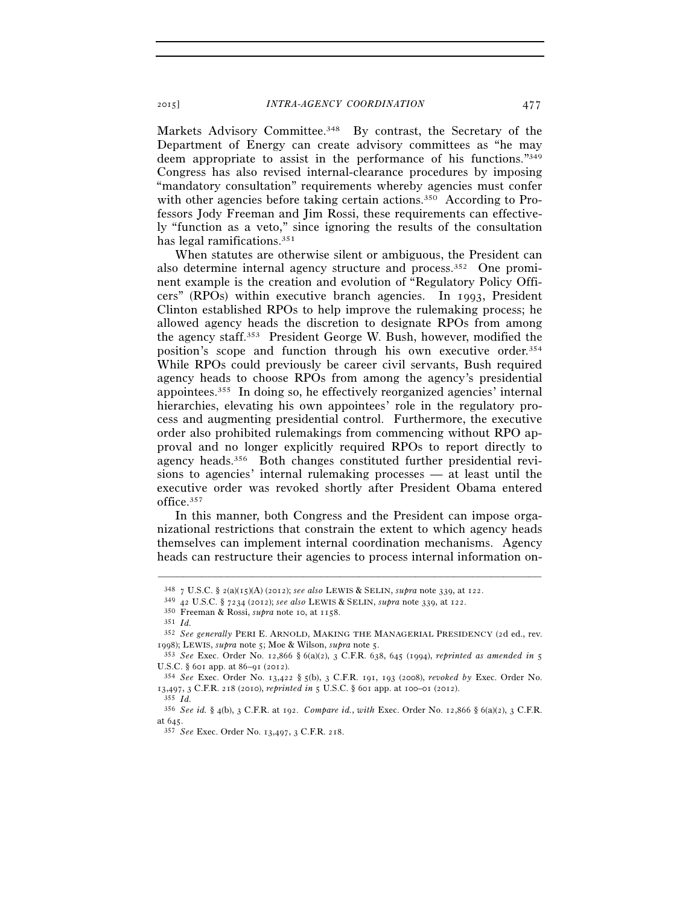Markets Advisory Committee.<sup>348</sup> By contrast, the Secretary of the Department of Energy can create advisory committees as "he may deem appropriate to assist in the performance of his functions."349 Congress has also revised internal-clearance procedures by imposing "mandatory consultation" requirements whereby agencies must confer with other agencies before taking certain actions.<sup>350</sup> According to Professors Jody Freeman and Jim Rossi, these requirements can effectively "function as a veto," since ignoring the results of the consultation has legal ramifications.351

When statutes are otherwise silent or ambiguous, the President can also determine internal agency structure and process.352 One prominent example is the creation and evolution of "Regulatory Policy Officers" (RPOs) within executive branch agencies. In 1993, President Clinton established RPOs to help improve the rulemaking process; he allowed agency heads the discretion to designate RPOs from among the agency staff.353 President George W. Bush, however, modified the position's scope and function through his own executive order.354 While RPOs could previously be career civil servants, Bush required agency heads to choose RPOs from among the agency's presidential appointees.355 In doing so, he effectively reorganized agencies' internal hierarchies, elevating his own appointees' role in the regulatory process and augmenting presidential control. Furthermore, the executive order also prohibited rulemakings from commencing without RPO approval and no longer explicitly required RPOs to report directly to agency heads.356 Both changes constituted further presidential revisions to agencies' internal rulemaking processes — at least until the executive order was revoked shortly after President Obama entered office.357

In this manner, both Congress and the President can impose organizational restrictions that constrain the extent to which agency heads themselves can implement internal coordination mechanisms. Agency heads can restructure their agencies to process internal information on-

 $^{348}$ 7 U.S.C. § 2(a)(15)(A) (2012); see also LEWIS & SELIN, supra note 339, at 122.<br> $^{349}$ 42 U.S.C. § 7234 (2012); see also LEWIS & SELIN, supra note 339, at 122.<br> $^{350}$  Freeman & Rossi, supra note 10, at 1158.<br> $^{351}$ 

<sup>352</sup> *See generally* PERI E. ARNOLD, MAKING THE MANAGERIAL PRESIDENCY (2d ed., rev. <sup>1998</sup>); LEWIS, *supra* note 5; Moe & Wilson, *supra* note 5. 353 *See* Exec. Order No. 12,866 § 6(a)(2), 3 C.F.R. 638, 645 (1994), *reprinted as amended in* <sup>5</sup>

U.S.C. § 601 app. at 86–91 (2012). 354 *See* Exec. Order No. 13,422 § 5(b), 3 C.F.R. 191, 193 (2008), *revoked by* Exec. Order No.

<sup>13</sup>,497, 3 C.F.R. 218 (2010), *reprinted in* <sup>5</sup> U.S.C. § 601 app. at 100–01 (2012). 355 *Id.*

<sup>356</sup> *See id.* § 4(b), 3 C.F.R. at 192. *Compare id.*, *with* Exec. Order No. 12,866 § 6(a)(2), 3 C.F.R. at 645. 357 *See* Exec. Order No. 13,497, 3 C.F.R. 218.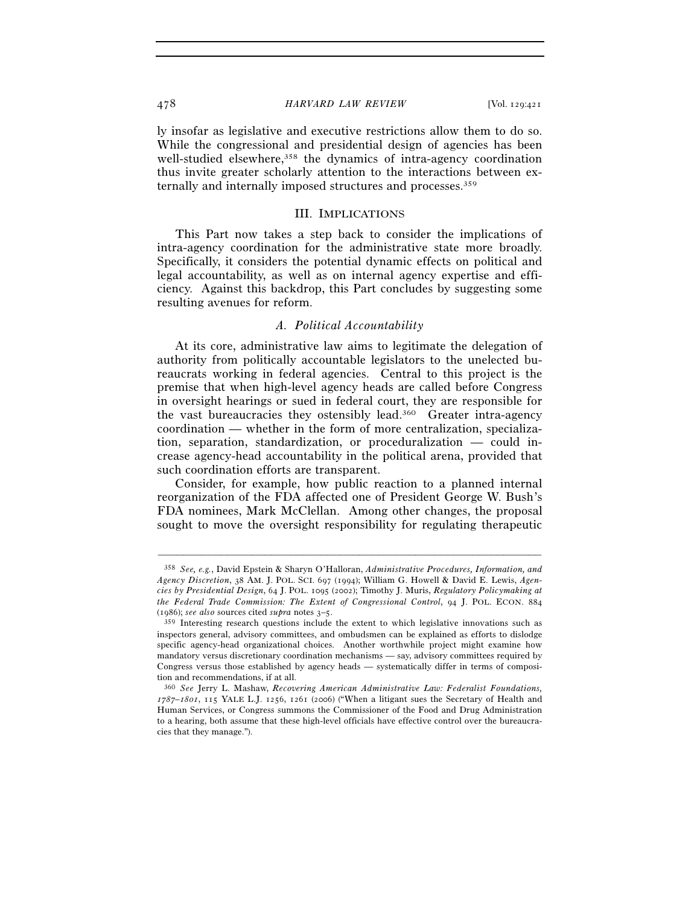ly insofar as legislative and executive restrictions allow them to do so. While the congressional and presidential design of agencies has been well-studied elsewhere,<sup>358</sup> the dynamics of intra-agency coordination thus invite greater scholarly attention to the interactions between externally and internally imposed structures and processes.359

#### III. IMPLICATIONS

This Part now takes a step back to consider the implications of intra-agency coordination for the administrative state more broadly. Specifically, it considers the potential dynamic effects on political and legal accountability, as well as on internal agency expertise and efficiency. Against this backdrop, this Part concludes by suggesting some resulting avenues for reform.

#### *A. Political Accountability*

At its core, administrative law aims to legitimate the delegation of authority from politically accountable legislators to the unelected bureaucrats working in federal agencies. Central to this project is the premise that when high-level agency heads are called before Congress in oversight hearings or sued in federal court, they are responsible for the vast bureaucracies they ostensibly lead.360 Greater intra-agency coordination — whether in the form of more centralization, specialization, separation, standardization, or proceduralization — could increase agency-head accountability in the political arena, provided that such coordination efforts are transparent.

Consider, for example, how public reaction to a planned internal reorganization of the FDA affected one of President George W. Bush's FDA nominees, Mark McClellan. Among other changes, the proposal sought to move the oversight responsibility for regulating therapeutic

<sup>358</sup> *See, e.g.*, David Epstein & Sharyn O'Halloran, *Administrative Procedures, Information, and Agency Discretion*, 38 AM. J. POL. SCI. 697 (1994); William G. Howell & David E. Lewis, *Agencies by Presidential Design*, 64 J. POL. 1095 (2002); Timothy J. Muris, *Regulatory Policymaking at the Federal Trade Commission: The Extent of Congressional Control*, 94 J. POL. ECON. 884

<sup>(1986);</sup> *see also* sources cited *supra* notes  $3-5$ .<br><sup>359</sup> Interesting research questions include the extent to which legislative innovations such as inspectors general, advisory committees, and ombudsmen can be explained as efforts to dislodge specific agency-head organizational choices. Another worthwhile project might examine how mandatory versus discretionary coordination mechanisms — say, advisory committees required by Congress versus those established by agency heads — systematically differ in terms of composition and recommendations, if at all.

<sup>360</sup> *See* Jerry L. Mashaw, *Recovering American Administrative Law: Federalist Foundations, 1787–1801*, 115 YALE L.J. 1256, 1261 (2006) ("When a litigant sues the Secretary of Health and Human Services, or Congress summons the Commissioner of the Food and Drug Administration to a hearing, both assume that these high-level officials have effective control over the bureaucracies that they manage.").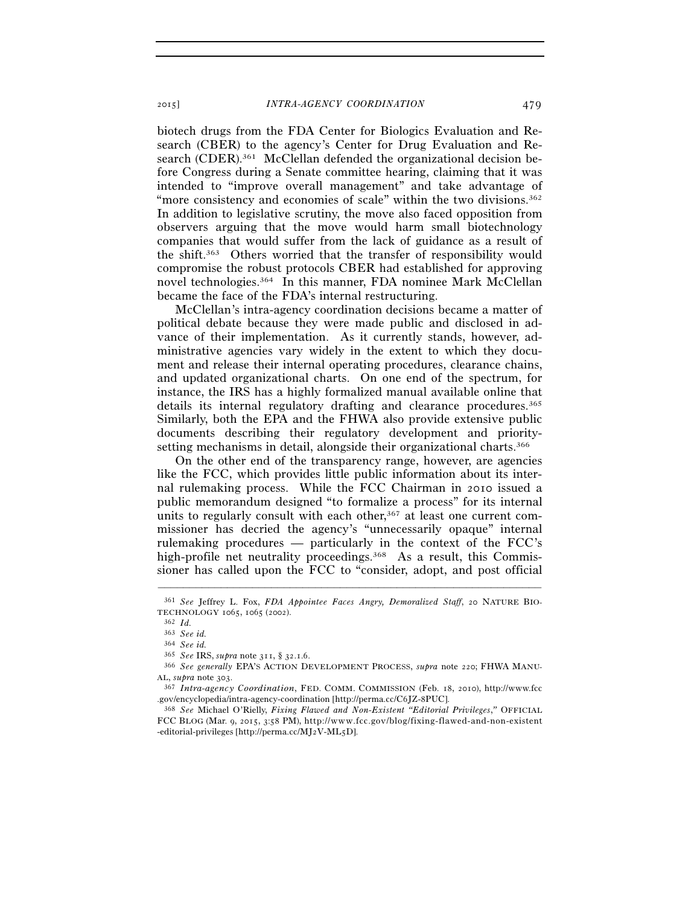biotech drugs from the FDA Center for Biologics Evaluation and Research (CBER) to the agency's Center for Drug Evaluation and Research (CDER).<sup>361</sup> McClellan defended the organizational decision before Congress during a Senate committee hearing, claiming that it was intended to "improve overall management" and take advantage of "more consistency and economies of scale" within the two divisions.<sup>362</sup> In addition to legislative scrutiny, the move also faced opposition from observers arguing that the move would harm small biotechnology companies that would suffer from the lack of guidance as a result of the shift.363 Others worried that the transfer of responsibility would compromise the robust protocols CBER had established for approving novel technologies.364 In this manner, FDA nominee Mark McClellan became the face of the FDA's internal restructuring.

McClellan's intra-agency coordination decisions became a matter of political debate because they were made public and disclosed in advance of their implementation. As it currently stands, however, administrative agencies vary widely in the extent to which they document and release their internal operating procedures, clearance chains, and updated organizational charts. On one end of the spectrum, for instance, the IRS has a highly formalized manual available online that details its internal regulatory drafting and clearance procedures.365 Similarly, both the EPA and the FHWA also provide extensive public documents describing their regulatory development and prioritysetting mechanisms in detail, alongside their organizational charts.366

On the other end of the transparency range, however, are agencies like the FCC, which provides little public information about its internal rulemaking process. While the FCC Chairman in 2010 issued a public memorandum designed "to formalize a process" for its internal units to regularly consult with each other, $367$  at least one current commissioner has decried the agency's "unnecessarily opaque" internal rulemaking procedures — particularly in the context of the FCC's high-profile net neutrality proceedings.<sup>368</sup> As a result, this Commissioner has called upon the FCC to "consider, adopt, and post official

<sup>–––––––––––––––––––––––––––––––––––––––––––––––––––––––––––––</sup> 361 *See* Jeffrey L. Fox, *FDA Appointee Faces Angry, Demoralized Staff*, 20 NATURE BIO-TECHNOLOGY <sup>1065</sup>, 1065 (2002). 362 *Id.* 

<sup>363</sup> *See id.*

<sup>364</sup> *See id.* 

<sup>365</sup> *See* IRS, *supra* note 311, § 32.1.6. 366 *See generally* EPA'S ACTION DEVELOPMENT PROCESS, *supra* note 220; FHWA MANU-AL, *supra* note 303. 367 *Intra-agency Coordination*, FED. COMM. COMMISSION (Feb. 18, 2010), http://www.fcc

<sup>.</sup>gov/encyclopedia/intra-agency-coordination [http://perma.cc/C6JZ-8PUC]. 368 *See* Michael O'Rielly, *Fixing Flawed and Non-Existent "Editorial Privileges*,*"* OFFICIAL

FCC BLOG (Mar. 9, 2015, 3:58 PM), http://www.fcc.gov/blog/fixing-flawed-and-non-existent -editorial-privileges [http://perma.cc/MJ2V-ML $_5D$ ].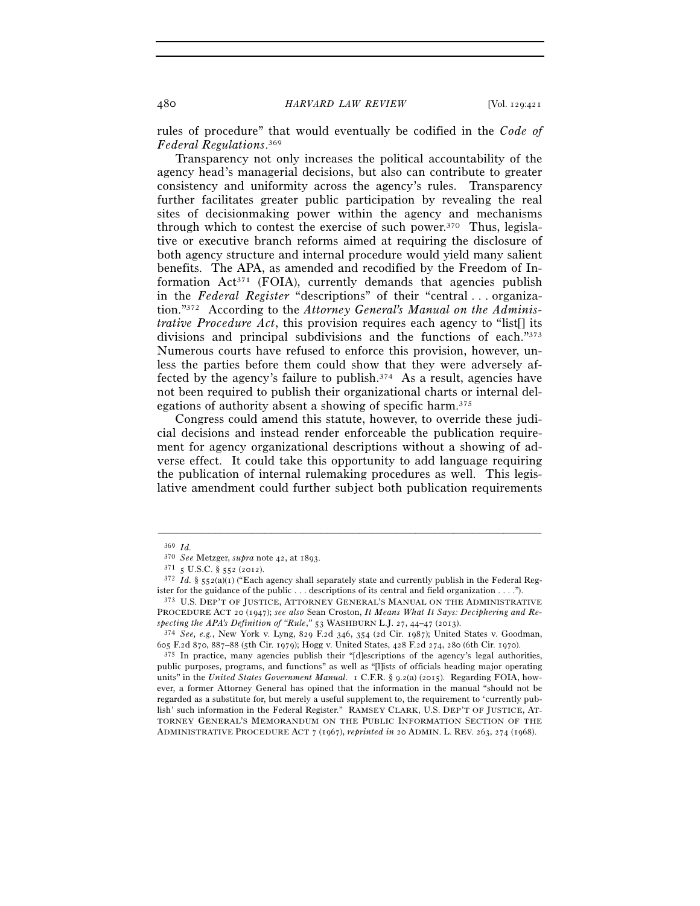rules of procedure" that would eventually be codified in the *Code of Federal Regulations*. 369

Transparency not only increases the political accountability of the agency head's managerial decisions, but also can contribute to greater consistency and uniformity across the agency's rules. Transparency further facilitates greater public participation by revealing the real sites of decisionmaking power within the agency and mechanisms through which to contest the exercise of such power.370 Thus, legislative or executive branch reforms aimed at requiring the disclosure of both agency structure and internal procedure would yield many salient benefits. The APA, as amended and recodified by the Freedom of Information Act371 (FOIA), currently demands that agencies publish in the *Federal Register* "descriptions" of their "central . . . organization."372 According to the *Attorney General's Manual on the Administrative Procedure Act*, this provision requires each agency to "list[] its divisions and principal subdivisions and the functions of each."373 Numerous courts have refused to enforce this provision, however, unless the parties before them could show that they were adversely affected by the agency's failure to publish.374 As a result, agencies have not been required to publish their organizational charts or internal delegations of authority absent a showing of specific harm.375

Congress could amend this statute, however, to override these judicial decisions and instead render enforceable the publication requirement for agency organizational descriptions without a showing of adverse effect. It could take this opportunity to add language requiring the publication of internal rulemaking procedures as well. This legislative amendment could further subject both publication requirements

<sup>369</sup> *Id.* 

<sup>&</sup>lt;sup>371</sup> 5 U.S.C. § 552 (2012).<br><sup>372</sup> *Id.* § 552(a)(1) ("Each agency shall separately state and currently publish in the Federal Register for the guidance of the public . . . descriptions of its central and field organization . . . ."). 373 U.S. DEP'T OF JUSTICE, ATTORNEY GENERAL'S MANUAL ON THE ADMINISTRATIVE

PROCEDURE ACT 20 (1947); *see also* Sean Croston, *It Means What It Says: Deciphering and Respecting the APA's Definition of "Rule*,*"* <sup>53</sup> WASHBURN L.J. 27, 44–47 (2013). 374 *See, e.g.*, New York v. Lyng, 829 F.2d 346, 354 (2d Cir. 1987); United States v. Goodman,

<sup>605</sup> F.2d 870, 887–88 (5th Cir. 1979); Hogg v. United States, 428 F.2d 274, 280 (6th Cir. 1970).<br><sup>375</sup> In practice, many agencies publish their "[d]escriptions of the agency's legal authorities,

public purposes, programs, and functions" as well as "[l]ists of officials heading major operating units" in the *United States Government Manual*. 1 C.F.R. § 9.2(a) (2015). Regarding FOIA, however, a former Attorney General has opined that the information in the manual "should not be regarded as a substitute for, but merely a useful supplement to, the requirement to 'currently publish' such information in the Federal Register." RAMSEY CLARK, U.S. DEP'T OF JUSTICE, AT-TORNEY GENERAL'S MEMORANDUM ON THE PUBLIC INFORMATION SECTION OF THE ADMINISTRATIVE PROCEDURE ACT 7 (1967), *reprinted in* 20 ADMIN. L. REV. 263, 274 (1968).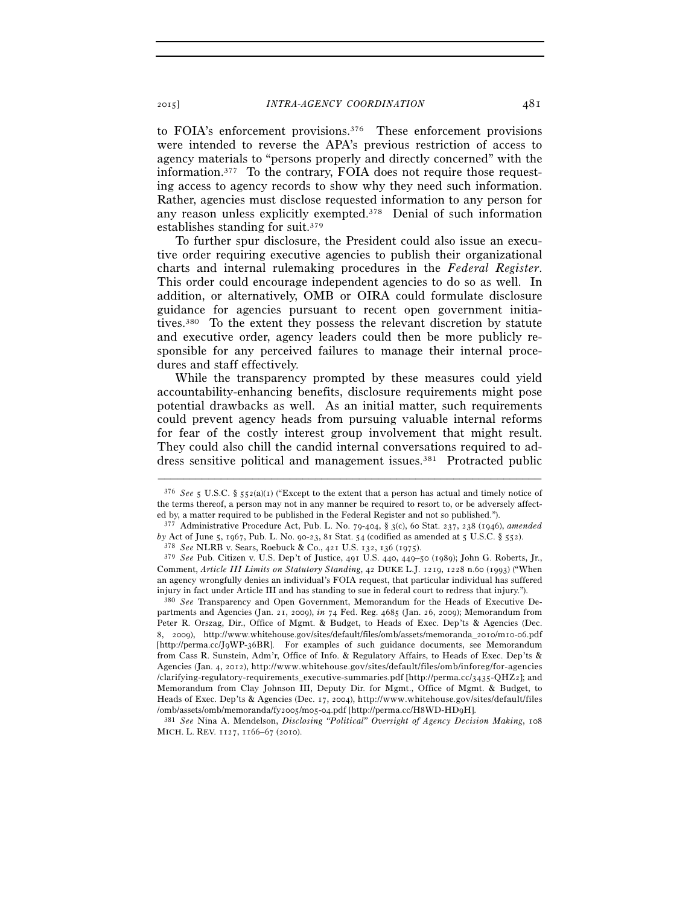to FOIA's enforcement provisions.<sup>376</sup> These enforcement provisions were intended to reverse the APA's previous restriction of access to agency materials to "persons properly and directly concerned" with the information.377 To the contrary, FOIA does not require those requesting access to agency records to show why they need such information. Rather, agencies must disclose requested information to any person for any reason unless explicitly exempted.378 Denial of such information establishes standing for suit.379

To further spur disclosure, the President could also issue an executive order requiring executive agencies to publish their organizational charts and internal rulemaking procedures in the *Federal Register*. This order could encourage independent agencies to do so as well. In addition, or alternatively, OMB or OIRA could formulate disclosure guidance for agencies pursuant to recent open government initiatives.380 To the extent they possess the relevant discretion by statute and executive order, agency leaders could then be more publicly responsible for any perceived failures to manage their internal procedures and staff effectively.

While the transparency prompted by these measures could yield accountability-enhancing benefits, disclosure requirements might pose potential drawbacks as well. As an initial matter, such requirements could prevent agency heads from pursuing valuable internal reforms for fear of the costly interest group involvement that might result. They could also chill the candid internal conversations required to address sensitive political and management issues.381 Protracted public

–––––––––––––––––––––––––––––––––––––––––––––––––––––––––––––

381 See Nina A. Mendelson, Disclosing "Political" Oversight of Agency Decision Making, 108 MICH. L. REV. 1127, 1166–67 (2010).

<sup>376</sup> *See* 5 U.S.C. § 552(a)(1) ("Except to the extent that a person has actual and timely notice of the terms thereof, a person may not in any manner be required to resort to, or be adversely affected by, a matter required to be published in the Federal Register and not so published.").

<sup>377</sup> Administrative Procedure Act, Pub. L. No. 79-404, § 3(c), 60 Stat. 237, 238 (1946), *amended by* Act of June 5, 1967, Pub. L. No. 90-23, 81 Stat. 54 (codified as amended at 5 U.S.C. § 552). 378 *See* NLRB v. Sears, Roebuck & Co., 421 U.S. 132, 136 (1975).

<sup>379</sup> *See* Pub. Citizen v. U.S. Dep't of Justice, 491 U.S. 440, 449–50 (1989); John G. Roberts, Jr., Comment, *Article III Limits on Statutory Standing*, 42 DUKE L.J. 1219, 1228 n.60 (1993) ("When an agency wrongfully denies an individual's FOIA request, that particular individual has suffered injury in fact under Article III and has standing to sue in federal court to redress that injury."). 380 *See* Transparency and Open Government, Memorandum for the Heads of Executive De-

partments and Agencies (Jan. 21, 2009), *in* 74 Fed. Reg. 4685 (Jan. 26, 2009); Memorandum from Peter R. Orszag, Dir., Office of Mgmt. & Budget, to Heads of Exec. Dep'ts & Agencies (Dec. 8, 2009), http://www.whitehouse.gov/sites/default/files/omb/assets/memoranda\_2010/m10-06.pdf [http://perma.cc/J9WP-36BR]. For examples of such guidance documents, see Memorandum from Cass R. Sunstein, Adm'r, Office of Info. & Regulatory Affairs, to Heads of Exec. Dep'ts & Agencies (Jan. 4, 2012), http://www.whitehouse.gov/sites/default/files/omb/inforeg/for-agencies /clarifying-regulatory-requirements\_executive-summaries.pdf [http://perma.cc/3435-QHZ2]; and Memorandum from Clay Johnson III, Deputy Dir. for Mgmt., Office of Mgmt. & Budget, to Heads of Exec. Dep'ts & Agencies (Dec. 17, 2004), http://www.whitehouse.gov/sites/default/files<br>/omb/assets/omb/memoranda/fv2005/m05-04.pdf [http://perma.cc/H8WD-HDqH].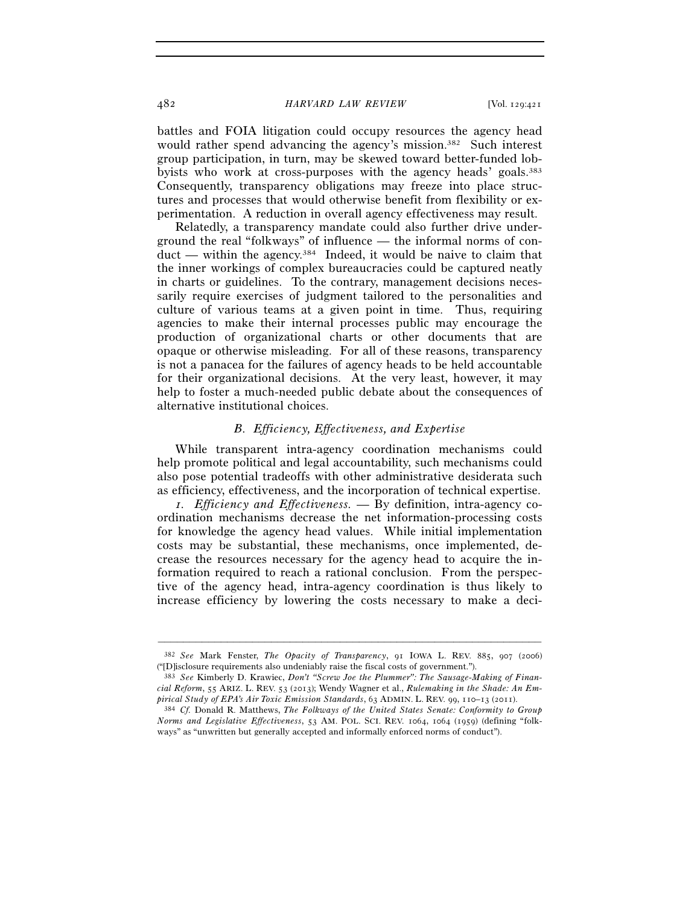battles and FOIA litigation could occupy resources the agency head would rather spend advancing the agency's mission.382 Such interest group participation, in turn, may be skewed toward better-funded lobbyists who work at cross-purposes with the agency heads' goals.383 Consequently, transparency obligations may freeze into place structures and processes that would otherwise benefit from flexibility or experimentation. A reduction in overall agency effectiveness may result.

Relatedly, a transparency mandate could also further drive underground the real "folkways" of influence — the informal norms of conduct — within the agency.384 Indeed, it would be naive to claim that the inner workings of complex bureaucracies could be captured neatly in charts or guidelines. To the contrary, management decisions necessarily require exercises of judgment tailored to the personalities and culture of various teams at a given point in time. Thus, requiring agencies to make their internal processes public may encourage the production of organizational charts or other documents that are opaque or otherwise misleading. For all of these reasons, transparency is not a panacea for the failures of agency heads to be held accountable for their organizational decisions. At the very least, however, it may help to foster a much-needed public debate about the consequences of alternative institutional choices.

#### *B. Efficiency, Effectiveness, and Expertise*

While transparent intra-agency coordination mechanisms could help promote political and legal accountability, such mechanisms could also pose potential tradeoffs with other administrative desiderata such as efficiency, effectiveness, and the incorporation of technical expertise.

*1. Efficiency and Effectiveness.* — By definition, intra-agency coordination mechanisms decrease the net information-processing costs for knowledge the agency head values. While initial implementation costs may be substantial, these mechanisms, once implemented, decrease the resources necessary for the agency head to acquire the information required to reach a rational conclusion. From the perspective of the agency head, intra-agency coordination is thus likely to increase efficiency by lowering the costs necessary to make a deci-

<sup>–––––––––––––––––––––––––––––––––––––––––––––––––––––––––––––</sup> 382 *See* Mark Fenster, *The Opacity of Transparency*, 91 IOWA L. REV. 885, 907 (2006) ("[D]isclosure requirements also undeniably raise the fiscal costs of government."). 383 *See* Kimberly D. Krawiec, *Don't "Screw Joe the Plummer": The Sausage-Making of Finan-*

*cial Reform*, 55 ARIZ. L. REV. 53 (2013); Wendy Wagner et al., *Rulemaking in the Shade: An Empirical Study of EPA's Air Toxic Emission Standards*, 63 ADMIN. L. REV. 99, 110–13 (2011). 384 *Cf.* Donald R. Matthews, *The Folkways of the United States Senate: Conformity to Group* 

*Norms and Legislative Effectiveness*, 53 AM. POL. SCI. REV. 1064, 1064 (1959) (defining "folkways" as "unwritten but generally accepted and informally enforced norms of conduct").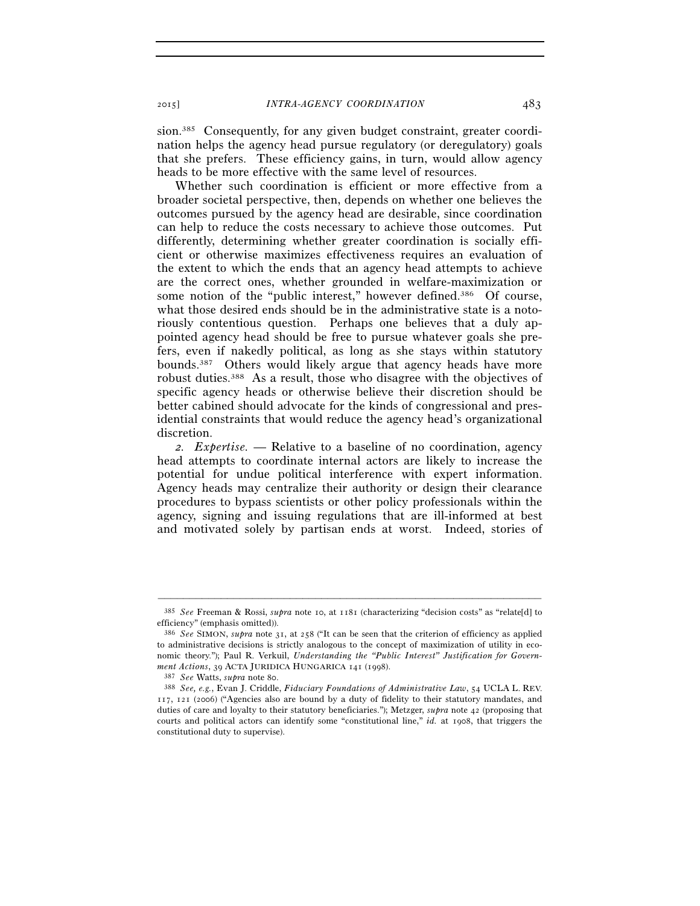sion.385 Consequently, for any given budget constraint, greater coordination helps the agency head pursue regulatory (or deregulatory) goals that she prefers. These efficiency gains, in turn, would allow agency heads to be more effective with the same level of resources.

Whether such coordination is efficient or more effective from a broader societal perspective, then, depends on whether one believes the outcomes pursued by the agency head are desirable, since coordination can help to reduce the costs necessary to achieve those outcomes. Put differently, determining whether greater coordination is socially efficient or otherwise maximizes effectiveness requires an evaluation of the extent to which the ends that an agency head attempts to achieve are the correct ones, whether grounded in welfare-maximization or some notion of the "public interest," however defined.<sup>386</sup> Of course, what those desired ends should be in the administrative state is a notoriously contentious question. Perhaps one believes that a duly appointed agency head should be free to pursue whatever goals she prefers, even if nakedly political, as long as she stays within statutory bounds.387 Others would likely argue that agency heads have more robust duties.388 As a result, those who disagree with the objectives of specific agency heads or otherwise believe their discretion should be better cabined should advocate for the kinds of congressional and presidential constraints that would reduce the agency head's organizational discretion.

*2. Expertise.* — Relative to a baseline of no coordination, agency head attempts to coordinate internal actors are likely to increase the potential for undue political interference with expert information. Agency heads may centralize their authority or design their clearance procedures to bypass scientists or other policy professionals within the agency, signing and issuing regulations that are ill-informed at best and motivated solely by partisan ends at worst. Indeed, stories of

<sup>–––––––––––––––––––––––––––––––––––––––––––––––––––––––––––––</sup> 385 *See* Freeman & Rossi, *supra* note 10, at 1181 (characterizing "decision costs" as "relate[d] to efficiency" (emphasis omitted)).

<sup>386</sup> *See* SIMON, *supra* note 31, at 258 ("It can be seen that the criterion of efficiency as applied to administrative decisions is strictly analogous to the concept of maximization of utility in economic theory."); Paul R. Verkuil, *Understanding the "Public Interest" Justification for Government Actions*, 39 ACTA JURIDICA HUNGARICA 141 (1998).<br><sup>387</sup> *See* Watts, *supra* note 80.<br><sup>388</sup> *See*, e.g., Evan J. Criddle, *Fiduciary Foundations of Administrative Law*, 54 UCLA L. REV.

<sup>117</sup>, 121 (2006) ("Agencies also are bound by a duty of fidelity to their statutory mandates, and duties of care and loyalty to their statutory beneficiaries."); Metzger, *supra* note 42 (proposing that courts and political actors can identify some "constitutional line," *id.* at 1908, that triggers the constitutional duty to supervise).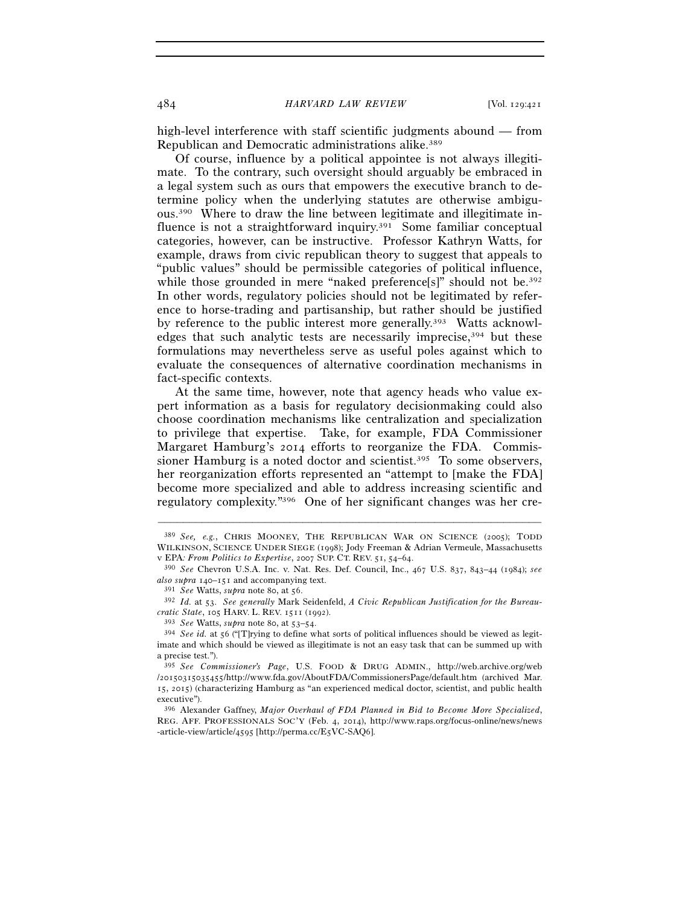high-level interference with staff scientific judgments abound — from Republican and Democratic administrations alike.389

Of course, influence by a political appointee is not always illegitimate. To the contrary, such oversight should arguably be embraced in a legal system such as ours that empowers the executive branch to determine policy when the underlying statutes are otherwise ambiguous.390 Where to draw the line between legitimate and illegitimate influence is not a straightforward inquiry.<sup>391</sup> Some familiar conceptual categories, however, can be instructive. Professor Kathryn Watts, for example, draws from civic republican theory to suggest that appeals to "public values" should be permissible categories of political influence, while those grounded in mere "naked preference[s]" should not be.<sup>392</sup> In other words, regulatory policies should not be legitimated by reference to horse-trading and partisanship, but rather should be justified by reference to the public interest more generally.393 Watts acknowledges that such analytic tests are necessarily imprecise,<sup>394</sup> but these formulations may nevertheless serve as useful poles against which to evaluate the consequences of alternative coordination mechanisms in fact-specific contexts.

At the same time, however, note that agency heads who value expert information as a basis for regulatory decisionmaking could also choose coordination mechanisms like centralization and specialization to privilege that expertise. Take, for example, FDA Commissioner Margaret Hamburg's 2014 efforts to reorganize the FDA. Commissioner Hamburg is a noted doctor and scientist.<sup>395</sup> To some observers, her reorganization efforts represented an "attempt to [make the FDA] become more specialized and able to address increasing scientific and regulatory complexity."396 One of her significant changes was her cre-

<sup>389</sup> *See, e.g.*, CHRIS MOONEY, THE REPUBLICAN WAR ON SCIENCE (2005); TODD WILKINSON, SCIENCE UNDER SIEGE (1998); Jody Freeman & Adrian Vermeule, Massachusetts v EPA*: From Politics to Expertise*, 2007 SUP. CT. REV. <sup>51</sup>, 54–64. 390 *See* Chevron U.S.A. Inc. v. Nat. Res. Def. Council, Inc., 467 U.S. 837, 843–44 (1984); *see* 

*also supra* 140–151 and accompanying text.<br><sup>391</sup> *See* Watts, *supra* note 80, at 56.<br><sup>392</sup> *Id.* at 53. *See generally* Mark Seidenfeld, *A Civic Republican Justification for the Bureau-*<br>*cratic State*, 105 HARV. L. R

<sup>&</sup>lt;sup>393</sup> *See* Watts, *supra* note 80, at 53–54.<br><sup>394</sup> *See id.* at 56 ("[T]rying to define what sorts of political influences should be viewed as legitimate and which should be viewed as illegitimate is not an easy task that can be summed up with a precise test.").

<sup>395</sup> *See Commissioner's Page*, U.S. FOOD & DRUG ADMIN., http://web.archive.org/web /20150315035455/http://www.fda.gov/AboutFDA/CommissionersPage/default.htm (archived Mar. 15, 2015) (characterizing Hamburg as "an experienced medical doctor, scientist, and public health executive").

<sup>396</sup> Alexander Gaffney, *Major Overhaul of FDA Planned in Bid to Become More Specialized*, REG. AFF. PROFESSIONALS SOC'Y (Feb. 4, 2014), http://www.raps.org/focus-online/news/news -article-view/article/4595 [http://perma.cc/E5VC-SAQ6].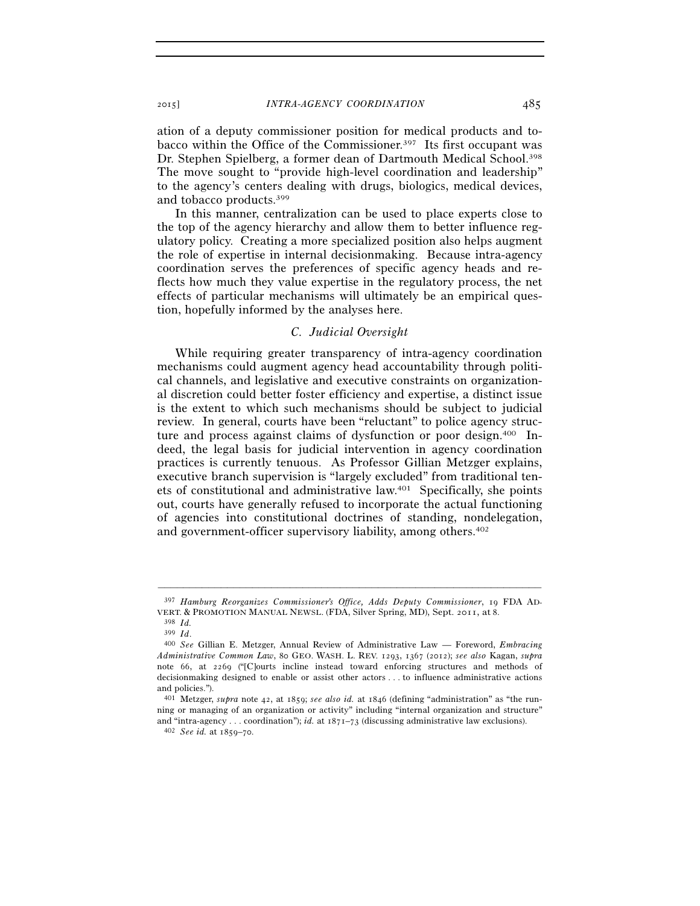ation of a deputy commissioner position for medical products and tobacco within the Office of the Commissioner.397 Its first occupant was Dr. Stephen Spielberg, a former dean of Dartmouth Medical School.398 The move sought to "provide high-level coordination and leadership" to the agency's centers dealing with drugs, biologics, medical devices, and tobacco products.399

In this manner, centralization can be used to place experts close to the top of the agency hierarchy and allow them to better influence regulatory policy. Creating a more specialized position also helps augment the role of expertise in internal decisionmaking. Because intra-agency coordination serves the preferences of specific agency heads and reflects how much they value expertise in the regulatory process, the net effects of particular mechanisms will ultimately be an empirical question, hopefully informed by the analyses here.

## *C. Judicial Oversight*

While requiring greater transparency of intra-agency coordination mechanisms could augment agency head accountability through political channels, and legislative and executive constraints on organizational discretion could better foster efficiency and expertise, a distinct issue is the extent to which such mechanisms should be subject to judicial review. In general, courts have been "reluctant" to police agency structure and process against claims of dysfunction or poor design.400 Indeed, the legal basis for judicial intervention in agency coordination practices is currently tenuous. As Professor Gillian Metzger explains, executive branch supervision is "largely excluded" from traditional tenets of constitutional and administrative law.401 Specifically, she points out, courts have generally refused to incorporate the actual functioning of agencies into constitutional doctrines of standing, nondelegation, and government-officer supervisory liability, among others.402

<sup>–––––––––––––––––––––––––––––––––––––––––––––––––––––––––––––</sup> 397 *Hamburg Reorganizes Commissioner's Office, Adds Deputy Commissioner*, 19 FDA AD-VERT. & PROMOTION MANUAL NEWSL. (FDA, Silver Spring, MD), Sept. 2011, at <sup>8</sup>. 398 *Id.*

<sup>399</sup> *Id*. 400 *See* Gillian E. Metzger, Annual Review of Administrative Law — Foreword, *Embracing Administrative Common Law*, 80 GEO. WASH. L. REV. 1293, 1367 (2012); *see also* Kagan, *supra*  note 66, at 2269 ("[C]ourts incline instead toward enforcing structures and methods of decisionmaking designed to enable or assist other actors . . . to influence administrative actions and policies.").

<sup>401</sup> Metzger, *supra* note 42, at 1859; *see also id.* at 1846 (defining "administration" as "the running or managing of an organization or activity" including "internal organization and structure" and "intra-agency . . . coordination"); *id.* at  $1871-73$  (discussing administrative law exclusions).  $402 \,$  *See id.* at  $1859-70$ .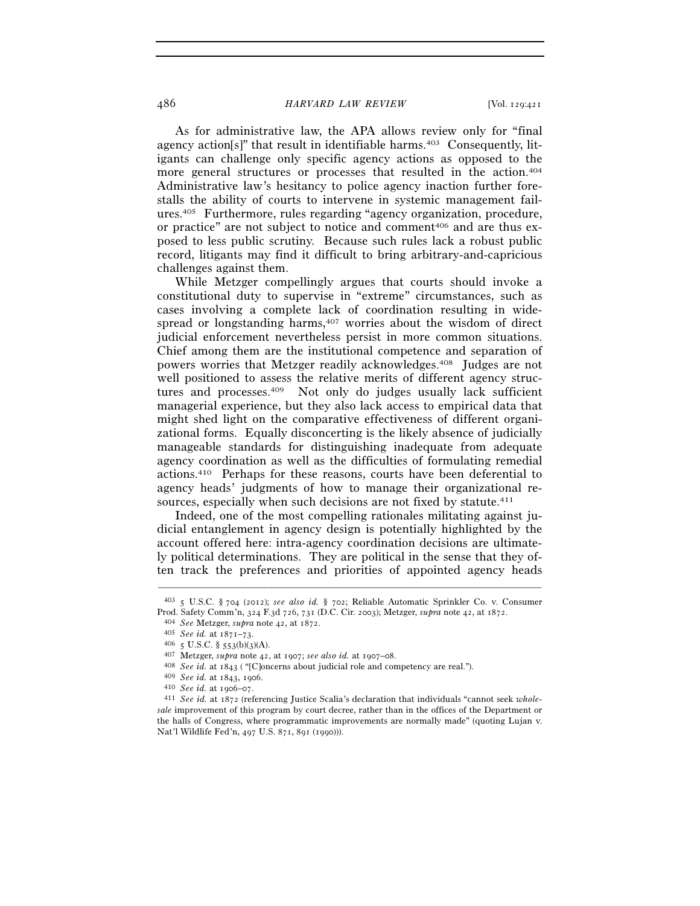As for administrative law, the APA allows review only for "final agency action[s]" that result in identifiable harms.<sup>403</sup> Consequently, litigants can challenge only specific agency actions as opposed to the more general structures or processes that resulted in the action.<sup>404</sup> Administrative law's hesitancy to police agency inaction further forestalls the ability of courts to intervene in systemic management failures.405 Furthermore, rules regarding "agency organization, procedure, or practice" are not subject to notice and comment<sup>406</sup> and are thus exposed to less public scrutiny. Because such rules lack a robust public record, litigants may find it difficult to bring arbitrary-and-capricious challenges against them.

While Metzger compellingly argues that courts should invoke a constitutional duty to supervise in "extreme" circumstances, such as cases involving a complete lack of coordination resulting in widespread or longstanding harms,<sup>407</sup> worries about the wisdom of direct judicial enforcement nevertheless persist in more common situations. Chief among them are the institutional competence and separation of powers worries that Metzger readily acknowledges.408 Judges are not well positioned to assess the relative merits of different agency structures and processes.409 Not only do judges usually lack sufficient managerial experience, but they also lack access to empirical data that might shed light on the comparative effectiveness of different organizational forms. Equally disconcerting is the likely absence of judicially manageable standards for distinguishing inadequate from adequate agency coordination as well as the difficulties of formulating remedial actions.410 Perhaps for these reasons, courts have been deferential to agency heads' judgments of how to manage their organizational resources, especially when such decisions are not fixed by statute.<sup>411</sup>

Indeed, one of the most compelling rationales militating against judicial entanglement in agency design is potentially highlighted by the account offered here: intra-agency coordination decisions are ultimately political determinations. They are political in the sense that they often track the preferences and priorities of appointed agency heads

<sup>–––––––––––––––––––––––––––––––––––––––––––––––––––––––––––––</sup> 403 5 U.S.C. § 704 (2012); *see also id.* § 702; Reliable Automatic Sprinkler Co. v. Consumer Prod. Safety Comm'n, 324 F.3d 726, 731 (D.C. Cir. 2003); Metzger, *supra* note 42, at 1872.<br>
404 See Metzger, *supra* note 42, at 1872.<br>
405 See id. at 1871–73.<br>
406 5 U.S.C. § 553(b)(3)(A).<br>
407 Metzger, *supra* note 42,

*sale* improvement of this program by court decree, rather than in the offices of the Department or the halls of Congress, where programmatic improvements are normally made" (quoting Lujan v. Nat'l Wildlife Fed'n, 497 U.S. 871, 891 (1990))).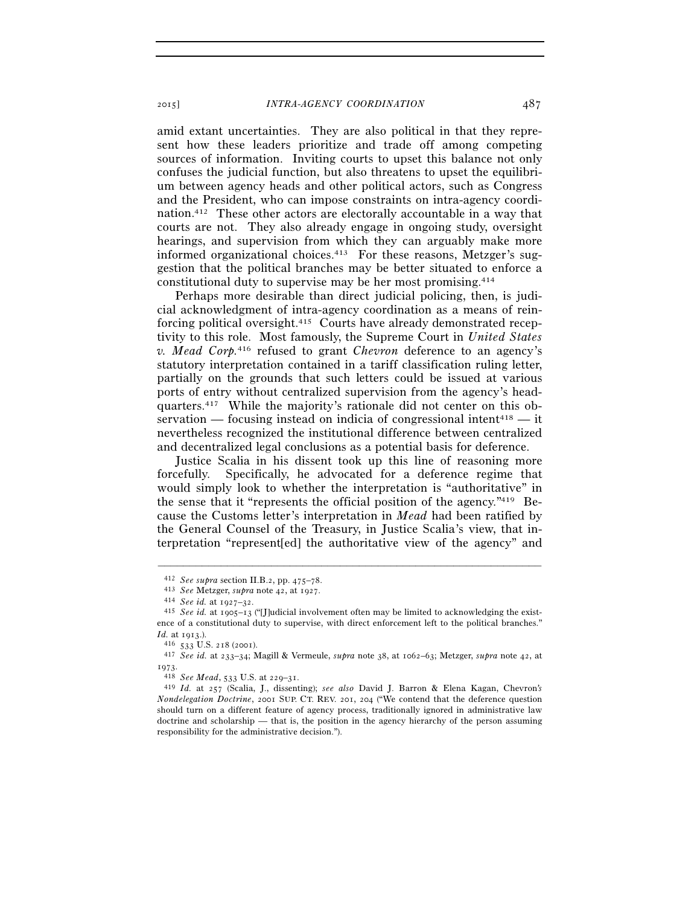amid extant uncertainties. They are also political in that they represent how these leaders prioritize and trade off among competing sources of information. Inviting courts to upset this balance not only confuses the judicial function, but also threatens to upset the equilibrium between agency heads and other political actors, such as Congress and the President, who can impose constraints on intra-agency coordination.412 These other actors are electorally accountable in a way that courts are not. They also already engage in ongoing study, oversight hearings, and supervision from which they can arguably make more informed organizational choices.<sup>413</sup> For these reasons, Metzger's suggestion that the political branches may be better situated to enforce a constitutional duty to supervise may be her most promising.414

Perhaps more desirable than direct judicial policing, then, is judicial acknowledgment of intra-agency coordination as a means of reinforcing political oversight.415 Courts have already demonstrated receptivity to this role. Most famously, the Supreme Court in *United States v. Mead Corp.*416 refused to grant *Chevron* deference to an agency's statutory interpretation contained in a tariff classification ruling letter, partially on the grounds that such letters could be issued at various ports of entry without centralized supervision from the agency's headquarters.417 While the majority's rationale did not center on this observation — focusing instead on indicia of congressional intent<sup>418</sup> — it nevertheless recognized the institutional difference between centralized and decentralized legal conclusions as a potential basis for deference.

Justice Scalia in his dissent took up this line of reasoning more forcefully. Specifically, he advocated for a deference regime that would simply look to whether the interpretation is "authoritative" in the sense that it "represents the official position of the agency." $419$  Because the Customs letter's interpretation in *Mead* had been ratified by the General Counsel of the Treasury, in Justice Scalia's view, that interpretation "represent[ed] the authoritative view of the agency" and

<sup>&</sup>lt;sup>412</sup> See supra section II.B.2, pp. 475–78.<br><sup>413</sup> See Metzger, *supra* note 42, at 1927.<br><sup>414</sup> See id. at 1927–32.<br><sup>415</sup> See id. at 1905–13 ("[I]udicial involvement often may be limited to acknowledging the existence of a constitutional duty to supervise, with direct enforcement left to the political branches."

*Id.* at 1913.). 416 <sup>533</sup> U.S. 218 (2001). 417 *See id.* at 233–34; Magill & Vermeule, *supra* note 38, at 1062–63; Metzger, *supra* note 42, at

<sup>1973</sup>. 418 *See Mead*, 533 U.S. at 229–31. 419 *Id.* at 257 (Scalia, J., dissenting); *see also* David J. Barron & Elena Kagan, Chevron*'s Nondelegation Doctrine*, 2001 SUP. CT. REV. 201, 204 ("We contend that the deference question should turn on a different feature of agency process, traditionally ignored in administrative law doctrine and scholarship — that is, the position in the agency hierarchy of the person assuming responsibility for the administrative decision.").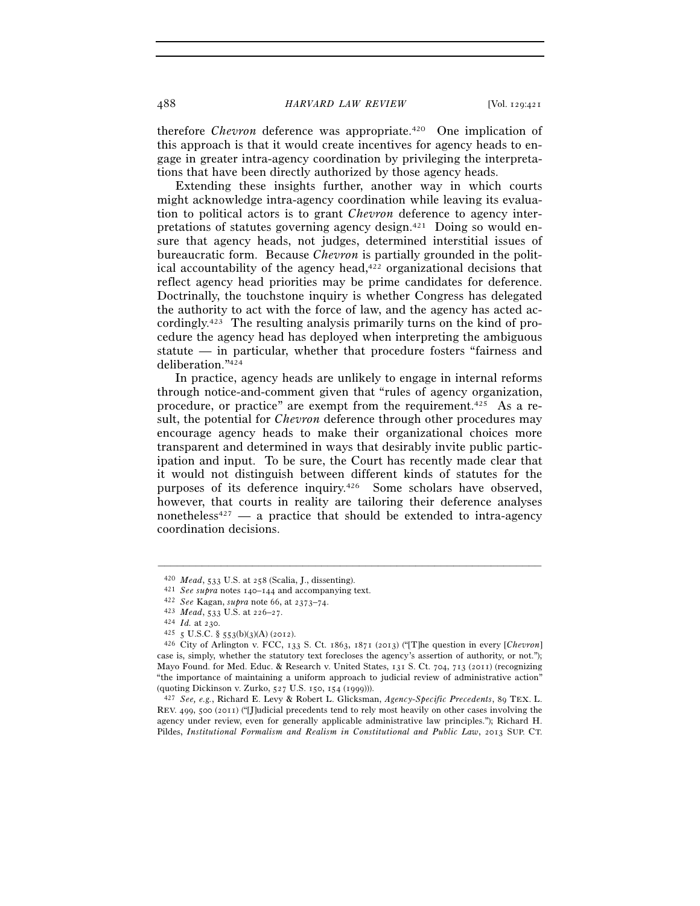therefore *Chevron* deference was appropriate.<sup>420</sup> One implication of this approach is that it would create incentives for agency heads to engage in greater intra-agency coordination by privileging the interpretations that have been directly authorized by those agency heads.

Extending these insights further, another way in which courts might acknowledge intra-agency coordination while leaving its evaluation to political actors is to grant *Chevron* deference to agency interpretations of statutes governing agency design.421 Doing so would ensure that agency heads, not judges, determined interstitial issues of bureaucratic form. Because *Chevron* is partially grounded in the political accountability of the agency head, $422$  organizational decisions that reflect agency head priorities may be prime candidates for deference. Doctrinally, the touchstone inquiry is whether Congress has delegated the authority to act with the force of law, and the agency has acted accordingly.423 The resulting analysis primarily turns on the kind of procedure the agency head has deployed when interpreting the ambiguous statute — in particular, whether that procedure fosters "fairness and deliberation."424

In practice, agency heads are unlikely to engage in internal reforms through notice-and-comment given that "rules of agency organization, procedure, or practice" are exempt from the requirement.425 As a result, the potential for *Chevron* deference through other procedures may encourage agency heads to make their organizational choices more transparent and determined in ways that desirably invite public participation and input. To be sure, the Court has recently made clear that it would not distinguish between different kinds of statutes for the purposes of its deference inquiry.426 Some scholars have observed, however, that courts in reality are tailoring their deference analyses nonetheless<sup>427</sup> — a practice that should be extended to intra-agency coordination decisions.

<sup>&</sup>lt;sup>420</sup> *Mead*, 533 U.S. at 258 (Scalia, J., dissenting).<br>
<sup>421</sup> *See supra* notes 140–144 and accompanying text.<br>
<sup>422</sup> *See* Kagan, *supra* note 66, at 2373–74.<br>
<sup>423</sup> *Mead*, 533 U.S. at 226–27.<br>
<sup>424</sup> *Id.* at 230.<br>
<sup>42</sup> case is, simply, whether the statutory text forecloses the agency's assertion of authority, or not."); Mayo Found. for Med. Educ. & Research v. United States, 131 S. Ct. 704, 713 (2011) (recognizing "the importance of maintaining a uniform approach to judicial review of administrative action"

<sup>(</sup>quoting Dickinson v. Zurko, 527 U.S. 150, 154 (1999))). 427 *See, e.g.*, Richard E. Levy & Robert L. Glicksman, *Agency-Specific Precedents*, 89 TEX. L. REV. 499, 500 (2011) ("[J]udicial precedents tend to rely most heavily on other cases involving the agency under review, even for generally applicable administrative law principles."); Richard H. Pildes, *Institutional Formalism and Realism in Constitutional and Public Law*, 2013 SUP. CT.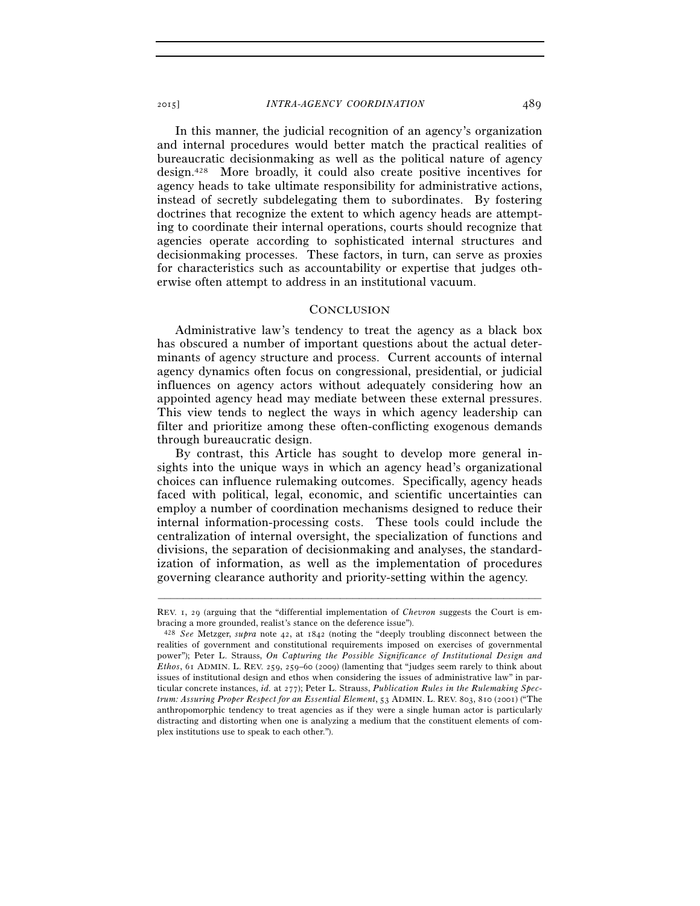In this manner, the judicial recognition of an agency's organization and internal procedures would better match the practical realities of bureaucratic decisionmaking as well as the political nature of agency design.428 More broadly, it could also create positive incentives for agency heads to take ultimate responsibility for administrative actions, instead of secretly subdelegating them to subordinates. By fostering doctrines that recognize the extent to which agency heads are attempting to coordinate their internal operations, courts should recognize that agencies operate according to sophisticated internal structures and decisionmaking processes. These factors, in turn, can serve as proxies for characteristics such as accountability or expertise that judges otherwise often attempt to address in an institutional vacuum.

#### **CONCLUSION**

Administrative law's tendency to treat the agency as a black box has obscured a number of important questions about the actual determinants of agency structure and process. Current accounts of internal agency dynamics often focus on congressional, presidential, or judicial influences on agency actors without adequately considering how an appointed agency head may mediate between these external pressures. This view tends to neglect the ways in which agency leadership can filter and prioritize among these often-conflicting exogenous demands through bureaucratic design.

By contrast, this Article has sought to develop more general insights into the unique ways in which an agency head's organizational choices can influence rulemaking outcomes. Specifically, agency heads faced with political, legal, economic, and scientific uncertainties can employ a number of coordination mechanisms designed to reduce their internal information-processing costs. These tools could include the centralization of internal oversight, the specialization of functions and divisions, the separation of decisionmaking and analyses, the standardization of information, as well as the implementation of procedures governing clearance authority and priority-setting within the agency.

<sup>–––––––––––––––––––––––––––––––––––––––––––––––––––––––––––––</sup> REV. 1, 29 (arguing that the "differential implementation of *Chevron* suggests the Court is embracing a more grounded, realist's stance on the deference issue").

<sup>428</sup> *See* Metzger, *supra* note 42, at 1842 (noting the "deeply troubling disconnect between the realities of government and constitutional requirements imposed on exercises of governmental power"); Peter L. Strauss, *On Capturing the Possible Significance of Institutional Design and Ethos*, 61 ADMIN. L. REV. 259, 259–60 (2009) (lamenting that "judges seem rarely to think about issues of institutional design and ethos when considering the issues of administrative law" in particular concrete instances, *id.* at 277); Peter L. Strauss, *Publication Rules in the Rulemaking Spectrum: Assuring Proper Respect for an Essential Element*, 53 ADMIN. L. REV. 803, 810 (2001) ("The anthropomorphic tendency to treat agencies as if they were a single human actor is particularly distracting and distorting when one is analyzing a medium that the constituent elements of complex institutions use to speak to each other.").